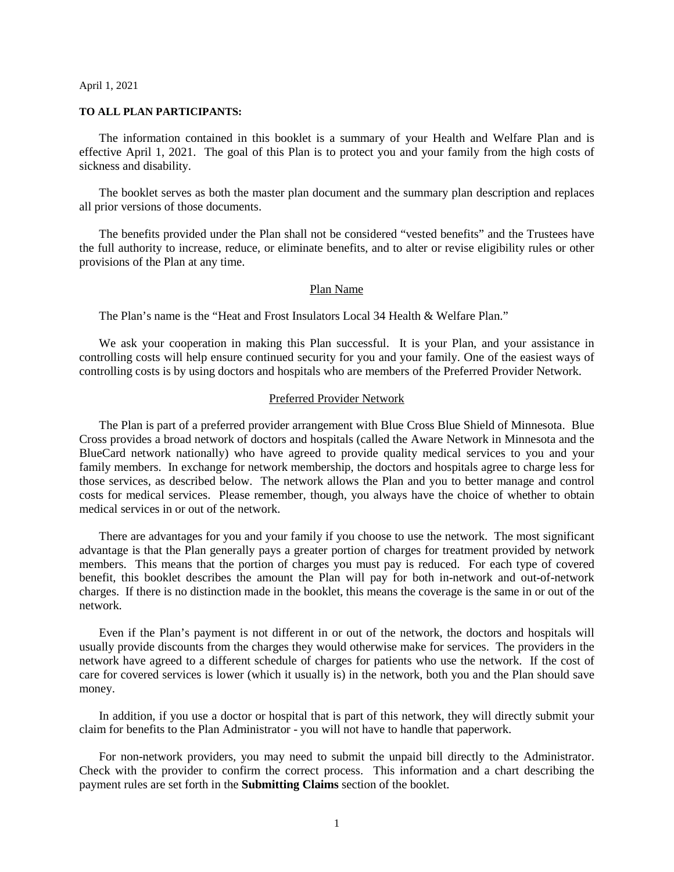#### April 1, 2021

#### **TO ALL PLAN PARTICIPANTS:**

The information contained in this booklet is a summary of your Health and Welfare Plan and is effective April 1, 2021. The goal of this Plan is to protect you and your family from the high costs of sickness and disability.

The booklet serves as both the master plan document and the summary plan description and replaces all prior versions of those documents.

The benefits provided under the Plan shall not be considered "vested benefits" and the Trustees have the full authority to increase, reduce, or eliminate benefits, and to alter or revise eligibility rules or other provisions of the Plan at any time.

#### Plan Name

The Plan's name is the "Heat and Frost Insulators Local 34 Health & Welfare Plan."

We ask your cooperation in making this Plan successful. It is your Plan, and your assistance in controlling costs will help ensure continued security for you and your family. One of the easiest ways of controlling costs is by using doctors and hospitals who are members of the Preferred Provider Network.

#### Preferred Provider Network

The Plan is part of a preferred provider arrangement with Blue Cross Blue Shield of Minnesota. Blue Cross provides a broad network of doctors and hospitals (called the Aware Network in Minnesota and the BlueCard network nationally) who have agreed to provide quality medical services to you and your family members. In exchange for network membership, the doctors and hospitals agree to charge less for those services, as described below. The network allows the Plan and you to better manage and control costs for medical services. Please remember, though, you always have the choice of whether to obtain medical services in or out of the network.

There are advantages for you and your family if you choose to use the network. The most significant advantage is that the Plan generally pays a greater portion of charges for treatment provided by network members. This means that the portion of charges you must pay is reduced. For each type of covered benefit, this booklet describes the amount the Plan will pay for both in-network and out-of-network charges. If there is no distinction made in the booklet, this means the coverage is the same in or out of the network.

Even if the Plan's payment is not different in or out of the network, the doctors and hospitals will usually provide discounts from the charges they would otherwise make for services. The providers in the network have agreed to a different schedule of charges for patients who use the network. If the cost of care for covered services is lower (which it usually is) in the network, both you and the Plan should save money.

In addition, if you use a doctor or hospital that is part of this network, they will directly submit your claim for benefits to the Plan Administrator - you will not have to handle that paperwork.

For non-network providers, you may need to submit the unpaid bill directly to the Administrator. Check with the provider to confirm the correct process. This information and a chart describing the payment rules are set forth in the **Submitting Claims** section of the booklet.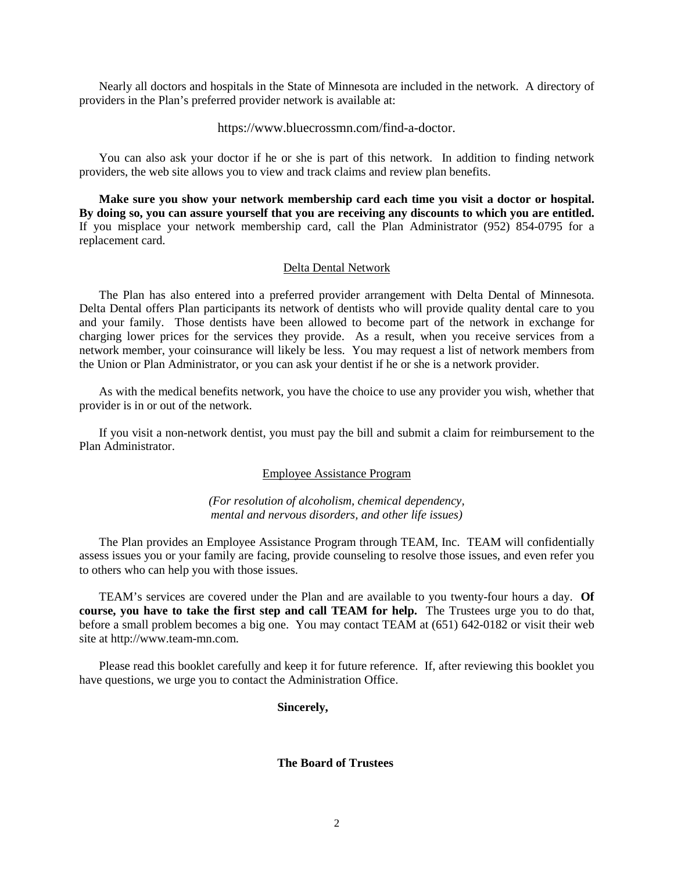Nearly all doctors and hospitals in the State of Minnesota are included in the network. A directory of providers in the Plan's preferred provider network is available at:

#### https://www.bluecrossmn.com/find-a-doctor.

You can also ask your doctor if he or she is part of this network. In addition to finding network providers, the web site allows you to view and track claims and review plan benefits.

**Make sure you show your network membership card each time you visit a doctor or hospital. By doing so, you can assure yourself that you are receiving any discounts to which you are entitled.** If you misplace your network membership card, call the Plan Administrator (952) 854-0795 for a replacement card.

#### Delta Dental Network

The Plan has also entered into a preferred provider arrangement with Delta Dental of Minnesota. Delta Dental offers Plan participants its network of dentists who will provide quality dental care to you and your family. Those dentists have been allowed to become part of the network in exchange for charging lower prices for the services they provide. As a result, when you receive services from a network member, your coinsurance will likely be less. You may request a list of network members from the Union or Plan Administrator, or you can ask your dentist if he or she is a network provider.

As with the medical benefits network, you have the choice to use any provider you wish, whether that provider is in or out of the network.

If you visit a non-network dentist, you must pay the bill and submit a claim for reimbursement to the Plan Administrator.

#### Employee Assistance Program

#### *(For resolution of alcoholism, chemical dependency, mental and nervous disorders, and other life issues)*

The Plan provides an Employee Assistance Program through TEAM, Inc. TEAM will confidentially assess issues you or your family are facing, provide counseling to resolve those issues, and even refer you to others who can help you with those issues.

TEAM's services are covered under the Plan and are available to you twenty-four hours a day. **Of course, you have to take the first step and call TEAM for help.** The Trustees urge you to do that, before a small problem becomes a big one. You may contact TEAM at (651) 642-0182 or visit their web site at http://www.team-mn.com.

Please read this booklet carefully and keep it for future reference. If, after reviewing this booklet you have questions, we urge you to contact the Administration Office.

#### **Sincerely,**

#### **The Board of Trustees**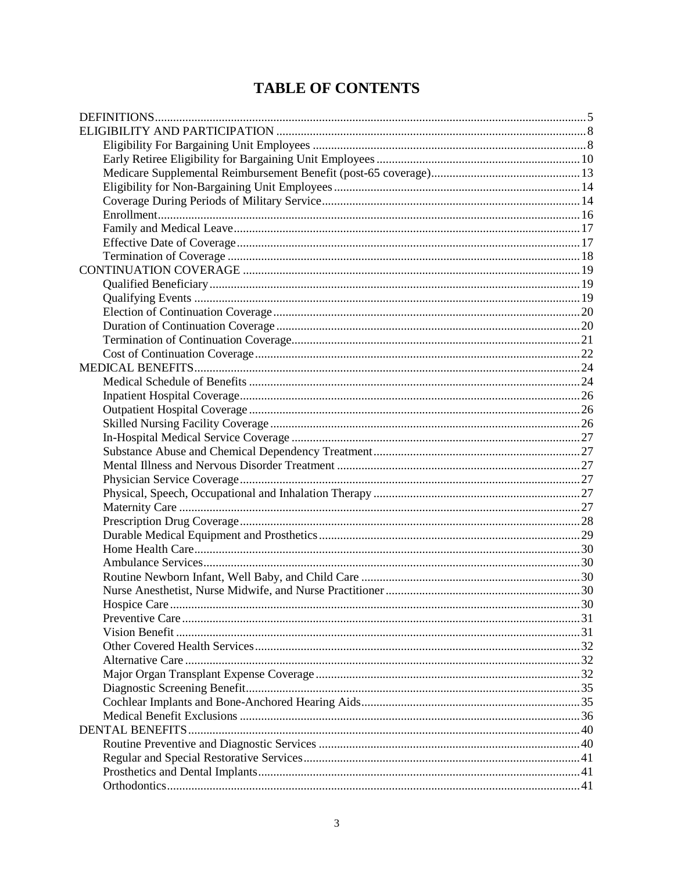# **TABLE OF CONTENTS**

| Hospice Care |  |
|--------------|--|
|              |  |
|              |  |
|              |  |
|              |  |
|              |  |
|              |  |
|              |  |
|              |  |
|              |  |
|              |  |
|              |  |
|              |  |
|              |  |
|              |  |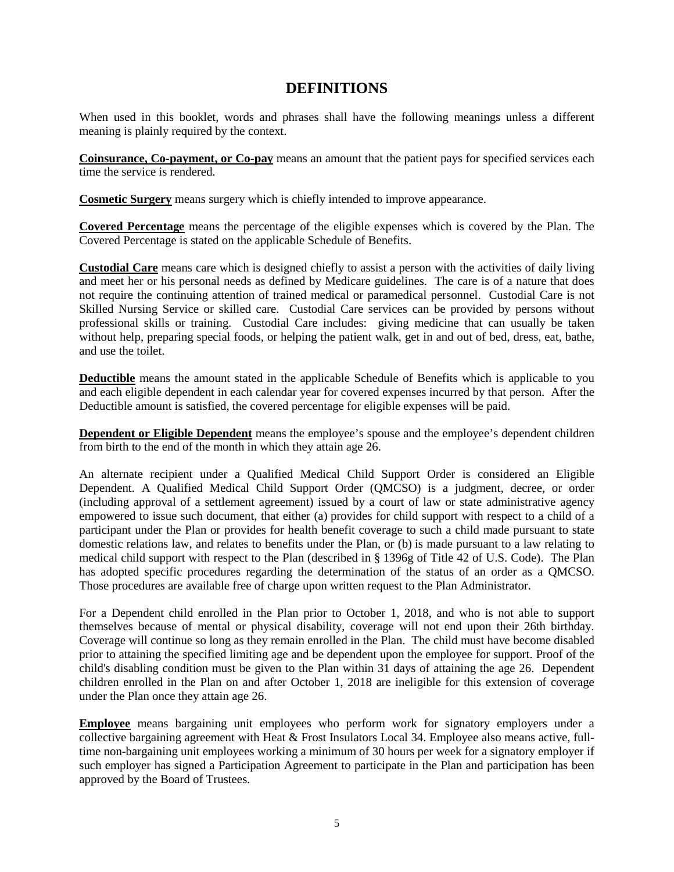# **DEFINITIONS**

<span id="page-4-0"></span>When used in this booklet, words and phrases shall have the following meanings unless a different meaning is plainly required by the context.

**Coinsurance, Co-payment, or Co-pay** means an amount that the patient pays for specified services each time the service is rendered.

**Cosmetic Surgery** means surgery which is chiefly intended to improve appearance.

**Covered Percentage** means the percentage of the eligible expenses which is covered by the Plan. The Covered Percentage is stated on the applicable Schedule of Benefits.

**Custodial Care** means care which is designed chiefly to assist a person with the activities of daily living and meet her or his personal needs as defined by Medicare guidelines. The care is of a nature that does not require the continuing attention of trained medical or paramedical personnel. Custodial Care is not Skilled Nursing Service or skilled care. Custodial Care services can be provided by persons without professional skills or training. Custodial Care includes: giving medicine that can usually be taken without help, preparing special foods, or helping the patient walk, get in and out of bed, dress, eat, bathe, and use the toilet.

**Deductible** means the amount stated in the applicable Schedule of Benefits which is applicable to you and each eligible dependent in each calendar year for covered expenses incurred by that person. After the Deductible amount is satisfied, the covered percentage for eligible expenses will be paid.

**Dependent or Eligible Dependent** means the employee's spouse and the employee's dependent children from birth to the end of the month in which they attain age 26.

An alternate recipient under a Qualified Medical Child Support Order is considered an Eligible Dependent. A Qualified Medical Child Support Order (QMCSO) is a judgment, decree, or order (including approval of a settlement agreement) issued by a court of law or state administrative agency empowered to issue such document, that either (a) provides for child support with respect to a child of a participant under the Plan or provides for health benefit coverage to such a child made pursuant to state domestic relations law, and relates to benefits under the Plan, or (b) is made pursuant to a law relating to medical child support with respect to the Plan (described in § 1396g of Title 42 of U.S. Code). The Plan has adopted specific procedures regarding the determination of the status of an order as a QMCSO. Those procedures are available free of charge upon written request to the Plan Administrator.

For a Dependent child enrolled in the Plan prior to October 1, 2018, and who is not able to support themselves because of mental or physical disability, coverage will not end upon their 26th birthday. Coverage will continue so long as they remain enrolled in the Plan. The child must have become disabled prior to attaining the specified limiting age and be dependent upon the employee for support. Proof of the child's disabling condition must be given to the Plan within 31 days of attaining the age 26. Dependent children enrolled in the Plan on and after October 1, 2018 are ineligible for this extension of coverage under the Plan once they attain age 26.

**Employee** means bargaining unit employees who perform work for signatory employers under a collective bargaining agreement with Heat & Frost Insulators Local 34. Employee also means active, fulltime non-bargaining unit employees working a minimum of 30 hours per week for a signatory employer if such employer has signed a Participation Agreement to participate in the Plan and participation has been approved by the Board of Trustees.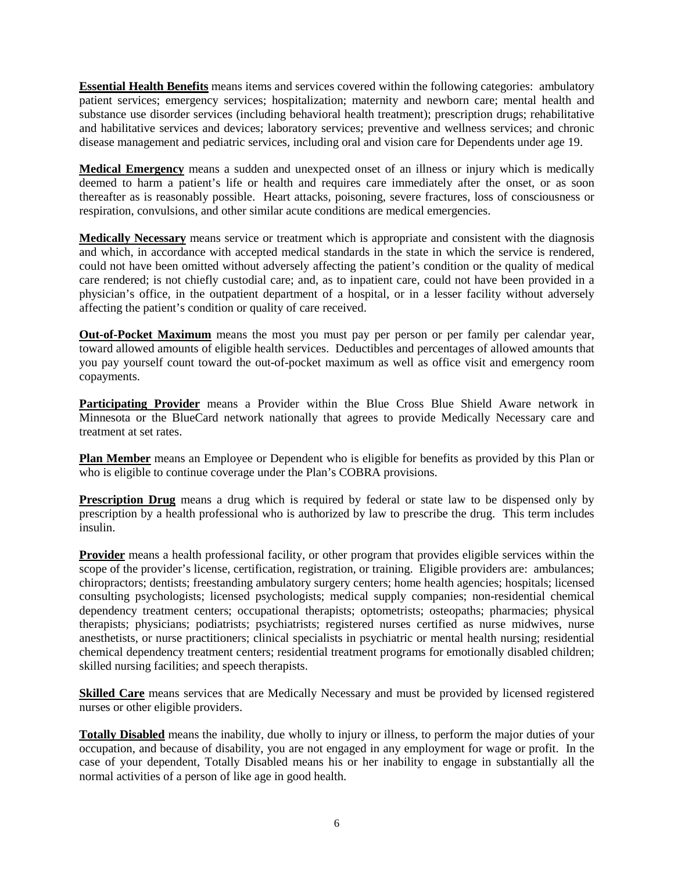**Essential Health Benefits** means items and services covered within the following categories: ambulatory patient services; emergency services; hospitalization; maternity and newborn care; mental health and substance use disorder services (including behavioral health treatment); prescription drugs; rehabilitative and habilitative services and devices; laboratory services; preventive and wellness services; and chronic disease management and pediatric services, including oral and vision care for Dependents under age 19.

**Medical Emergency** means a sudden and unexpected onset of an illness or injury which is medically deemed to harm a patient's life or health and requires care immediately after the onset, or as soon thereafter as is reasonably possible. Heart attacks, poisoning, severe fractures, loss of consciousness or respiration, convulsions, and other similar acute conditions are medical emergencies.

**Medically Necessary** means service or treatment which is appropriate and consistent with the diagnosis and which, in accordance with accepted medical standards in the state in which the service is rendered, could not have been omitted without adversely affecting the patient's condition or the quality of medical care rendered; is not chiefly custodial care; and, as to inpatient care, could not have been provided in a physician's office, in the outpatient department of a hospital, or in a lesser facility without adversely affecting the patient's condition or quality of care received.

**Out-of-Pocket Maximum** means the most you must pay per person or per family per calendar year, toward allowed amounts of eligible health services. Deductibles and percentages of allowed amounts that you pay yourself count toward the out-of-pocket maximum as well as office visit and emergency room copayments.

**Participating Provider** means a Provider within the Blue Cross Blue Shield Aware network in Minnesota or the BlueCard network nationally that agrees to provide Medically Necessary care and treatment at set rates.

**Plan Member** means an Employee or Dependent who is eligible for benefits as provided by this Plan or who is eligible to continue coverage under the Plan's COBRA provisions.

**Prescription Drug** means a drug which is required by federal or state law to be dispensed only by prescription by a health professional who is authorized by law to prescribe the drug. This term includes insulin.

**Provider** means a health professional facility, or other program that provides eligible services within the scope of the provider's license, certification, registration, or training. Eligible providers are: ambulances; chiropractors; dentists; freestanding ambulatory surgery centers; home health agencies; hospitals; licensed consulting psychologists; licensed psychologists; medical supply companies; non-residential chemical dependency treatment centers; occupational therapists; optometrists; osteopaths; pharmacies; physical therapists; physicians; podiatrists; psychiatrists; registered nurses certified as nurse midwives, nurse anesthetists, or nurse practitioners; clinical specialists in psychiatric or mental health nursing; residential chemical dependency treatment centers; residential treatment programs for emotionally disabled children; skilled nursing facilities; and speech therapists.

**Skilled Care** means services that are Medically Necessary and must be provided by licensed registered nurses or other eligible providers.

**Totally Disabled** means the inability, due wholly to injury or illness, to perform the major duties of your occupation, and because of disability, you are not engaged in any employment for wage or profit. In the case of your dependent, Totally Disabled means his or her inability to engage in substantially all the normal activities of a person of like age in good health.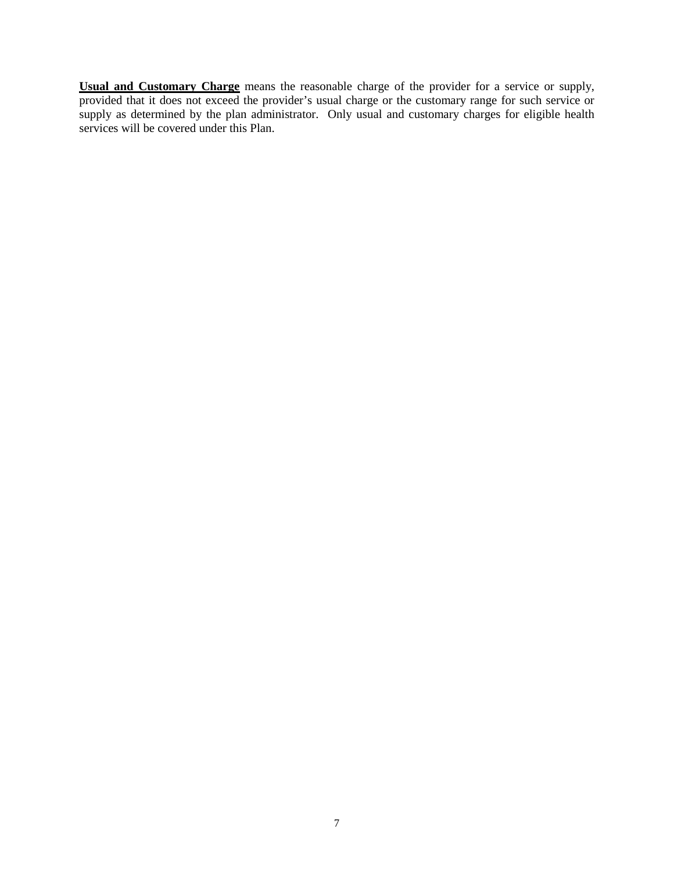**Usual and Customary Charge** means the reasonable charge of the provider for a service or supply, provided that it does not exceed the provider's usual charge or the customary range for such service or supply as determined by the plan administrator. Only usual and customary charges for eligible health services will be covered under this Plan.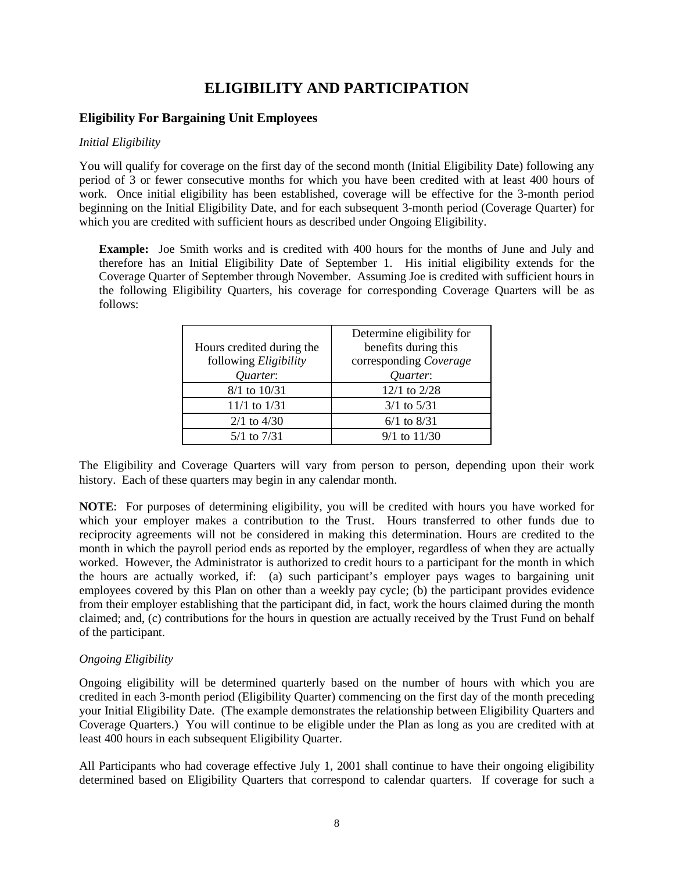# **ELIGIBILITY AND PARTICIPATION**

## <span id="page-7-1"></span><span id="page-7-0"></span>**Eligibility For Bargaining Unit Employees**

#### *Initial Eligibility*

You will qualify for coverage on the first day of the second month (Initial Eligibility Date) following any period of 3 or fewer consecutive months for which you have been credited with at least 400 hours of work. Once initial eligibility has been established, coverage will be effective for the 3-month period beginning on the Initial Eligibility Date, and for each subsequent 3-month period (Coverage Quarter) for which you are credited with sufficient hours as described under Ongoing Eligibility.

**Example:** Joe Smith works and is credited with 400 hours for the months of June and July and therefore has an Initial Eligibility Date of September 1. His initial eligibility extends for the Coverage Quarter of September through November. Assuming Joe is credited with sufficient hours in the following Eligibility Quarters, his coverage for corresponding Coverage Quarters will be as follows:

| Hours credited during the                | Determine eligibility for<br>benefits during this |
|------------------------------------------|---------------------------------------------------|
| following <i>Eligibility</i><br>Quarter: | corresponding Coverage<br>Quarter:                |
| $8/1$ to $10/31$                         | 12/1 to 2/28                                      |
| $11/1$ to $1/31$                         | $3/1$ to $5/31$                                   |
| $2/1$ to $4/30$                          | $6/1$ to $8/31$                                   |
| $5/1$ to $7/31$                          | $9/1$ to $11/30$                                  |

The Eligibility and Coverage Quarters will vary from person to person, depending upon their work history. Each of these quarters may begin in any calendar month.

**NOTE**: For purposes of determining eligibility, you will be credited with hours you have worked for which your employer makes a contribution to the Trust. Hours transferred to other funds due to reciprocity agreements will not be considered in making this determination. Hours are credited to the month in which the payroll period ends as reported by the employer, regardless of when they are actually worked. However, the Administrator is authorized to credit hours to a participant for the month in which the hours are actually worked, if: (a) such participant's employer pays wages to bargaining unit employees covered by this Plan on other than a weekly pay cycle; (b) the participant provides evidence from their employer establishing that the participant did, in fact, work the hours claimed during the month claimed; and, (c) contributions for the hours in question are actually received by the Trust Fund on behalf of the participant.

### *Ongoing Eligibility*

Ongoing eligibility will be determined quarterly based on the number of hours with which you are credited in each 3-month period (Eligibility Quarter) commencing on the first day of the month preceding your Initial Eligibility Date. (The example demonstrates the relationship between Eligibility Quarters and Coverage Quarters.) You will continue to be eligible under the Plan as long as you are credited with at least 400 hours in each subsequent Eligibility Quarter.

All Participants who had coverage effective July 1, 2001 shall continue to have their ongoing eligibility determined based on Eligibility Quarters that correspond to calendar quarters. If coverage for such a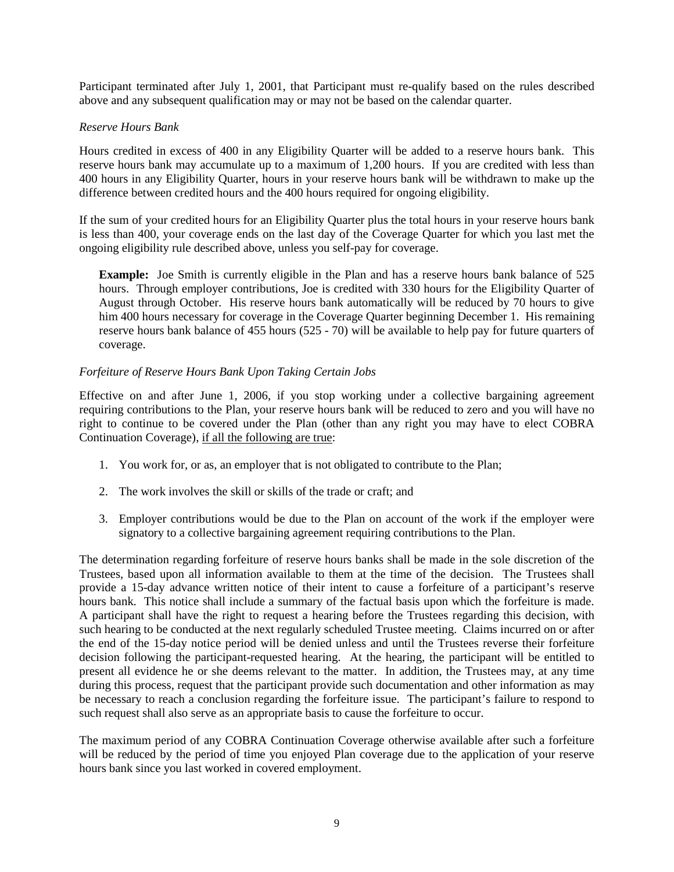Participant terminated after July 1, 2001, that Participant must re-qualify based on the rules described above and any subsequent qualification may or may not be based on the calendar quarter.

## *Reserve Hours Bank*

Hours credited in excess of 400 in any Eligibility Quarter will be added to a reserve hours bank. This reserve hours bank may accumulate up to a maximum of 1,200 hours. If you are credited with less than 400 hours in any Eligibility Quarter, hours in your reserve hours bank will be withdrawn to make up the difference between credited hours and the 400 hours required for ongoing eligibility.

If the sum of your credited hours for an Eligibility Quarter plus the total hours in your reserve hours bank is less than 400, your coverage ends on the last day of the Coverage Quarter for which you last met the ongoing eligibility rule described above, unless you self-pay for coverage.

**Example:** Joe Smith is currently eligible in the Plan and has a reserve hours bank balance of 525 hours. Through employer contributions, Joe is credited with 330 hours for the Eligibility Quarter of August through October. His reserve hours bank automatically will be reduced by 70 hours to give him 400 hours necessary for coverage in the Coverage Quarter beginning December 1. His remaining reserve hours bank balance of 455 hours (525 - 70) will be available to help pay for future quarters of coverage.

## *Forfeiture of Reserve Hours Bank Upon Taking Certain Jobs*

Effective on and after June 1, 2006, if you stop working under a collective bargaining agreement requiring contributions to the Plan, your reserve hours bank will be reduced to zero and you will have no right to continue to be covered under the Plan (other than any right you may have to elect COBRA Continuation Coverage), if all the following are true:

- 1. You work for, or as, an employer that is not obligated to contribute to the Plan;
- 2. The work involves the skill or skills of the trade or craft; and
- 3. Employer contributions would be due to the Plan on account of the work if the employer were signatory to a collective bargaining agreement requiring contributions to the Plan.

The determination regarding forfeiture of reserve hours banks shall be made in the sole discretion of the Trustees, based upon all information available to them at the time of the decision. The Trustees shall provide a 15-day advance written notice of their intent to cause a forfeiture of a participant's reserve hours bank. This notice shall include a summary of the factual basis upon which the forfeiture is made. A participant shall have the right to request a hearing before the Trustees regarding this decision, with such hearing to be conducted at the next regularly scheduled Trustee meeting. Claims incurred on or after the end of the 15-day notice period will be denied unless and until the Trustees reverse their forfeiture decision following the participant-requested hearing. At the hearing, the participant will be entitled to present all evidence he or she deems relevant to the matter. In addition, the Trustees may, at any time during this process, request that the participant provide such documentation and other information as may be necessary to reach a conclusion regarding the forfeiture issue. The participant's failure to respond to such request shall also serve as an appropriate basis to cause the forfeiture to occur.

The maximum period of any COBRA Continuation Coverage otherwise available after such a forfeiture will be reduced by the period of time you enjoyed Plan coverage due to the application of your reserve hours bank since you last worked in covered employment.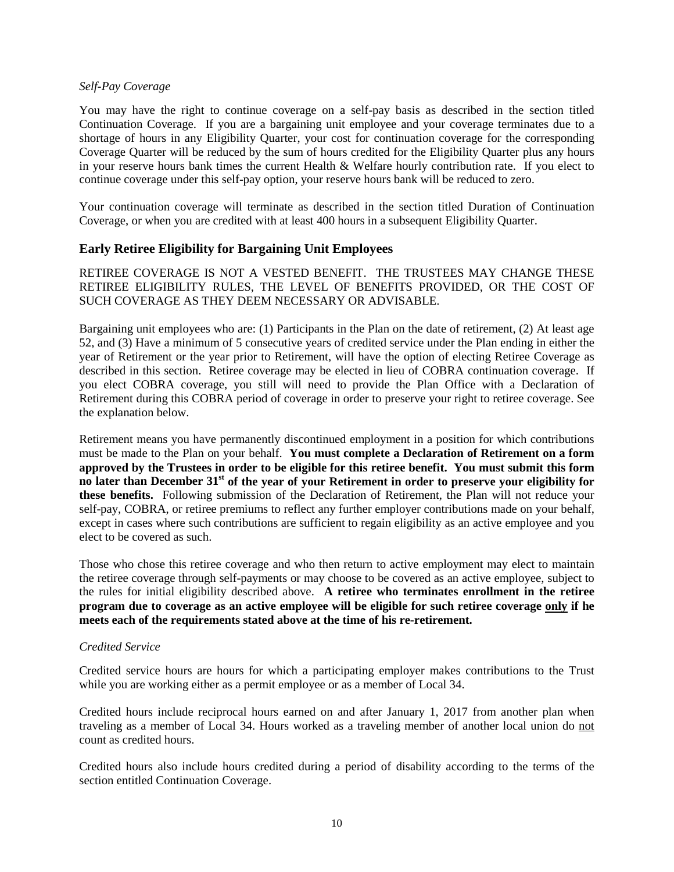#### *Self-Pay Coverage*

You may have the right to continue coverage on a self-pay basis as described in the section titled Continuation Coverage. If you are a bargaining unit employee and your coverage terminates due to a shortage of hours in any Eligibility Quarter, your cost for continuation coverage for the corresponding Coverage Quarter will be reduced by the sum of hours credited for the Eligibility Quarter plus any hours in your reserve hours bank times the current Health & Welfare hourly contribution rate. If you elect to continue coverage under this self-pay option, your reserve hours bank will be reduced to zero.

Your continuation coverage will terminate as described in the section titled Duration of Continuation Coverage, or when you are credited with at least 400 hours in a subsequent Eligibility Quarter.

## <span id="page-9-0"></span>**Early Retiree Eligibility for Bargaining Unit Employees**

RETIREE COVERAGE IS NOT A VESTED BENEFIT. THE TRUSTEES MAY CHANGE THESE RETIREE ELIGIBILITY RULES, THE LEVEL OF BENEFITS PROVIDED, OR THE COST OF SUCH COVERAGE AS THEY DEEM NECESSARY OR ADVISABLE.

Bargaining unit employees who are: (1) Participants in the Plan on the date of retirement, (2) At least age 52, and (3) Have a minimum of 5 consecutive years of credited service under the Plan ending in either the year of Retirement or the year prior to Retirement, will have the option of electing Retiree Coverage as described in this section. Retiree coverage may be elected in lieu of COBRA continuation coverage. If you elect COBRA coverage, you still will need to provide the Plan Office with a Declaration of Retirement during this COBRA period of coverage in order to preserve your right to retiree coverage. See the explanation below.

Retirement means you have permanently discontinued employment in a position for which contributions must be made to the Plan on your behalf. **You must complete a Declaration of Retirement on a form approved by the Trustees in order to be eligible for this retiree benefit. You must submit this form no later than December 31st of the year of your Retirement in order to preserve your eligibility for these benefits.** Following submission of the Declaration of Retirement, the Plan will not reduce your self-pay, COBRA, or retiree premiums to reflect any further employer contributions made on your behalf, except in cases where such contributions are sufficient to regain eligibility as an active employee and you elect to be covered as such.

Those who chose this retiree coverage and who then return to active employment may elect to maintain the retiree coverage through self-payments or may choose to be covered as an active employee, subject to the rules for initial eligibility described above. **A retiree who terminates enrollment in the retiree program due to coverage as an active employee will be eligible for such retiree coverage only if he meets each of the requirements stated above at the time of his re-retirement.**

### *Credited Service*

Credited service hours are hours for which a participating employer makes contributions to the Trust while you are working either as a permit employee or as a member of Local 34.

Credited hours include reciprocal hours earned on and after January 1, 2017 from another plan when traveling as a member of Local 34. Hours worked as a traveling member of another local union do not count as credited hours.

Credited hours also include hours credited during a period of disability according to the terms of the section entitled Continuation Coverage.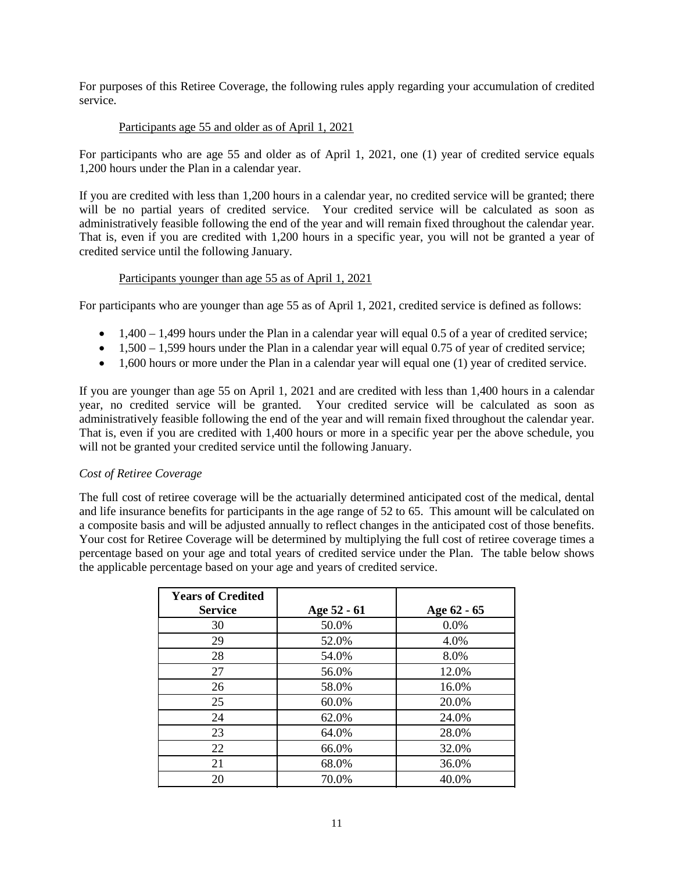For purposes of this Retiree Coverage, the following rules apply regarding your accumulation of credited service.

## Participants age 55 and older as of April 1, 2021

For participants who are age 55 and older as of April 1, 2021, one (1) year of credited service equals 1,200 hours under the Plan in a calendar year.

If you are credited with less than 1,200 hours in a calendar year, no credited service will be granted; there will be no partial years of credited service. Your credited service will be calculated as soon as administratively feasible following the end of the year and will remain fixed throughout the calendar year. That is, even if you are credited with 1,200 hours in a specific year, you will not be granted a year of credited service until the following January.

## Participants younger than age 55 as of April 1, 2021

For participants who are younger than age 55 as of April 1, 2021, credited service is defined as follows:

- $\bullet$  1,400 1,499 hours under the Plan in a calendar year will equal 0.5 of a year of credited service;
- $\bullet$  1,500 1,599 hours under the Plan in a calendar year will equal 0.75 of year of credited service;
- 1,600 hours or more under the Plan in a calendar year will equal one (1) year of credited service.

If you are younger than age 55 on April 1, 2021 and are credited with less than 1,400 hours in a calendar year, no credited service will be granted. Your credited service will be calculated as soon as administratively feasible following the end of the year and will remain fixed throughout the calendar year. That is, even if you are credited with 1,400 hours or more in a specific year per the above schedule, you will not be granted your credited service until the following January.

### *Cost of Retiree Coverage*

The full cost of retiree coverage will be the actuarially determined anticipated cost of the medical, dental and life insurance benefits for participants in the age range of 52 to 65. This amount will be calculated on a composite basis and will be adjusted annually to reflect changes in the anticipated cost of those benefits. Your cost for Retiree Coverage will be determined by multiplying the full cost of retiree coverage times a percentage based on your age and total years of credited service under the Plan. The table below shows the applicable percentage based on your age and years of credited service.

| <b>Years of Credited</b><br><b>Service</b> | Age 52 - 61 | Age 62 - 65 |
|--------------------------------------------|-------------|-------------|
| 30                                         | 50.0%       | 0.0%        |
| 29                                         | 52.0%       | 4.0%        |
| 28                                         | 54.0%       | 8.0%        |
| 27                                         | 56.0%       | 12.0%       |
| 26                                         | 58.0%       | 16.0%       |
| 25                                         | 60.0%       | 20.0%       |
| 24                                         | 62.0%       | 24.0%       |
| 23                                         | 64.0%       | 28.0%       |
| 22                                         | 66.0%       | 32.0%       |
| 21                                         | 68.0%       | 36.0%       |
| 20                                         | 70.0%       | 40.0%       |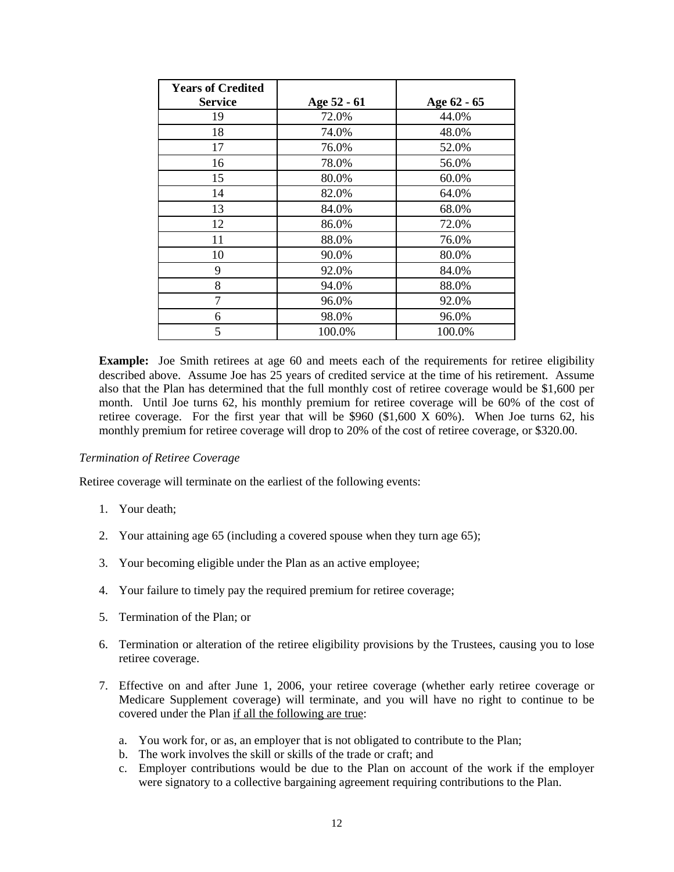| <b>Years of Credited</b> |             |             |
|--------------------------|-------------|-------------|
| <b>Service</b>           | Age 52 - 61 | Age 62 - 65 |
| 19                       | 72.0%       | 44.0%       |
| 18                       | 74.0%       | 48.0%       |
| 17                       | 76.0%       | 52.0%       |
| 16                       | 78.0%       | 56.0%       |
| 15                       | 80.0%       | 60.0%       |
| 14                       | 82.0%       | 64.0%       |
| 13                       | 84.0%       | 68.0%       |
| 12                       | 86.0%       | 72.0%       |
| 11                       | 88.0%       | 76.0%       |
| 10                       | 90.0%       | 80.0%       |
| 9                        | 92.0%       | 84.0%       |
| 8                        | 94.0%       | 88.0%       |
| 7                        | 96.0%       | 92.0%       |
| 6                        | 98.0%       | 96.0%       |
| 5                        | 100.0%      | 100.0%      |

**Example:** Joe Smith retirees at age 60 and meets each of the requirements for retiree eligibility described above. Assume Joe has 25 years of credited service at the time of his retirement. Assume also that the Plan has determined that the full monthly cost of retiree coverage would be \$1,600 per month. Until Joe turns 62, his monthly premium for retiree coverage will be 60% of the cost of retiree coverage. For the first year that will be  $$960 ($1,600 X 60%).$  When Joe turns 62, his monthly premium for retiree coverage will drop to 20% of the cost of retiree coverage, or \$320.00.

### *Termination of Retiree Coverage*

Retiree coverage will terminate on the earliest of the following events:

- 1. Your death;
- 2. Your attaining age 65 (including a covered spouse when they turn age 65);
- 3. Your becoming eligible under the Plan as an active employee;
- 4. Your failure to timely pay the required premium for retiree coverage;
- 5. Termination of the Plan; or
- 6. Termination or alteration of the retiree eligibility provisions by the Trustees, causing you to lose retiree coverage.
- 7. Effective on and after June 1, 2006, your retiree coverage (whether early retiree coverage or Medicare Supplement coverage) will terminate, and you will have no right to continue to be covered under the Plan if all the following are true:
	- a. You work for, or as, an employer that is not obligated to contribute to the Plan;
	- b. The work involves the skill or skills of the trade or craft; and
	- c. Employer contributions would be due to the Plan on account of the work if the employer were signatory to a collective bargaining agreement requiring contributions to the Plan.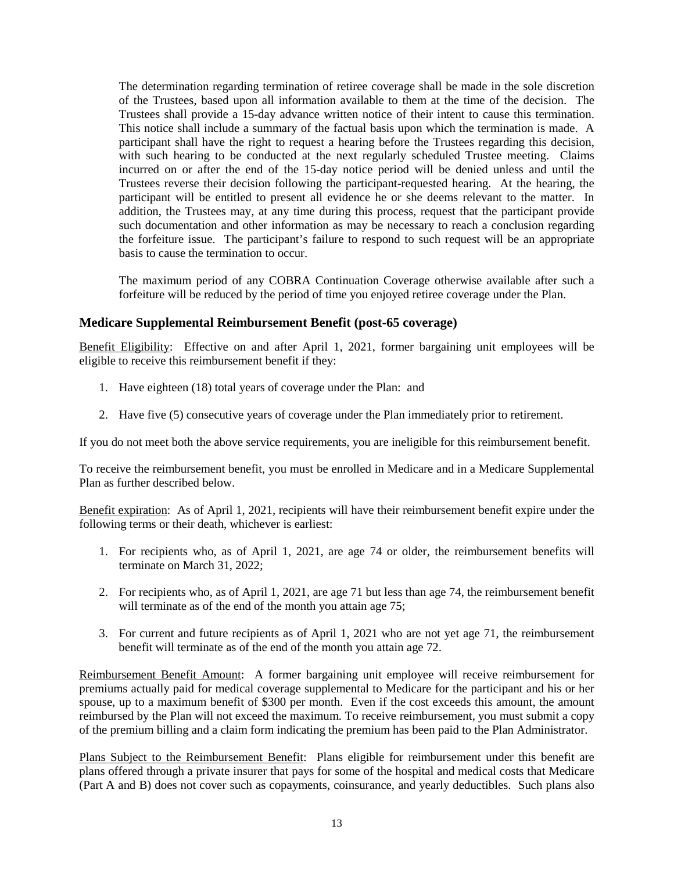The determination regarding termination of retiree coverage shall be made in the sole discretion of the Trustees, based upon all information available to them at the time of the decision. The Trustees shall provide a 15-day advance written notice of their intent to cause this termination. This notice shall include a summary of the factual basis upon which the termination is made. A participant shall have the right to request a hearing before the Trustees regarding this decision, with such hearing to be conducted at the next regularly scheduled Trustee meeting. Claims incurred on or after the end of the 15-day notice period will be denied unless and until the Trustees reverse their decision following the participant-requested hearing. At the hearing, the participant will be entitled to present all evidence he or she deems relevant to the matter. In addition, the Trustees may, at any time during this process, request that the participant provide such documentation and other information as may be necessary to reach a conclusion regarding the forfeiture issue. The participant's failure to respond to such request will be an appropriate basis to cause the termination to occur.

The maximum period of any COBRA Continuation Coverage otherwise available after such a forfeiture will be reduced by the period of time you enjoyed retiree coverage under the Plan.

## <span id="page-12-0"></span>**Medicare Supplemental Reimbursement Benefit (post-65 coverage)**

Benefit Eligibility: Effective on and after April 1, 2021, former bargaining unit employees will be eligible to receive this reimbursement benefit if they:

- 1. Have eighteen (18) total years of coverage under the Plan: and
- 2. Have five (5) consecutive years of coverage under the Plan immediately prior to retirement.

If you do not meet both the above service requirements, you are ineligible for this reimbursement benefit.

To receive the reimbursement benefit, you must be enrolled in Medicare and in a Medicare Supplemental Plan as further described below.

Benefit expiration: As of April 1, 2021, recipients will have their reimbursement benefit expire under the following terms or their death, whichever is earliest:

- 1. For recipients who, as of April 1, 2021, are age 74 or older, the reimbursement benefits will terminate on March 31, 2022;
- 2. For recipients who, as of April 1, 2021, are age 71 but less than age 74, the reimbursement benefit will terminate as of the end of the month you attain age 75;
- 3. For current and future recipients as of April 1, 2021 who are not yet age 71, the reimbursement benefit will terminate as of the end of the month you attain age 72.

Reimbursement Benefit Amount: A former bargaining unit employee will receive reimbursement for premiums actually paid for medical coverage supplemental to Medicare for the participant and his or her spouse, up to a maximum benefit of \$300 per month. Even if the cost exceeds this amount, the amount reimbursed by the Plan will not exceed the maximum. To receive reimbursement, you must submit a copy of the premium billing and a claim form indicating the premium has been paid to the Plan Administrator.

Plans Subject to the Reimbursement Benefit: Plans eligible for reimbursement under this benefit are plans offered through a private insurer that pays for some of the hospital and medical costs that Medicare (Part A and B) does not cover such as copayments, coinsurance, and yearly deductibles. Such plans also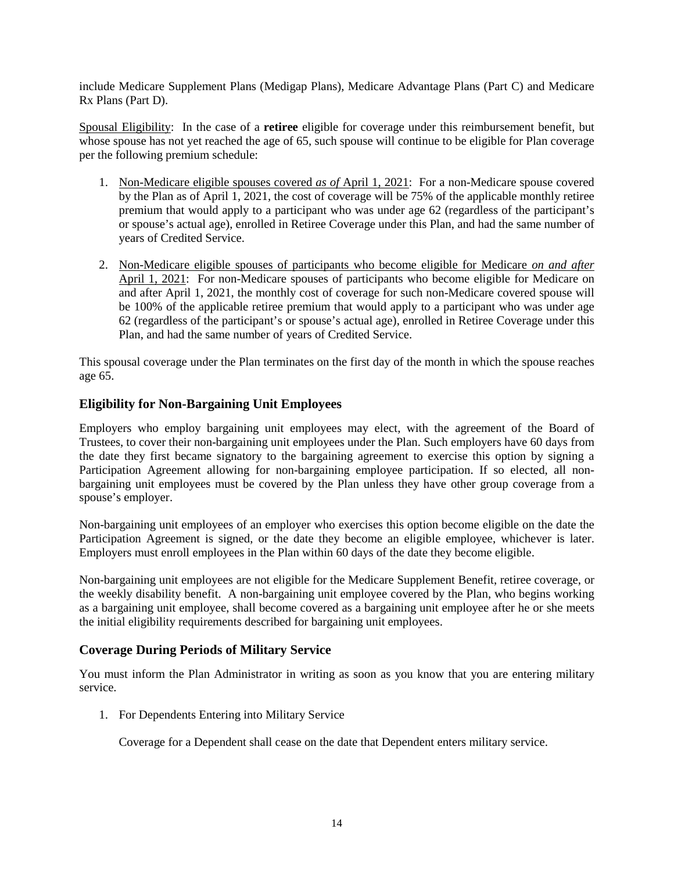include Medicare Supplement Plans (Medigap Plans), Medicare Advantage Plans (Part C) and Medicare Rx Plans (Part D).

Spousal Eligibility: In the case of a **retiree** eligible for coverage under this reimbursement benefit, but whose spouse has not yet reached the age of 65, such spouse will continue to be eligible for Plan coverage per the following premium schedule:

- 1. Non-Medicare eligible spouses covered *as of* April 1, 2021: For a non-Medicare spouse covered by the Plan as of April 1, 2021, the cost of coverage will be 75% of the applicable monthly retiree premium that would apply to a participant who was under age 62 (regardless of the participant's or spouse's actual age), enrolled in Retiree Coverage under this Plan, and had the same number of years of Credited Service.
- 2. Non-Medicare eligible spouses of participants who become eligible for Medicare *on and after* April 1, 2021: For non-Medicare spouses of participants who become eligible for Medicare on and after April 1, 2021, the monthly cost of coverage for such non-Medicare covered spouse will be 100% of the applicable retiree premium that would apply to a participant who was under age 62 (regardless of the participant's or spouse's actual age), enrolled in Retiree Coverage under this Plan, and had the same number of years of Credited Service.

This spousal coverage under the Plan terminates on the first day of the month in which the spouse reaches age 65.

# <span id="page-13-0"></span>**Eligibility for Non-Bargaining Unit Employees**

Employers who employ bargaining unit employees may elect, with the agreement of the Board of Trustees, to cover their non-bargaining unit employees under the Plan. Such employers have 60 days from the date they first became signatory to the bargaining agreement to exercise this option by signing a Participation Agreement allowing for non-bargaining employee participation. If so elected, all nonbargaining unit employees must be covered by the Plan unless they have other group coverage from a spouse's employer.

Non-bargaining unit employees of an employer who exercises this option become eligible on the date the Participation Agreement is signed, or the date they become an eligible employee, whichever is later. Employers must enroll employees in the Plan within 60 days of the date they become eligible.

Non-bargaining unit employees are not eligible for the Medicare Supplement Benefit, retiree coverage, or the weekly disability benefit. A non-bargaining unit employee covered by the Plan, who begins working as a bargaining unit employee, shall become covered as a bargaining unit employee after he or she meets the initial eligibility requirements described for bargaining unit employees.

### <span id="page-13-1"></span>**Coverage During Periods of Military Service**

You must inform the Plan Administrator in writing as soon as you know that you are entering military service.

1. For Dependents Entering into Military Service

Coverage for a Dependent shall cease on the date that Dependent enters military service.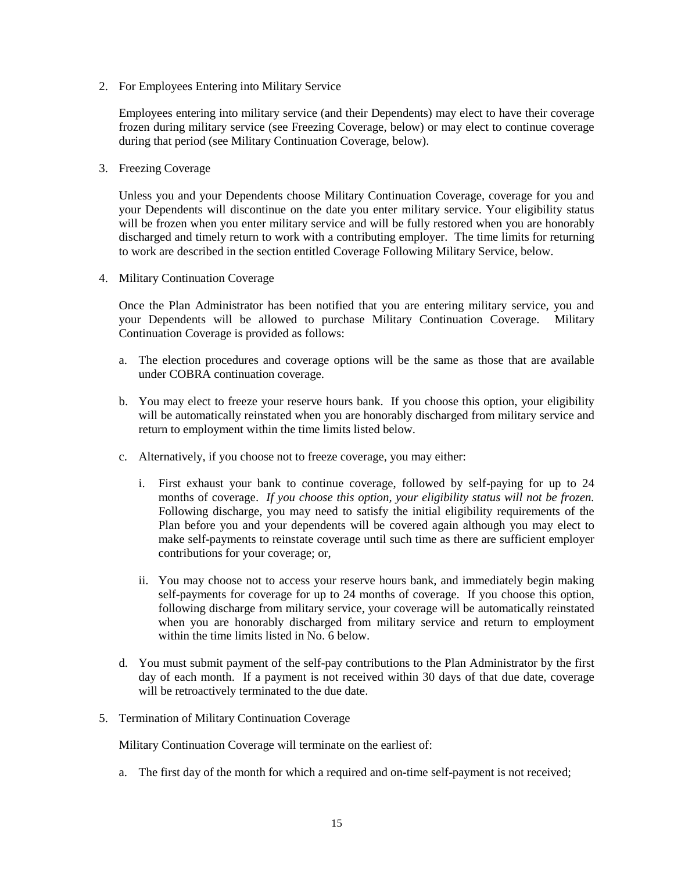2. For Employees Entering into Military Service

Employees entering into military service (and their Dependents) may elect to have their coverage frozen during military service (see Freezing Coverage, below) or may elect to continue coverage during that period (see Military Continuation Coverage, below).

3. Freezing Coverage

Unless you and your Dependents choose Military Continuation Coverage, coverage for you and your Dependents will discontinue on the date you enter military service. Your eligibility status will be frozen when you enter military service and will be fully restored when you are honorably discharged and timely return to work with a contributing employer. The time limits for returning to work are described in the section entitled Coverage Following Military Service, below.

4. Military Continuation Coverage

Once the Plan Administrator has been notified that you are entering military service, you and your Dependents will be allowed to purchase Military Continuation Coverage. Military Continuation Coverage is provided as follows:

- a. The election procedures and coverage options will be the same as those that are available under COBRA continuation coverage.
- b. You may elect to freeze your reserve hours bank. If you choose this option, your eligibility will be automatically reinstated when you are honorably discharged from military service and return to employment within the time limits listed below.
- c. Alternatively, if you choose not to freeze coverage, you may either:
	- i. First exhaust your bank to continue coverage, followed by self-paying for up to 24 months of coverage. *If you choose this option, your eligibility status will not be frozen.*  Following discharge, you may need to satisfy the initial eligibility requirements of the Plan before you and your dependents will be covered again although you may elect to make self-payments to reinstate coverage until such time as there are sufficient employer contributions for your coverage; or,
	- ii. You may choose not to access your reserve hours bank, and immediately begin making self-payments for coverage for up to 24 months of coverage. If you choose this option, following discharge from military service, your coverage will be automatically reinstated when you are honorably discharged from military service and return to employment within the time limits listed in No. 6 below.
- d. You must submit payment of the self-pay contributions to the Plan Administrator by the first day of each month. If a payment is not received within 30 days of that due date, coverage will be retroactively terminated to the due date.
- 5. Termination of Military Continuation Coverage

Military Continuation Coverage will terminate on the earliest of:

a. The first day of the month for which a required and on-time self-payment is not received;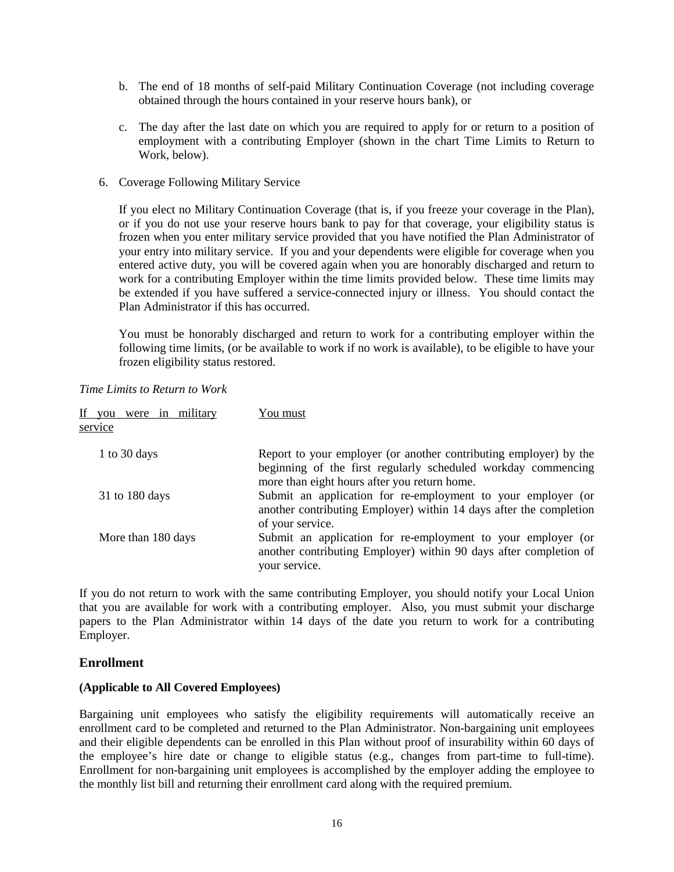- b. The end of 18 months of self-paid Military Continuation Coverage (not including coverage obtained through the hours contained in your reserve hours bank), or
- c. The day after the last date on which you are required to apply for or return to a position of employment with a contributing Employer (shown in the chart Time Limits to Return to Work, below).
- 6. Coverage Following Military Service

If you elect no Military Continuation Coverage (that is, if you freeze your coverage in the Plan), or if you do not use your reserve hours bank to pay for that coverage, your eligibility status is frozen when you enter military service provided that you have notified the Plan Administrator of your entry into military service. If you and your dependents were eligible for coverage when you entered active duty, you will be covered again when you are honorably discharged and return to work for a contributing Employer within the time limits provided below. These time limits may be extended if you have suffered a service-connected injury or illness. You should contact the Plan Administrator if this has occurred.

You must be honorably discharged and return to work for a contributing employer within the following time limits, (or be available to work if no work is available), to be eligible to have your frozen eligibility status restored.

| If you<br>were in military | You must                                                                                                                                                                           |
|----------------------------|------------------------------------------------------------------------------------------------------------------------------------------------------------------------------------|
| service                    |                                                                                                                                                                                    |
| 1 to 30 days               | Report to your employer (or another contributing employer) by the<br>beginning of the first regularly scheduled workday commencing<br>more than eight hours after you return home. |
| 31 to 180 days             | Submit an application for re-employment to your employer (or<br>another contributing Employer) within 14 days after the completion<br>of your service.                             |
| More than 180 days         | Submit an application for re-employment to your employer (or<br>another contributing Employer) within 90 days after completion of<br>your service.                                 |

*Time Limits to Return to Work*

If you do not return to work with the same contributing Employer, you should notify your Local Union that you are available for work with a contributing employer. Also, you must submit your discharge papers to the Plan Administrator within 14 days of the date you return to work for a contributing Employer.

# <span id="page-15-0"></span>**Enrollment**

### **(Applicable to All Covered Employees)**

Bargaining unit employees who satisfy the eligibility requirements will automatically receive an enrollment card to be completed and returned to the Plan Administrator. Non-bargaining unit employees and their eligible dependents can be enrolled in this Plan without proof of insurability within 60 days of the employee's hire date or change to eligible status (e.g., changes from part-time to full-time). Enrollment for non-bargaining unit employees is accomplished by the employer adding the employee to the monthly list bill and returning their enrollment card along with the required premium.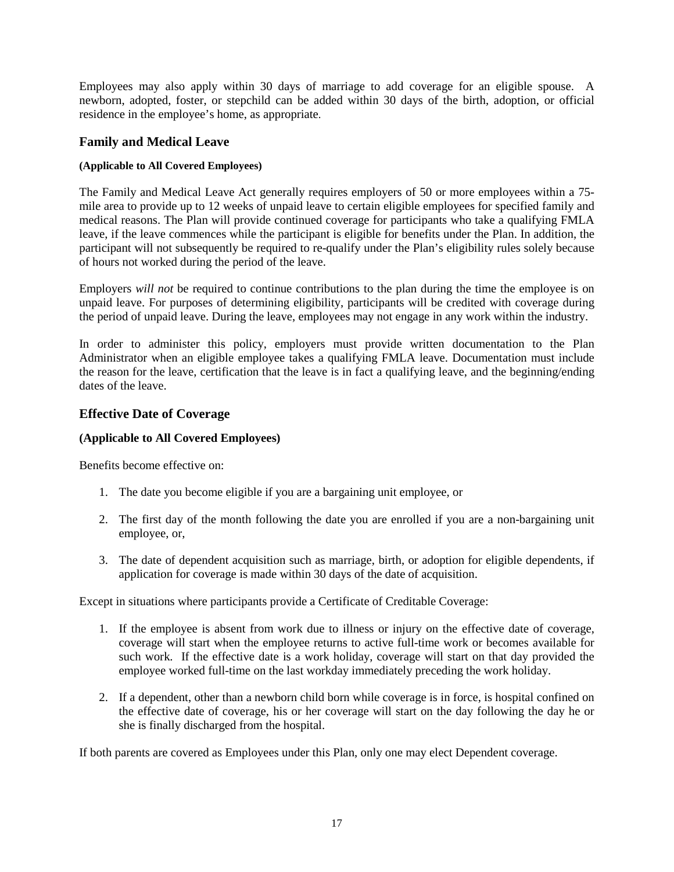Employees may also apply within 30 days of marriage to add coverage for an eligible spouse. A newborn, adopted, foster, or stepchild can be added within 30 days of the birth, adoption, or official residence in the employee's home, as appropriate.

# <span id="page-16-0"></span>**Family and Medical Leave**

## **(Applicable to All Covered Employees)**

The Family and Medical Leave Act generally requires employers of 50 or more employees within a 75 mile area to provide up to 12 weeks of unpaid leave to certain eligible employees for specified family and medical reasons. The Plan will provide continued coverage for participants who take a qualifying FMLA leave, if the leave commences while the participant is eligible for benefits under the Plan. In addition, the participant will not subsequently be required to re-qualify under the Plan's eligibility rules solely because of hours not worked during the period of the leave.

Employers *will not* be required to continue contributions to the plan during the time the employee is on unpaid leave. For purposes of determining eligibility, participants will be credited with coverage during the period of unpaid leave. During the leave, employees may not engage in any work within the industry.

In order to administer this policy, employers must provide written documentation to the Plan Administrator when an eligible employee takes a qualifying FMLA leave. Documentation must include the reason for the leave, certification that the leave is in fact a qualifying leave, and the beginning/ending dates of the leave.

# <span id="page-16-1"></span>**Effective Date of Coverage**

## **(Applicable to All Covered Employees)**

Benefits become effective on:

- 1. The date you become eligible if you are a bargaining unit employee, or
- 2. The first day of the month following the date you are enrolled if you are a non-bargaining unit employee, or,
- 3. The date of dependent acquisition such as marriage, birth, or adoption for eligible dependents, if application for coverage is made within 30 days of the date of acquisition.

Except in situations where participants provide a Certificate of Creditable Coverage:

- 1. If the employee is absent from work due to illness or injury on the effective date of coverage, coverage will start when the employee returns to active full-time work or becomes available for such work. If the effective date is a work holiday, coverage will start on that day provided the employee worked full-time on the last workday immediately preceding the work holiday.
- 2. If a dependent, other than a newborn child born while coverage is in force, is hospital confined on the effective date of coverage, his or her coverage will start on the day following the day he or she is finally discharged from the hospital.

If both parents are covered as Employees under this Plan, only one may elect Dependent coverage.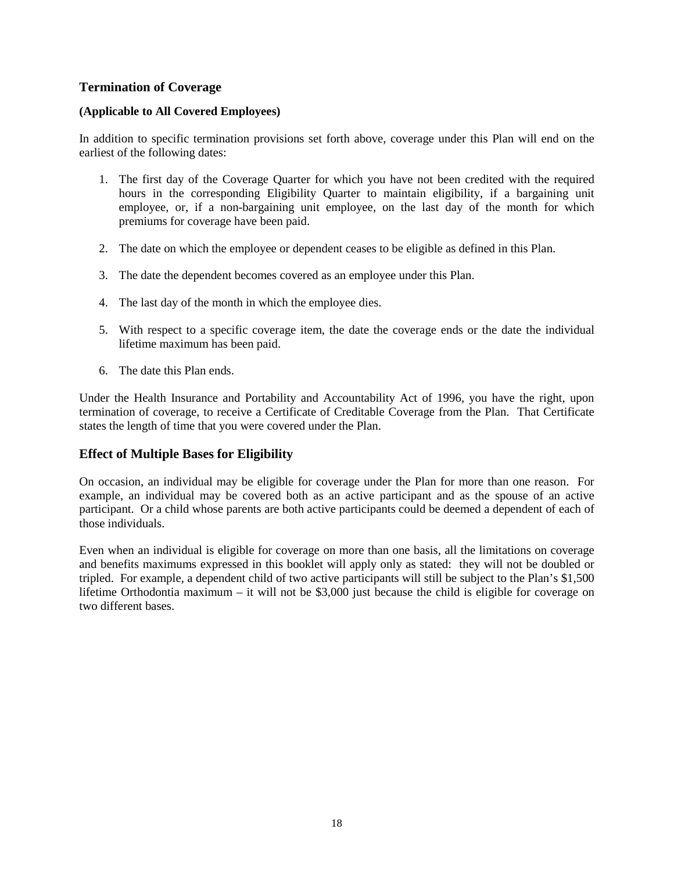# <span id="page-17-0"></span>**Termination of Coverage**

## **(Applicable to All Covered Employees)**

In addition to specific termination provisions set forth above, coverage under this Plan will end on the earliest of the following dates:

- 1. The first day of the Coverage Quarter for which you have not been credited with the required hours in the corresponding Eligibility Quarter to maintain eligibility, if a bargaining unit employee, or, if a non-bargaining unit employee, on the last day of the month for which premiums for coverage have been paid.
- 2. The date on which the employee or dependent ceases to be eligible as defined in this Plan.
- 3. The date the dependent becomes covered as an employee under this Plan.
- 4. The last day of the month in which the employee dies.
- 5. With respect to a specific coverage item, the date the coverage ends or the date the individual lifetime maximum has been paid.
- 6. The date this Plan ends.

Under the Health Insurance and Portability and Accountability Act of 1996, you have the right, upon termination of coverage, to receive a Certificate of Creditable Coverage from the Plan. That Certificate states the length of time that you were covered under the Plan.

# **Effect of Multiple Bases for Eligibility**

On occasion, an individual may be eligible for coverage under the Plan for more than one reason. For example, an individual may be covered both as an active participant and as the spouse of an active participant. Or a child whose parents are both active participants could be deemed a dependent of each of those individuals.

Even when an individual is eligible for coverage on more than one basis, all the limitations on coverage and benefits maximums expressed in this booklet will apply only as stated: they will not be doubled or tripled. For example, a dependent child of two active participants will still be subject to the Plan's \$1,500 lifetime Orthodontia maximum – it will not be \$3,000 just because the child is eligible for coverage on two different bases.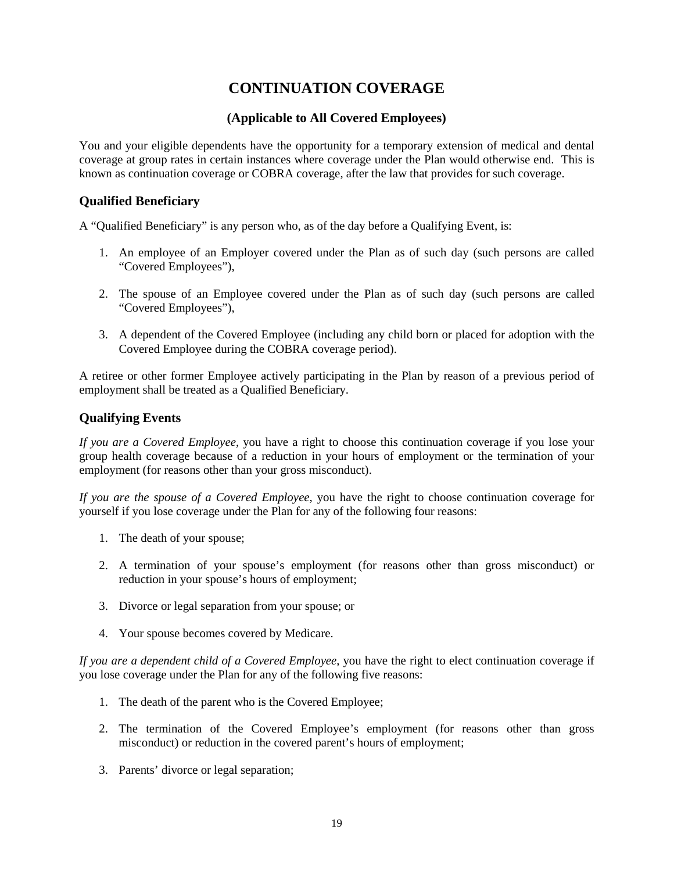# **CONTINUATION COVERAGE**

# **(Applicable to All Covered Employees)**

<span id="page-18-0"></span>You and your eligible dependents have the opportunity for a temporary extension of medical and dental coverage at group rates in certain instances where coverage under the Plan would otherwise end. This is known as continuation coverage or COBRA coverage, after the law that provides for such coverage.

# <span id="page-18-1"></span>**Qualified Beneficiary**

A "Qualified Beneficiary" is any person who, as of the day before a Qualifying Event, is:

- 1. An employee of an Employer covered under the Plan as of such day (such persons are called "Covered Employees"),
- 2. The spouse of an Employee covered under the Plan as of such day (such persons are called "Covered Employees"),
- 3. A dependent of the Covered Employee (including any child born or placed for adoption with the Covered Employee during the COBRA coverage period).

A retiree or other former Employee actively participating in the Plan by reason of a previous period of employment shall be treated as a Qualified Beneficiary.

# <span id="page-18-2"></span>**Qualifying Events**

*If you are a Covered Employee*, you have a right to choose this continuation coverage if you lose your group health coverage because of a reduction in your hours of employment or the termination of your employment (for reasons other than your gross misconduct).

*If you are the spouse of a Covered Employee*, you have the right to choose continuation coverage for yourself if you lose coverage under the Plan for any of the following four reasons:

- 1. The death of your spouse;
- 2. A termination of your spouse's employment (for reasons other than gross misconduct) or reduction in your spouse's hours of employment;
- 3. Divorce or legal separation from your spouse; or
- 4. Your spouse becomes covered by Medicare.

*If you are a dependent child of a Covered Employee*, you have the right to elect continuation coverage if you lose coverage under the Plan for any of the following five reasons:

- 1. The death of the parent who is the Covered Employee;
- 2. The termination of the Covered Employee's employment (for reasons other than gross misconduct) or reduction in the covered parent's hours of employment;
- 3. Parents' divorce or legal separation;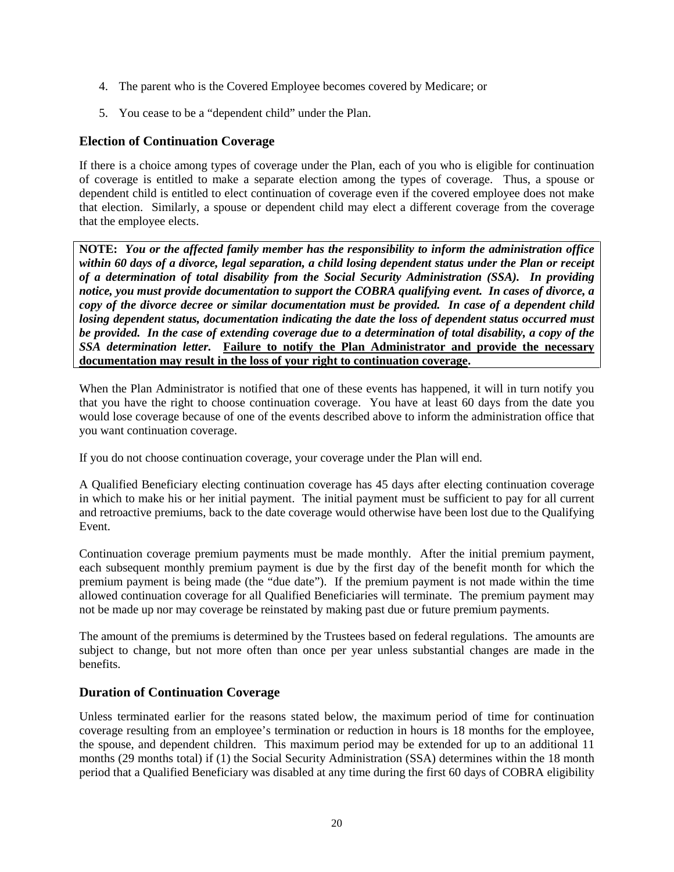- 4. The parent who is the Covered Employee becomes covered by Medicare; or
- 5. You cease to be a "dependent child" under the Plan.

# <span id="page-19-0"></span>**Election of Continuation Coverage**

If there is a choice among types of coverage under the Plan, each of you who is eligible for continuation of coverage is entitled to make a separate election among the types of coverage. Thus, a spouse or dependent child is entitled to elect continuation of coverage even if the covered employee does not make that election. Similarly, a spouse or dependent child may elect a different coverage from the coverage that the employee elects.

**NOTE:** *You or the affected family member has the responsibility to inform the administration office within 60 days of a divorce, legal separation, a child losing dependent status under the Plan or receipt of a determination of total disability from the Social Security Administration (SSA). In providing notice, you must provide documentation to support the COBRA qualifying event. In cases of divorce, a copy of the divorce decree or similar documentation must be provided. In case of a dependent child losing dependent status, documentation indicating the date the loss of dependent status occurred must be provided. In the case of extending coverage due to a determination of total disability, a copy of the SSA determination letter.* **Failure to notify the Plan Administrator and provide the necessary documentation may result in the loss of your right to continuation coverage.**

When the Plan Administrator is notified that one of these events has happened, it will in turn notify you that you have the right to choose continuation coverage. You have at least 60 days from the date you would lose coverage because of one of the events described above to inform the administration office that you want continuation coverage.

If you do not choose continuation coverage, your coverage under the Plan will end.

A Qualified Beneficiary electing continuation coverage has 45 days after electing continuation coverage in which to make his or her initial payment. The initial payment must be sufficient to pay for all current and retroactive premiums, back to the date coverage would otherwise have been lost due to the Qualifying Event.

Continuation coverage premium payments must be made monthly. After the initial premium payment, each subsequent monthly premium payment is due by the first day of the benefit month for which the premium payment is being made (the "due date"). If the premium payment is not made within the time allowed continuation coverage for all Qualified Beneficiaries will terminate. The premium payment may not be made up nor may coverage be reinstated by making past due or future premium payments.

The amount of the premiums is determined by the Trustees based on federal regulations. The amounts are subject to change, but not more often than once per year unless substantial changes are made in the benefits.

# <span id="page-19-1"></span>**Duration of Continuation Coverage**

Unless terminated earlier for the reasons stated below, the maximum period of time for continuation coverage resulting from an employee's termination or reduction in hours is 18 months for the employee, the spouse, and dependent children. This maximum period may be extended for up to an additional 11 months (29 months total) if (1) the Social Security Administration (SSA) determines within the 18 month period that a Qualified Beneficiary was disabled at any time during the first 60 days of COBRA eligibility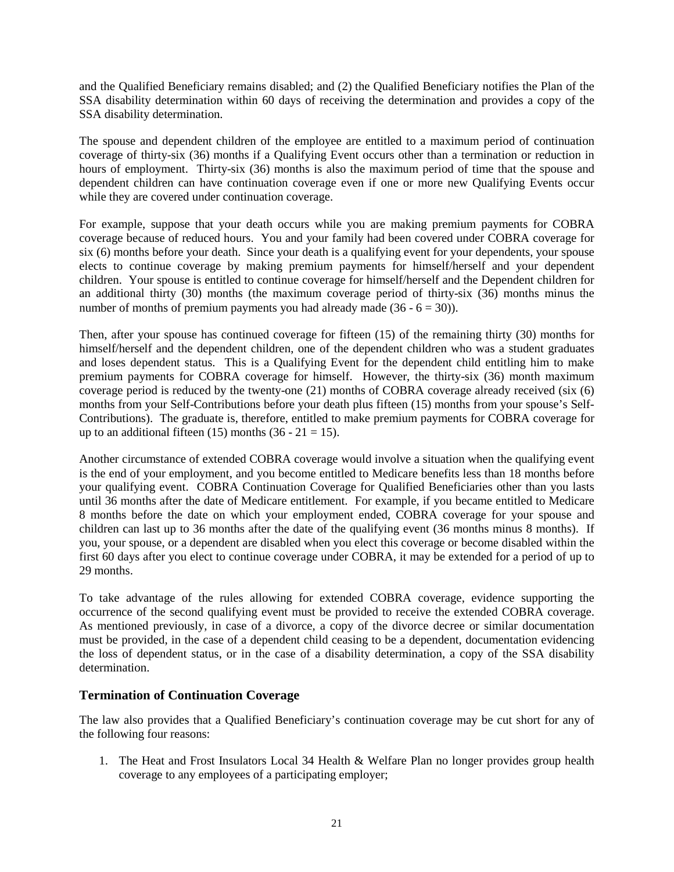and the Qualified Beneficiary remains disabled; and (2) the Qualified Beneficiary notifies the Plan of the SSA disability determination within 60 days of receiving the determination and provides a copy of the SSA disability determination.

The spouse and dependent children of the employee are entitled to a maximum period of continuation coverage of thirty-six (36) months if a Qualifying Event occurs other than a termination or reduction in hours of employment. Thirty-six (36) months is also the maximum period of time that the spouse and dependent children can have continuation coverage even if one or more new Qualifying Events occur while they are covered under continuation coverage.

For example, suppose that your death occurs while you are making premium payments for COBRA coverage because of reduced hours. You and your family had been covered under COBRA coverage for six (6) months before your death. Since your death is a qualifying event for your dependents, your spouse elects to continue coverage by making premium payments for himself/herself and your dependent children. Your spouse is entitled to continue coverage for himself/herself and the Dependent children for an additional thirty (30) months (the maximum coverage period of thirty-six (36) months minus the number of months of premium payments you had already made  $(36 - 6 = 30)$ ).

Then, after your spouse has continued coverage for fifteen (15) of the remaining thirty (30) months for himself/herself and the dependent children, one of the dependent children who was a student graduates and loses dependent status. This is a Qualifying Event for the dependent child entitling him to make premium payments for COBRA coverage for himself. However, the thirty-six (36) month maximum coverage period is reduced by the twenty-one (21) months of COBRA coverage already received (six (6) months from your Self-Contributions before your death plus fifteen (15) months from your spouse's Self-Contributions). The graduate is, therefore, entitled to make premium payments for COBRA coverage for up to an additional fifteen (15) months (36 - 21 = 15).

Another circumstance of extended COBRA coverage would involve a situation when the qualifying event is the end of your employment, and you become entitled to Medicare benefits less than 18 months before your qualifying event. COBRA Continuation Coverage for Qualified Beneficiaries other than you lasts until 36 months after the date of Medicare entitlement. For example, if you became entitled to Medicare 8 months before the date on which your employment ended, COBRA coverage for your spouse and children can last up to 36 months after the date of the qualifying event (36 months minus 8 months). If you, your spouse, or a dependent are disabled when you elect this coverage or become disabled within the first 60 days after you elect to continue coverage under COBRA, it may be extended for a period of up to 29 months.

To take advantage of the rules allowing for extended COBRA coverage, evidence supporting the occurrence of the second qualifying event must be provided to receive the extended COBRA coverage. As mentioned previously, in case of a divorce, a copy of the divorce decree or similar documentation must be provided, in the case of a dependent child ceasing to be a dependent, documentation evidencing the loss of dependent status, or in the case of a disability determination, a copy of the SSA disability determination.

# <span id="page-20-0"></span>**Termination of Continuation Coverage**

The law also provides that a Qualified Beneficiary's continuation coverage may be cut short for any of the following four reasons:

1. The Heat and Frost Insulators Local 34 Health & Welfare Plan no longer provides group health coverage to any employees of a participating employer;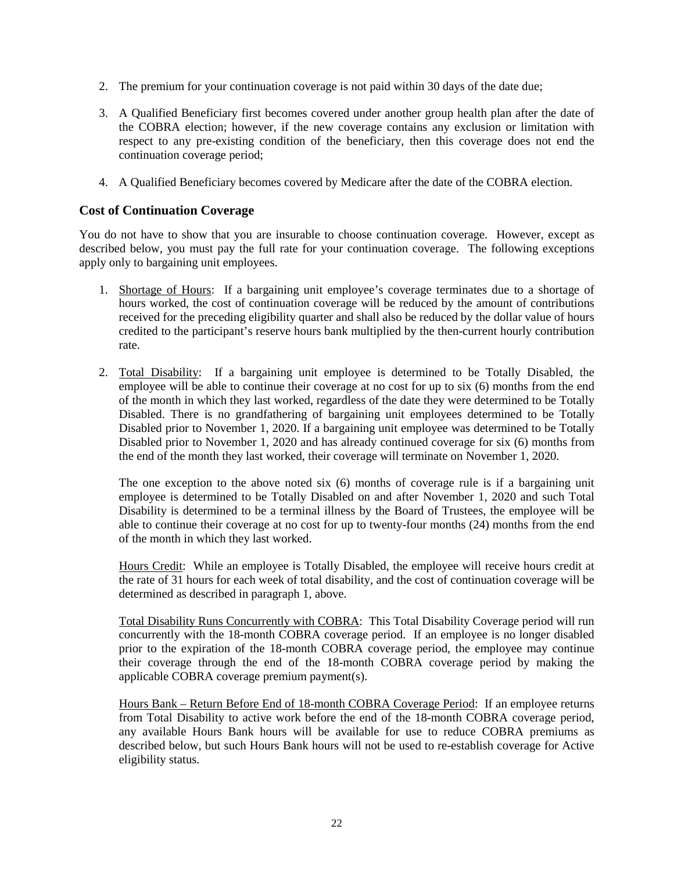- 2. The premium for your continuation coverage is not paid within 30 days of the date due;
- 3. A Qualified Beneficiary first becomes covered under another group health plan after the date of the COBRA election; however, if the new coverage contains any exclusion or limitation with respect to any pre-existing condition of the beneficiary, then this coverage does not end the continuation coverage period;
- 4. A Qualified Beneficiary becomes covered by Medicare after the date of the COBRA election.

# <span id="page-21-0"></span>**Cost of Continuation Coverage**

You do not have to show that you are insurable to choose continuation coverage. However, except as described below, you must pay the full rate for your continuation coverage. The following exceptions apply only to bargaining unit employees.

- 1. Shortage of Hours: If a bargaining unit employee's coverage terminates due to a shortage of hours worked, the cost of continuation coverage will be reduced by the amount of contributions received for the preceding eligibility quarter and shall also be reduced by the dollar value of hours credited to the participant's reserve hours bank multiplied by the then-current hourly contribution rate.
- 2. Total Disability: If a bargaining unit employee is determined to be Totally Disabled, the employee will be able to continue their coverage at no cost for up to six (6) months from the end of the month in which they last worked, regardless of the date they were determined to be Totally Disabled. There is no grandfathering of bargaining unit employees determined to be Totally Disabled prior to November 1, 2020. If a bargaining unit employee was determined to be Totally Disabled prior to November 1, 2020 and has already continued coverage for six (6) months from the end of the month they last worked, their coverage will terminate on November 1, 2020.

The one exception to the above noted six (6) months of coverage rule is if a bargaining unit employee is determined to be Totally Disabled on and after November 1, 2020 and such Total Disability is determined to be a terminal illness by the Board of Trustees, the employee will be able to continue their coverage at no cost for up to twenty-four months (24) months from the end of the month in which they last worked.

Hours Credit: While an employee is Totally Disabled, the employee will receive hours credit at the rate of 31 hours for each week of total disability, and the cost of continuation coverage will be determined as described in paragraph 1, above.

Total Disability Runs Concurrently with COBRA: This Total Disability Coverage period will run concurrently with the 18-month COBRA coverage period. If an employee is no longer disabled prior to the expiration of the 18-month COBRA coverage period, the employee may continue their coverage through the end of the 18-month COBRA coverage period by making the applicable COBRA coverage premium payment(s).

Hours Bank – Return Before End of 18-month COBRA Coverage Period: If an employee returns from Total Disability to active work before the end of the 18-month COBRA coverage period, any available Hours Bank hours will be available for use to reduce COBRA premiums as described below, but such Hours Bank hours will not be used to re-establish coverage for Active eligibility status.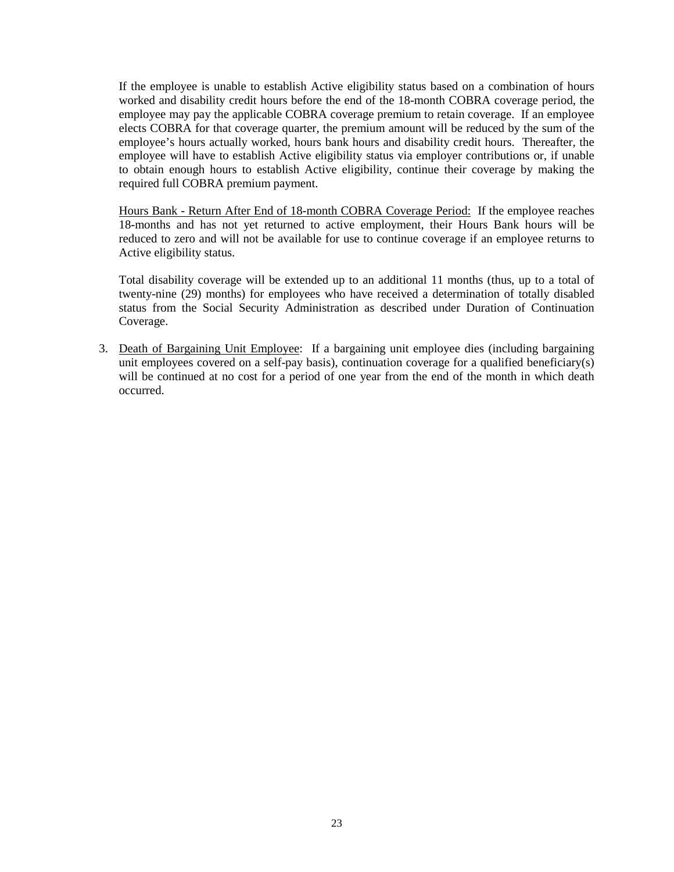If the employee is unable to establish Active eligibility status based on a combination of hours worked and disability credit hours before the end of the 18-month COBRA coverage period, the employee may pay the applicable COBRA coverage premium to retain coverage. If an employee elects COBRA for that coverage quarter, the premium amount will be reduced by the sum of the employee's hours actually worked, hours bank hours and disability credit hours. Thereafter, the employee will have to establish Active eligibility status via employer contributions or, if unable to obtain enough hours to establish Active eligibility, continue their coverage by making the required full COBRA premium payment.

Hours Bank - Return After End of 18-month COBRA Coverage Period: If the employee reaches 18-months and has not yet returned to active employment, their Hours Bank hours will be reduced to zero and will not be available for use to continue coverage if an employee returns to Active eligibility status.

Total disability coverage will be extended up to an additional 11 months (thus, up to a total of twenty-nine (29) months) for employees who have received a determination of totally disabled status from the Social Security Administration as described under Duration of Continuation Coverage.

3. Death of Bargaining Unit Employee: If a bargaining unit employee dies (including bargaining unit employees covered on a self-pay basis), continuation coverage for a qualified beneficiary(s) will be continued at no cost for a period of one year from the end of the month in which death occurred.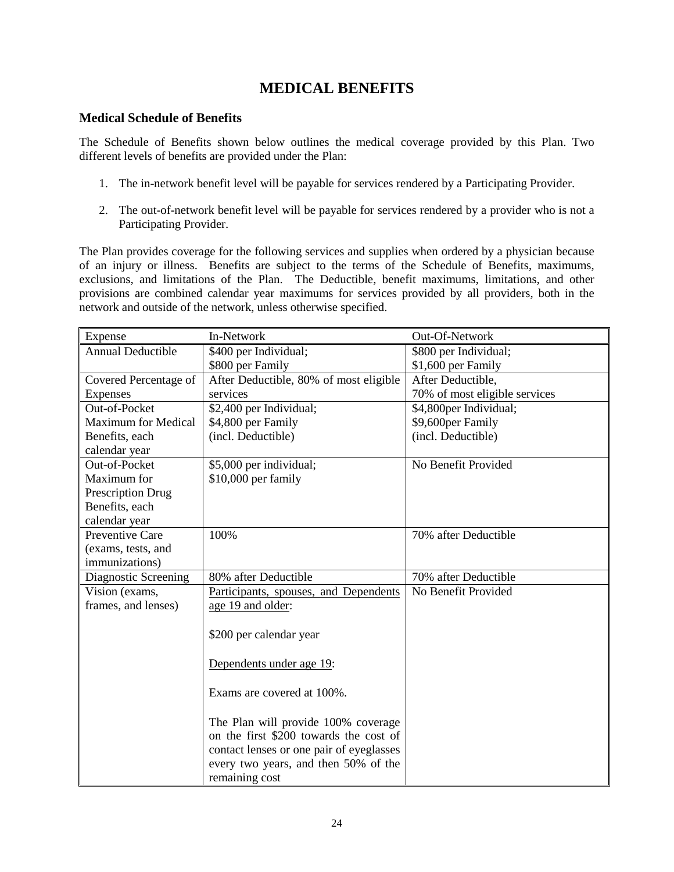# **MEDICAL BENEFITS**

# <span id="page-23-1"></span><span id="page-23-0"></span>**Medical Schedule of Benefits**

The Schedule of Benefits shown below outlines the medical coverage provided by this Plan. Two different levels of benefits are provided under the Plan:

- 1. The in-network benefit level will be payable for services rendered by a Participating Provider.
- 2. The out-of-network benefit level will be payable for services rendered by a provider who is not a Participating Provider.

The Plan provides coverage for the following services and supplies when ordered by a physician because of an injury or illness. Benefits are subject to the terms of the Schedule of Benefits, maximums, exclusions, and limitations of the Plan. The Deductible, benefit maximums, limitations, and other provisions are combined calendar year maximums for services provided by all providers, both in the network and outside of the network, unless otherwise specified.

| Expense                    | In-Network                               | Out-Of-Network                |
|----------------------------|------------------------------------------|-------------------------------|
| <b>Annual Deductible</b>   | \$400 per Individual;                    | \$800 per Individual;         |
|                            | \$800 per Family                         | \$1,600 per Family            |
| Covered Percentage of      | After Deductible, 80% of most eligible   | After Deductible,             |
| <b>Expenses</b>            | services                                 | 70% of most eligible services |
| Out-of-Pocket              | \$2,400 per Individual;                  | \$4,800per Individual;        |
| <b>Maximum for Medical</b> | \$4,800 per Family                       | \$9,600per Family             |
| Benefits, each             | (incl. Deductible)                       | (incl. Deductible)            |
| calendar year              |                                          |                               |
| Out-of-Pocket              | \$5,000 per individual;                  | No Benefit Provided           |
| Maximum for                | \$10,000 per family                      |                               |
| Prescription Drug          |                                          |                               |
| Benefits, each             |                                          |                               |
| calendar year              |                                          |                               |
| Preventive Care            | 100%                                     | 70% after Deductible          |
| (exams, tests, and         |                                          |                               |
| <i>immunizations</i> )     |                                          |                               |
| Diagnostic Screening       | 80% after Deductible                     | 70% after Deductible          |
| Vision (exams,             | Participants, spouses, and Dependents    | No Benefit Provided           |
| frames, and lenses)        | age 19 and older:                        |                               |
|                            | \$200 per calendar year                  |                               |
|                            | Dependents under age 19:                 |                               |
|                            | Exams are covered at 100%.               |                               |
|                            | The Plan will provide 100% coverage      |                               |
|                            | on the first \$200 towards the cost of   |                               |
|                            | contact lenses or one pair of eyeglasses |                               |
|                            | every two years, and then 50% of the     |                               |
|                            | remaining cost                           |                               |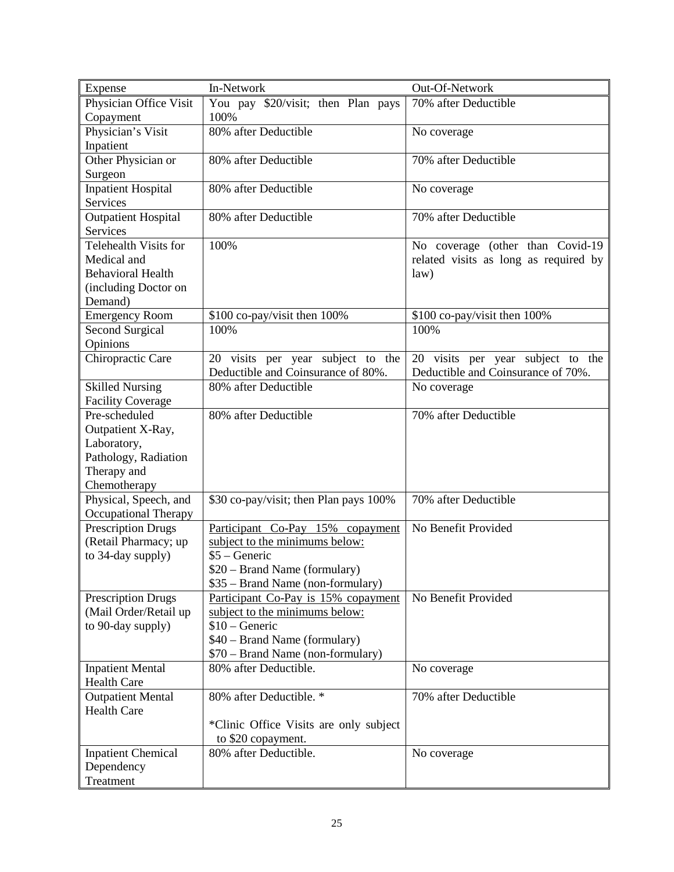| Expense                      | In-Network                             | Out-Of-Network                        |
|------------------------------|----------------------------------------|---------------------------------------|
| Physician Office Visit       | You pay \$20/visit; then Plan pays     | 70% after Deductible                  |
| Copayment                    | 100%                                   |                                       |
| Physician's Visit            | 80% after Deductible                   | No coverage                           |
| Inpatient                    |                                        |                                       |
| Other Physician or           | 80% after Deductible                   | 70% after Deductible                  |
| Surgeon                      |                                        |                                       |
| <b>Inpatient Hospital</b>    | 80% after Deductible                   | No coverage                           |
| Services                     |                                        |                                       |
| Outpatient Hospital          | 80% after Deductible                   | 70% after Deductible                  |
| <b>Services</b>              |                                        |                                       |
| <b>Telehealth Visits for</b> | 100%                                   | No coverage (other than Covid-19      |
| Medical and                  |                                        | related visits as long as required by |
| <b>Behavioral Health</b>     |                                        | law)                                  |
| (including Doctor on         |                                        |                                       |
| Demand)                      |                                        |                                       |
| <b>Emergency Room</b>        | \$100 co-pay/visit then 100%           | \$100 co-pay/visit then 100%          |
| Second Surgical              | 100%                                   | 100%                                  |
| Opinions                     |                                        |                                       |
| Chiropractic Care            | 20 visits per year subject to the      | 20 visits per year subject to the     |
|                              | Deductible and Coinsurance of 80%.     | Deductible and Coinsurance of 70%.    |
| <b>Skilled Nursing</b>       | 80% after Deductible                   | No coverage                           |
| <b>Facility Coverage</b>     |                                        |                                       |
| Pre-scheduled                | 80% after Deductible                   | 70% after Deductible                  |
| Outpatient X-Ray,            |                                        |                                       |
| Laboratory,                  |                                        |                                       |
| Pathology, Radiation         |                                        |                                       |
| Therapy and                  |                                        |                                       |
| Chemotherapy                 |                                        |                                       |
| Physical, Speech, and        | \$30 co-pay/visit; then Plan pays 100% | 70% after Deductible                  |
| <b>Occupational Therapy</b>  |                                        |                                       |
| <b>Prescription Drugs</b>    | Participant Co-Pay 15% copayment       | No Benefit Provided                   |
| (Retail Pharmacy; up         | subject to the minimums below:         |                                       |
| to 34-day supply)            | $$5 - Generic$                         |                                       |
|                              | \$20 – Brand Name (formulary)          |                                       |
|                              | \$35 – Brand Name (non-formulary)      |                                       |
| <b>Prescription Drugs</b>    | Participant Co-Pay is 15% copayment    | No Benefit Provided                   |
| (Mail Order/Retail up        | subject to the minimums below:         |                                       |
| to 90-day supply)            | $$10 - Generic$                        |                                       |
|                              | \$40 - Brand Name (formulary)          |                                       |
|                              | \$70 – Brand Name (non-formulary)      |                                       |
| <b>Inpatient Mental</b>      | 80% after Deductible.                  | No coverage                           |
| <b>Health Care</b>           |                                        |                                       |
| <b>Outpatient Mental</b>     | 80% after Deductible. *                | 70% after Deductible                  |
| <b>Health Care</b>           |                                        |                                       |
|                              | *Clinic Office Visits are only subject |                                       |
|                              | to \$20 copayment.                     |                                       |
| <b>Inpatient Chemical</b>    | 80% after Deductible.                  | No coverage                           |
| Dependency                   |                                        |                                       |
| Treatment                    |                                        |                                       |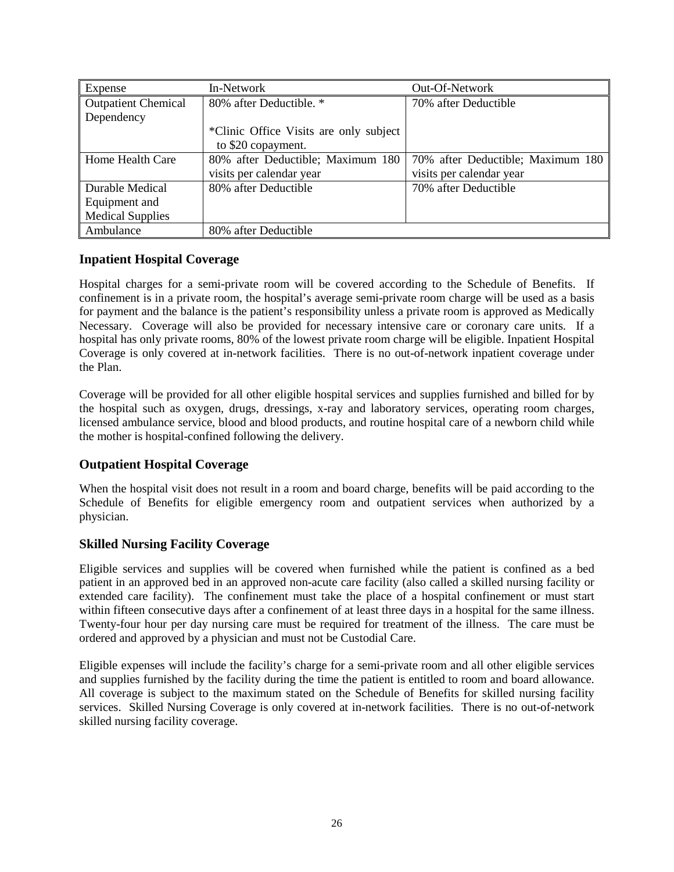| Expense                    | In-Network                             | Out-Of-Network                    |
|----------------------------|----------------------------------------|-----------------------------------|
| <b>Outpatient Chemical</b> | 80% after Deductible. *                | 70% after Deductible              |
| Dependency                 |                                        |                                   |
|                            | *Clinic Office Visits are only subject |                                   |
|                            | to \$20 copayment.                     |                                   |
| Home Health Care           | 80% after Deductible; Maximum 180      | 70% after Deductible; Maximum 180 |
|                            | visits per calendar year               | visits per calendar year          |
| Durable Medical            | 80% after Deductible                   | 70% after Deductible              |
| Equipment and              |                                        |                                   |
| <b>Medical Supplies</b>    |                                        |                                   |
| Ambulance                  | 80% after Deductible                   |                                   |

# <span id="page-25-0"></span>**Inpatient Hospital Coverage**

Hospital charges for a semi-private room will be covered according to the Schedule of Benefits. If confinement is in a private room, the hospital's average semi-private room charge will be used as a basis for payment and the balance is the patient's responsibility unless a private room is approved as Medically Necessary. Coverage will also be provided for necessary intensive care or coronary care units. If a hospital has only private rooms, 80% of the lowest private room charge will be eligible. Inpatient Hospital Coverage is only covered at in-network facilities. There is no out-of-network inpatient coverage under the Plan.

Coverage will be provided for all other eligible hospital services and supplies furnished and billed for by the hospital such as oxygen, drugs, dressings, x-ray and laboratory services, operating room charges, licensed ambulance service, blood and blood products, and routine hospital care of a newborn child while the mother is hospital-confined following the delivery.

# <span id="page-25-1"></span>**Outpatient Hospital Coverage**

When the hospital visit does not result in a room and board charge, benefits will be paid according to the Schedule of Benefits for eligible emergency room and outpatient services when authorized by a physician.

# <span id="page-25-2"></span>**Skilled Nursing Facility Coverage**

Eligible services and supplies will be covered when furnished while the patient is confined as a bed patient in an approved bed in an approved non-acute care facility (also called a skilled nursing facility or extended care facility). The confinement must take the place of a hospital confinement or must start within fifteen consecutive days after a confinement of at least three days in a hospital for the same illness. Twenty-four hour per day nursing care must be required for treatment of the illness. The care must be ordered and approved by a physician and must not be Custodial Care.

Eligible expenses will include the facility's charge for a semi-private room and all other eligible services and supplies furnished by the facility during the time the patient is entitled to room and board allowance. All coverage is subject to the maximum stated on the Schedule of Benefits for skilled nursing facility services. Skilled Nursing Coverage is only covered at in-network facilities. There is no out-of-network skilled nursing facility coverage.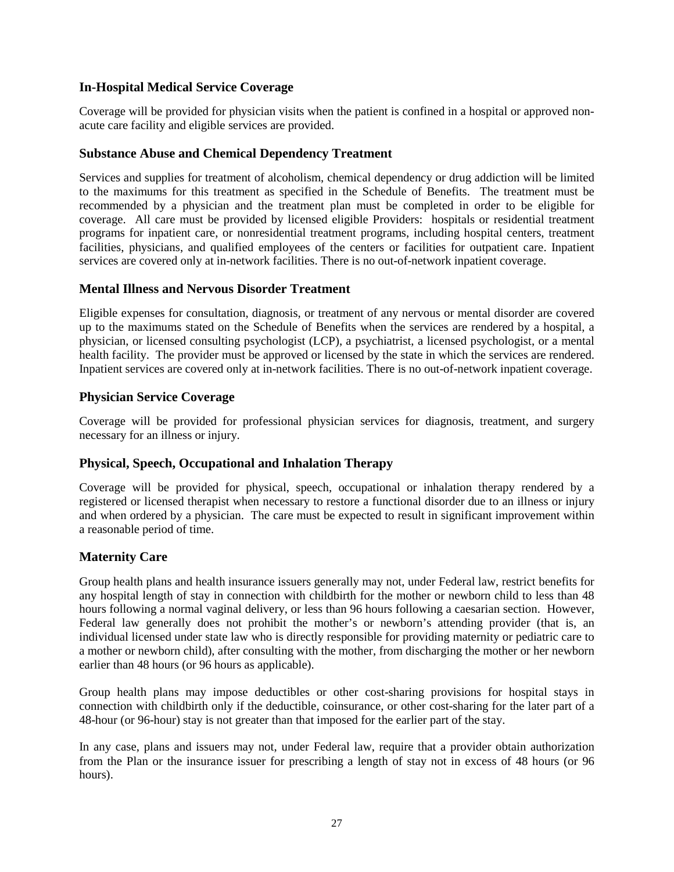# <span id="page-26-0"></span>**In-Hospital Medical Service Coverage**

Coverage will be provided for physician visits when the patient is confined in a hospital or approved nonacute care facility and eligible services are provided.

## <span id="page-26-1"></span>**Substance Abuse and Chemical Dependency Treatment**

Services and supplies for treatment of alcoholism, chemical dependency or drug addiction will be limited to the maximums for this treatment as specified in the Schedule of Benefits. The treatment must be recommended by a physician and the treatment plan must be completed in order to be eligible for coverage. All care must be provided by licensed eligible Providers: hospitals or residential treatment programs for inpatient care, or nonresidential treatment programs, including hospital centers, treatment facilities, physicians, and qualified employees of the centers or facilities for outpatient care. Inpatient services are covered only at in-network facilities. There is no out-of-network inpatient coverage.

## <span id="page-26-2"></span>**Mental Illness and Nervous Disorder Treatment**

Eligible expenses for consultation, diagnosis, or treatment of any nervous or mental disorder are covered up to the maximums stated on the Schedule of Benefits when the services are rendered by a hospital, a physician, or licensed consulting psychologist (LCP), a psychiatrist, a licensed psychologist, or a mental health facility. The provider must be approved or licensed by the state in which the services are rendered. Inpatient services are covered only at in-network facilities. There is no out-of-network inpatient coverage.

## <span id="page-26-3"></span>**Physician Service Coverage**

Coverage will be provided for professional physician services for diagnosis, treatment, and surgery necessary for an illness or injury.

# <span id="page-26-4"></span>**Physical, Speech, Occupational and Inhalation Therapy**

Coverage will be provided for physical, speech, occupational or inhalation therapy rendered by a registered or licensed therapist when necessary to restore a functional disorder due to an illness or injury and when ordered by a physician. The care must be expected to result in significant improvement within a reasonable period of time.

# <span id="page-26-5"></span>**Maternity Care**

Group health plans and health insurance issuers generally may not, under Federal law, restrict benefits for any hospital length of stay in connection with childbirth for the mother or newborn child to less than 48 hours following a normal vaginal delivery, or less than 96 hours following a caesarian section. However, Federal law generally does not prohibit the mother's or newborn's attending provider (that is, an individual licensed under state law who is directly responsible for providing maternity or pediatric care to a mother or newborn child), after consulting with the mother, from discharging the mother or her newborn earlier than 48 hours (or 96 hours as applicable).

Group health plans may impose deductibles or other cost-sharing provisions for hospital stays in connection with childbirth only if the deductible, coinsurance, or other cost-sharing for the later part of a 48-hour (or 96-hour) stay is not greater than that imposed for the earlier part of the stay.

In any case, plans and issuers may not, under Federal law, require that a provider obtain authorization from the Plan or the insurance issuer for prescribing a length of stay not in excess of 48 hours (or 96 hours).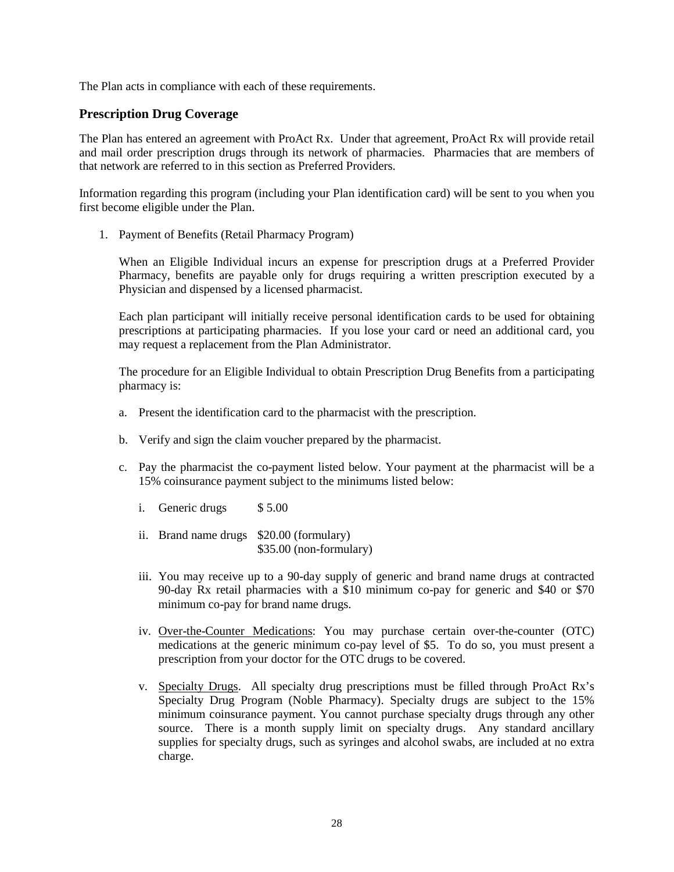The Plan acts in compliance with each of these requirements.

## <span id="page-27-0"></span>**Prescription Drug Coverage**

The Plan has entered an agreement with ProAct Rx. Under that agreement, ProAct Rx will provide retail and mail order prescription drugs through its network of pharmacies. Pharmacies that are members of that network are referred to in this section as Preferred Providers.

Information regarding this program (including your Plan identification card) will be sent to you when you first become eligible under the Plan.

1. Payment of Benefits (Retail Pharmacy Program)

When an Eligible Individual incurs an expense for prescription drugs at a Preferred Provider Pharmacy, benefits are payable only for drugs requiring a written prescription executed by a Physician and dispensed by a licensed pharmacist.

Each plan participant will initially receive personal identification cards to be used for obtaining prescriptions at participating pharmacies. If you lose your card or need an additional card, you may request a replacement from the Plan Administrator.

The procedure for an Eligible Individual to obtain Prescription Drug Benefits from a participating pharmacy is:

- a. Present the identification card to the pharmacist with the prescription.
- b. Verify and sign the claim voucher prepared by the pharmacist.
- c. Pay the pharmacist the co-payment listed below. Your payment at the pharmacist will be a 15% coinsurance payment subject to the minimums listed below:
	- i. Generic drugs \$5.00
	- ii. Brand name drugs \$20.00 (formulary) \$35.00 (non-formulary)
	- iii. You may receive up to a 90-day supply of generic and brand name drugs at contracted 90-day Rx retail pharmacies with a \$10 minimum co-pay for generic and \$40 or \$70 minimum co-pay for brand name drugs.
	- iv. Over-the-Counter Medications: You may purchase certain over-the-counter (OTC) medications at the generic minimum co-pay level of \$5. To do so, you must present a prescription from your doctor for the OTC drugs to be covered.
	- v. Specialty Drugs. All specialty drug prescriptions must be filled through ProAct Rx's Specialty Drug Program (Noble Pharmacy). Specialty drugs are subject to the 15% minimum coinsurance payment. You cannot purchase specialty drugs through any other source. There is a month supply limit on specialty drugs. Any standard ancillary supplies for specialty drugs, such as syringes and alcohol swabs, are included at no extra charge.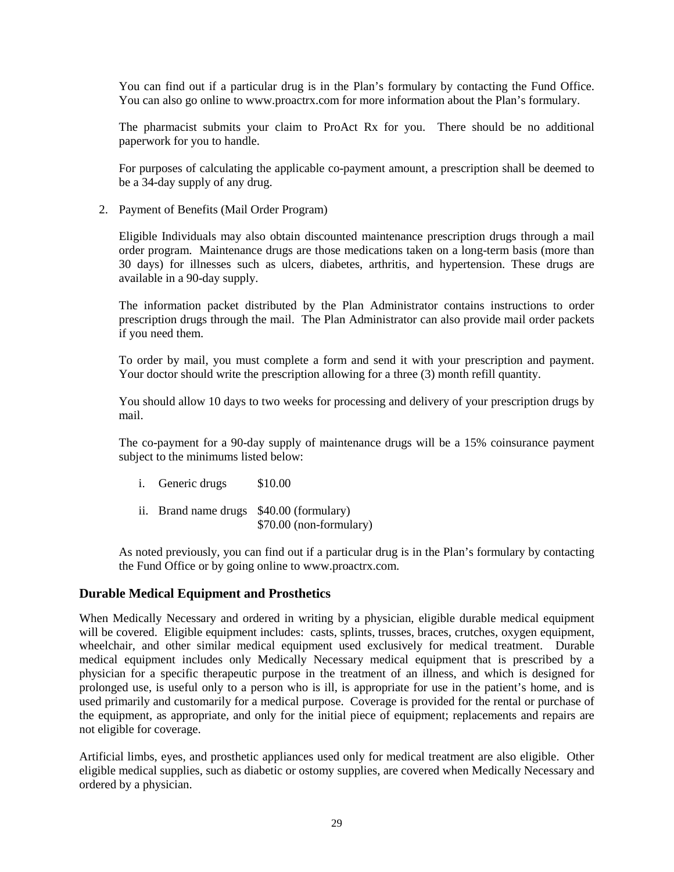You can find out if a particular drug is in the Plan's formulary by contacting the Fund Office. You can also go online to www.proactrx.com for more information about the Plan's formulary.

The pharmacist submits your claim to ProAct Rx for you. There should be no additional paperwork for you to handle.

For purposes of calculating the applicable co-payment amount, a prescription shall be deemed to be a 34-day supply of any drug.

2. Payment of Benefits (Mail Order Program)

Eligible Individuals may also obtain discounted maintenance prescription drugs through a mail order program. Maintenance drugs are those medications taken on a long-term basis (more than 30 days) for illnesses such as ulcers, diabetes, arthritis, and hypertension. These drugs are available in a 90-day supply.

The information packet distributed by the Plan Administrator contains instructions to order prescription drugs through the mail. The Plan Administrator can also provide mail order packets if you need them.

To order by mail, you must complete a form and send it with your prescription and payment. Your doctor should write the prescription allowing for a three (3) month refill quantity.

You should allow 10 days to two weeks for processing and delivery of your prescription drugs by mail.

The co-payment for a 90-day supply of maintenance drugs will be a 15% coinsurance payment subject to the minimums listed below:

- i. Generic drugs \$10.00
- ii. Brand name drugs \$40.00 (formulary) \$70.00 (non-formulary)

As noted previously, you can find out if a particular drug is in the Plan's formulary by contacting the Fund Office or by going online to www.proactrx.com.

### <span id="page-28-0"></span>**Durable Medical Equipment and Prosthetics**

When Medically Necessary and ordered in writing by a physician, eligible durable medical equipment will be covered. Eligible equipment includes: casts, splints, trusses, braces, crutches, oxygen equipment, wheelchair, and other similar medical equipment used exclusively for medical treatment. Durable medical equipment includes only Medically Necessary medical equipment that is prescribed by a physician for a specific therapeutic purpose in the treatment of an illness, and which is designed for prolonged use, is useful only to a person who is ill, is appropriate for use in the patient's home, and is used primarily and customarily for a medical purpose. Coverage is provided for the rental or purchase of the equipment, as appropriate, and only for the initial piece of equipment; replacements and repairs are not eligible for coverage.

Artificial limbs, eyes, and prosthetic appliances used only for medical treatment are also eligible. Other eligible medical supplies, such as diabetic or ostomy supplies, are covered when Medically Necessary and ordered by a physician.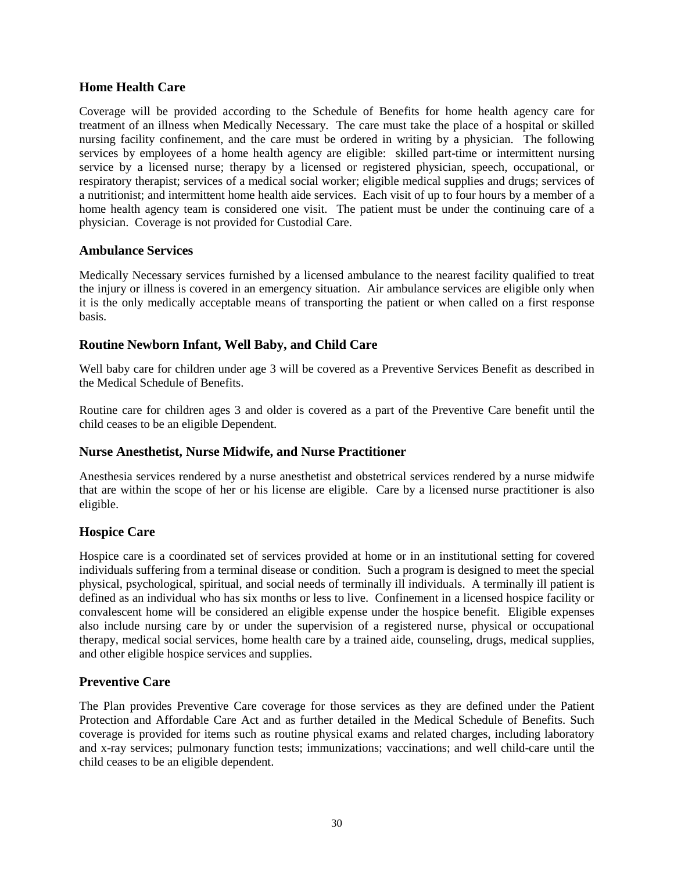# <span id="page-29-0"></span>**Home Health Care**

Coverage will be provided according to the Schedule of Benefits for home health agency care for treatment of an illness when Medically Necessary. The care must take the place of a hospital or skilled nursing facility confinement, and the care must be ordered in writing by a physician. The following services by employees of a home health agency are eligible: skilled part-time or intermittent nursing service by a licensed nurse; therapy by a licensed or registered physician, speech, occupational, or respiratory therapist; services of a medical social worker; eligible medical supplies and drugs; services of a nutritionist; and intermittent home health aide services. Each visit of up to four hours by a member of a home health agency team is considered one visit. The patient must be under the continuing care of a physician. Coverage is not provided for Custodial Care.

### <span id="page-29-1"></span>**Ambulance Services**

Medically Necessary services furnished by a licensed ambulance to the nearest facility qualified to treat the injury or illness is covered in an emergency situation. Air ambulance services are eligible only when it is the only medically acceptable means of transporting the patient or when called on a first response basis.

# <span id="page-29-2"></span>**Routine Newborn Infant, Well Baby, and Child Care**

Well baby care for children under age 3 will be covered as a Preventive Services Benefit as described in the Medical Schedule of Benefits.

Routine care for children ages 3 and older is covered as a part of the Preventive Care benefit until the child ceases to be an eligible Dependent.

### <span id="page-29-3"></span>**Nurse Anesthetist, Nurse Midwife, and Nurse Practitioner**

Anesthesia services rendered by a nurse anesthetist and obstetrical services rendered by a nurse midwife that are within the scope of her or his license are eligible. Care by a licensed nurse practitioner is also eligible.

# <span id="page-29-4"></span>**Hospice Care**

Hospice care is a coordinated set of services provided at home or in an institutional setting for covered individuals suffering from a terminal disease or condition. Such a program is designed to meet the special physical, psychological, spiritual, and social needs of terminally ill individuals. A terminally ill patient is defined as an individual who has six months or less to live. Confinement in a licensed hospice facility or convalescent home will be considered an eligible expense under the hospice benefit. Eligible expenses also include nursing care by or under the supervision of a registered nurse, physical or occupational therapy, medical social services, home health care by a trained aide, counseling, drugs, medical supplies, and other eligible hospice services and supplies.

# <span id="page-29-5"></span>**Preventive Care**

The Plan provides Preventive Care coverage for those services as they are defined under the Patient Protection and Affordable Care Act and as further detailed in the Medical Schedule of Benefits. Such coverage is provided for items such as routine physical exams and related charges, including laboratory and x-ray services; pulmonary function tests; immunizations; vaccinations; and well child-care until the child ceases to be an eligible dependent.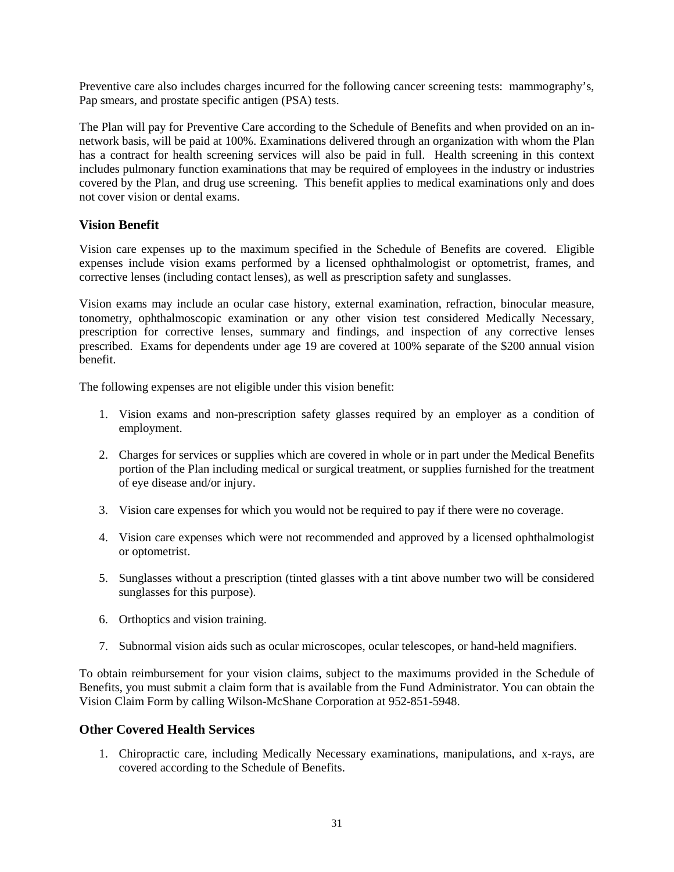Preventive care also includes charges incurred for the following cancer screening tests: mammography's, Pap smears, and prostate specific antigen (PSA) tests.

The Plan will pay for Preventive Care according to the Schedule of Benefits and when provided on an innetwork basis, will be paid at 100%. Examinations delivered through an organization with whom the Plan has a contract for health screening services will also be paid in full. Health screening in this context includes pulmonary function examinations that may be required of employees in the industry or industries covered by the Plan, and drug use screening. This benefit applies to medical examinations only and does not cover vision or dental exams.

# <span id="page-30-0"></span>**Vision Benefit**

Vision care expenses up to the maximum specified in the Schedule of Benefits are covered. Eligible expenses include vision exams performed by a licensed ophthalmologist or optometrist, frames, and corrective lenses (including contact lenses), as well as prescription safety and sunglasses.

Vision exams may include an ocular case history, external examination, refraction, binocular measure, tonometry, ophthalmoscopic examination or any other vision test considered Medically Necessary, prescription for corrective lenses, summary and findings, and inspection of any corrective lenses prescribed. Exams for dependents under age 19 are covered at 100% separate of the \$200 annual vision benefit.

The following expenses are not eligible under this vision benefit:

- 1. Vision exams and non-prescription safety glasses required by an employer as a condition of employment.
- 2. Charges for services or supplies which are covered in whole or in part under the Medical Benefits portion of the Plan including medical or surgical treatment, or supplies furnished for the treatment of eye disease and/or injury.
- 3. Vision care expenses for which you would not be required to pay if there were no coverage.
- 4. Vision care expenses which were not recommended and approved by a licensed ophthalmologist or optometrist.
- 5. Sunglasses without a prescription (tinted glasses with a tint above number two will be considered sunglasses for this purpose).
- 6. Orthoptics and vision training.
- 7. Subnormal vision aids such as ocular microscopes, ocular telescopes, or hand-held magnifiers.

To obtain reimbursement for your vision claims, subject to the maximums provided in the Schedule of Benefits, you must submit a claim form that is available from the Fund Administrator. You can obtain the Vision Claim Form by calling Wilson-McShane Corporation at 952-851-5948.

# <span id="page-30-1"></span>**Other Covered Health Services**

1. Chiropractic care, including Medically Necessary examinations, manipulations, and x-rays, are covered according to the Schedule of Benefits.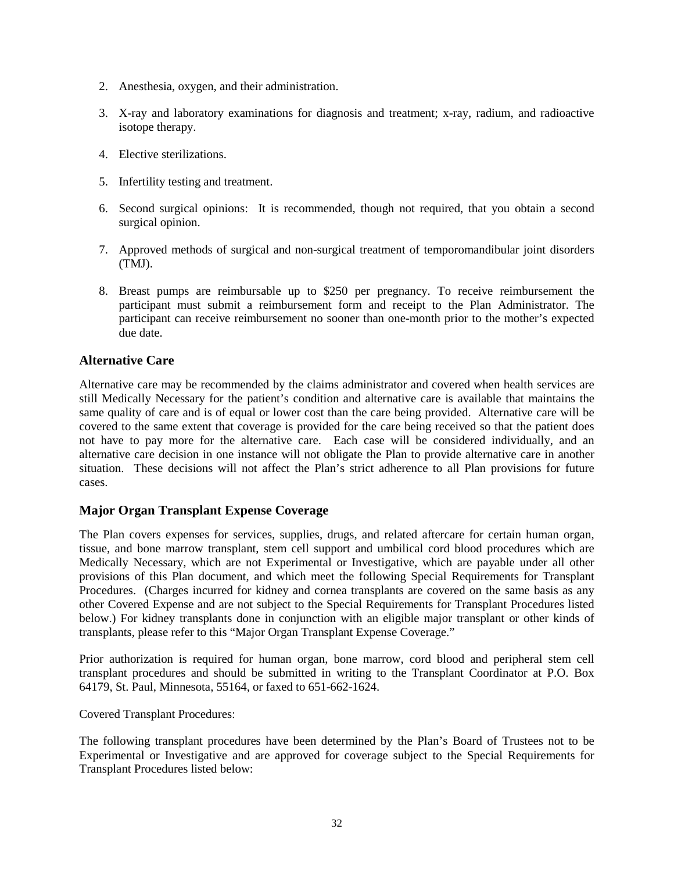- 2. Anesthesia, oxygen, and their administration.
- 3. X-ray and laboratory examinations for diagnosis and treatment; x-ray, radium, and radioactive isotope therapy.
- 4. Elective sterilizations.
- 5. Infertility testing and treatment.
- 6. Second surgical opinions: It is recommended, though not required, that you obtain a second surgical opinion.
- 7. Approved methods of surgical and non-surgical treatment of temporomandibular joint disorders (TMJ).
- 8. Breast pumps are reimbursable up to \$250 per pregnancy. To receive reimbursement the participant must submit a reimbursement form and receipt to the Plan Administrator. The participant can receive reimbursement no sooner than one-month prior to the mother's expected due date.

# <span id="page-31-0"></span>**Alternative Care**

Alternative care may be recommended by the claims administrator and covered when health services are still Medically Necessary for the patient's condition and alternative care is available that maintains the same quality of care and is of equal or lower cost than the care being provided. Alternative care will be covered to the same extent that coverage is provided for the care being received so that the patient does not have to pay more for the alternative care. Each case will be considered individually, and an alternative care decision in one instance will not obligate the Plan to provide alternative care in another situation. These decisions will not affect the Plan's strict adherence to all Plan provisions for future cases.

### <span id="page-31-1"></span>**Major Organ Transplant Expense Coverage**

The Plan covers expenses for services, supplies, drugs, and related aftercare for certain human organ, tissue, and bone marrow transplant, stem cell support and umbilical cord blood procedures which are Medically Necessary, which are not Experimental or Investigative, which are payable under all other provisions of this Plan document, and which meet the following Special Requirements for Transplant Procedures. (Charges incurred for kidney and cornea transplants are covered on the same basis as any other Covered Expense and are not subject to the Special Requirements for Transplant Procedures listed below.) For kidney transplants done in conjunction with an eligible major transplant or other kinds of transplants, please refer to this "Major Organ Transplant Expense Coverage."

Prior authorization is required for human organ, bone marrow, cord blood and peripheral stem cell transplant procedures and should be submitted in writing to the Transplant Coordinator at P.O. Box 64179, St. Paul, Minnesota, 55164, or faxed to 651-662-1624.

Covered Transplant Procedures:

The following transplant procedures have been determined by the Plan's Board of Trustees not to be Experimental or Investigative and are approved for coverage subject to the Special Requirements for Transplant Procedures listed below: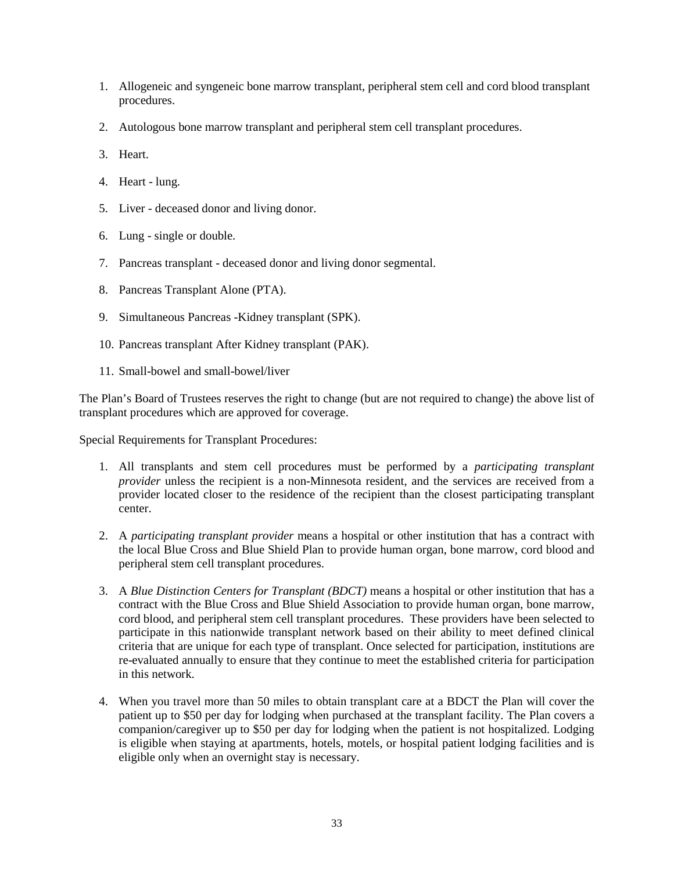- 1. Allogeneic and syngeneic bone marrow transplant, peripheral stem cell and cord blood transplant procedures.
- 2. Autologous bone marrow transplant and peripheral stem cell transplant procedures.
- 3. Heart.
- 4. Heart lung.
- 5. Liver deceased donor and living donor.
- 6. Lung single or double.
- 7. Pancreas transplant deceased donor and living donor segmental.
- 8. Pancreas Transplant Alone (PTA).
- 9. Simultaneous Pancreas -Kidney transplant (SPK).
- 10. Pancreas transplant After Kidney transplant (PAK).
- 11. Small-bowel and small-bowel/liver

The Plan's Board of Trustees reserves the right to change (but are not required to change) the above list of transplant procedures which are approved for coverage.

Special Requirements for Transplant Procedures:

- 1. All transplants and stem cell procedures must be performed by a *participating transplant provider* unless the recipient is a non-Minnesota resident, and the services are received from a provider located closer to the residence of the recipient than the closest participating transplant center.
- 2. A *participating transplant provider* means a hospital or other institution that has a contract with the local Blue Cross and Blue Shield Plan to provide human organ, bone marrow, cord blood and peripheral stem cell transplant procedures.
- 3. A *Blue Distinction Centers for Transplant (BDCT)* means a hospital or other institution that has a contract with the Blue Cross and Blue Shield Association to provide human organ, bone marrow, cord blood, and peripheral stem cell transplant procedures. These providers have been selected to participate in this nationwide transplant network based on their ability to meet defined clinical criteria that are unique for each type of transplant. Once selected for participation, institutions are re-evaluated annually to ensure that they continue to meet the established criteria for participation in this network.
- 4. When you travel more than 50 miles to obtain transplant care at a BDCT the Plan will cover the patient up to \$50 per day for lodging when purchased at the transplant facility. The Plan covers a companion/caregiver up to \$50 per day for lodging when the patient is not hospitalized. Lodging is eligible when staying at apartments, hotels, motels, or hospital patient lodging facilities and is eligible only when an overnight stay is necessary.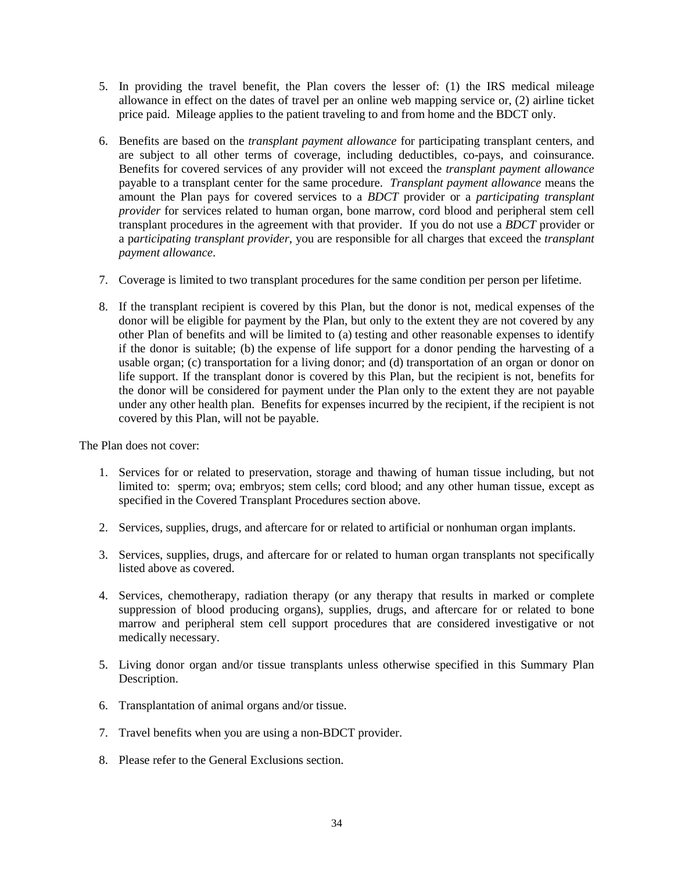- 5. In providing the travel benefit, the Plan covers the lesser of: (1) the IRS medical mileage allowance in effect on the dates of travel per an online web mapping service or, (2) airline ticket price paid. Mileage applies to the patient traveling to and from home and the BDCT only.
- 6. Benefits are based on the *transplant payment allowance* for participating transplant centers, and are subject to all other terms of coverage, including deductibles, co-pays, and coinsurance. Benefits for covered services of any provider will not exceed the *transplant payment allowance* payable to a transplant center for the same procedure. *Transplant payment allowance* means the amount the Plan pays for covered services to a *BDCT* provider or a *participating transplant provider* for services related to human organ, bone marrow, cord blood and peripheral stem cell transplant procedures in the agreement with that provider. If you do not use a *BDCT* provider or a p*articipating transplant provider*, you are responsible for all charges that exceed the *transplant payment allowance*.
- 7. Coverage is limited to two transplant procedures for the same condition per person per lifetime.
- 8. If the transplant recipient is covered by this Plan, but the donor is not, medical expenses of the donor will be eligible for payment by the Plan, but only to the extent they are not covered by any other Plan of benefits and will be limited to (a) testing and other reasonable expenses to identify if the donor is suitable; (b) the expense of life support for a donor pending the harvesting of a usable organ; (c) transportation for a living donor; and (d) transportation of an organ or donor on life support. If the transplant donor is covered by this Plan, but the recipient is not, benefits for the donor will be considered for payment under the Plan only to the extent they are not payable under any other health plan. Benefits for expenses incurred by the recipient, if the recipient is not covered by this Plan, will not be payable.

The Plan does not cover:

- 1. Services for or related to preservation, storage and thawing of human tissue including, but not limited to: sperm; ova; embryos; stem cells; cord blood; and any other human tissue, except as specified in the Covered Transplant Procedures section above.
- 2. Services, supplies, drugs, and aftercare for or related to artificial or nonhuman organ implants.
- 3. Services, supplies, drugs, and aftercare for or related to human organ transplants not specifically listed above as covered.
- 4. Services, chemotherapy, radiation therapy (or any therapy that results in marked or complete suppression of blood producing organs), supplies, drugs, and aftercare for or related to bone marrow and peripheral stem cell support procedures that are considered investigative or not medically necessary.
- 5. Living donor organ and/or tissue transplants unless otherwise specified in this Summary Plan Description.
- 6. Transplantation of animal organs and/or tissue.
- 7. Travel benefits when you are using a non-BDCT provider.
- 8. Please refer to the General Exclusions section.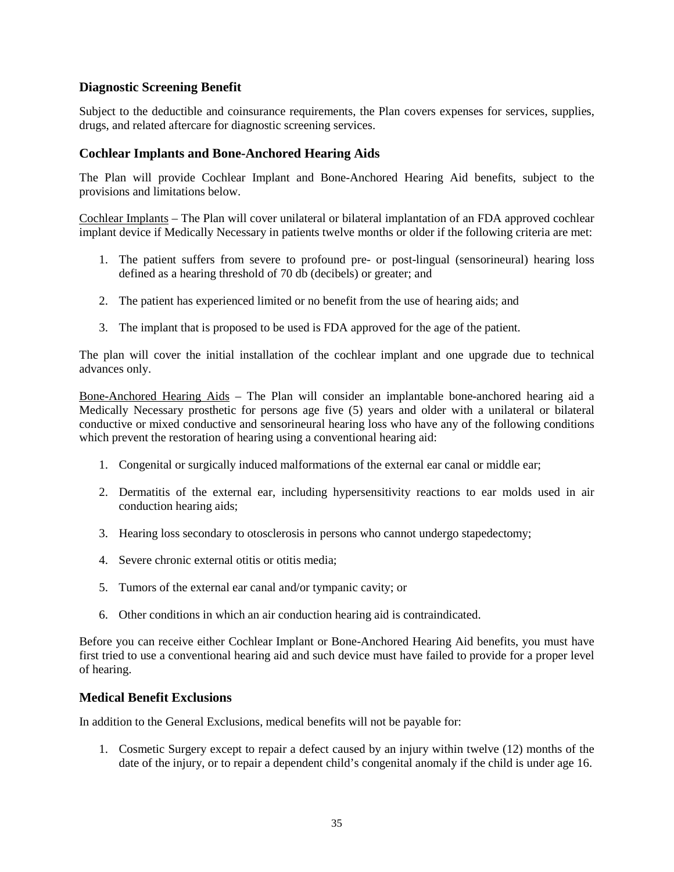# <span id="page-34-0"></span>**Diagnostic Screening Benefit**

Subject to the deductible and coinsurance requirements, the Plan covers expenses for services, supplies, drugs, and related aftercare for diagnostic screening services.

## <span id="page-34-1"></span>**Cochlear Implants and Bone-Anchored Hearing Aids**

The Plan will provide Cochlear Implant and Bone-Anchored Hearing Aid benefits, subject to the provisions and limitations below.

Cochlear Implants – The Plan will cover unilateral or bilateral implantation of an FDA approved cochlear implant device if Medically Necessary in patients twelve months or older if the following criteria are met:

- 1. The patient suffers from severe to profound pre- or post-lingual (sensorineural) hearing loss defined as a hearing threshold of 70 db (decibels) or greater; and
- 2. The patient has experienced limited or no benefit from the use of hearing aids; and
- 3. The implant that is proposed to be used is FDA approved for the age of the patient.

The plan will cover the initial installation of the cochlear implant and one upgrade due to technical advances only.

Bone-Anchored Hearing Aids – The Plan will consider an implantable bone-anchored hearing aid a Medically Necessary prosthetic for persons age five (5) years and older with a unilateral or bilateral conductive or mixed conductive and sensorineural hearing loss who have any of the following conditions which prevent the restoration of hearing using a conventional hearing aid:

- 1. Congenital or surgically induced malformations of the external ear canal or middle ear;
- 2. Dermatitis of the external ear, including hypersensitivity reactions to ear molds used in air conduction hearing aids;
- 3. Hearing loss secondary to otosclerosis in persons who cannot undergo stapedectomy;
- 4. Severe chronic external otitis or otitis media;
- 5. Tumors of the external ear canal and/or tympanic cavity; or
- 6. Other conditions in which an air conduction hearing aid is contraindicated.

Before you can receive either Cochlear Implant or Bone-Anchored Hearing Aid benefits, you must have first tried to use a conventional hearing aid and such device must have failed to provide for a proper level of hearing.

### <span id="page-34-2"></span>**Medical Benefit Exclusions**

In addition to the General Exclusions, medical benefits will not be payable for:

1. Cosmetic Surgery except to repair a defect caused by an injury within twelve (12) months of the date of the injury, or to repair a dependent child's congenital anomaly if the child is under age 16.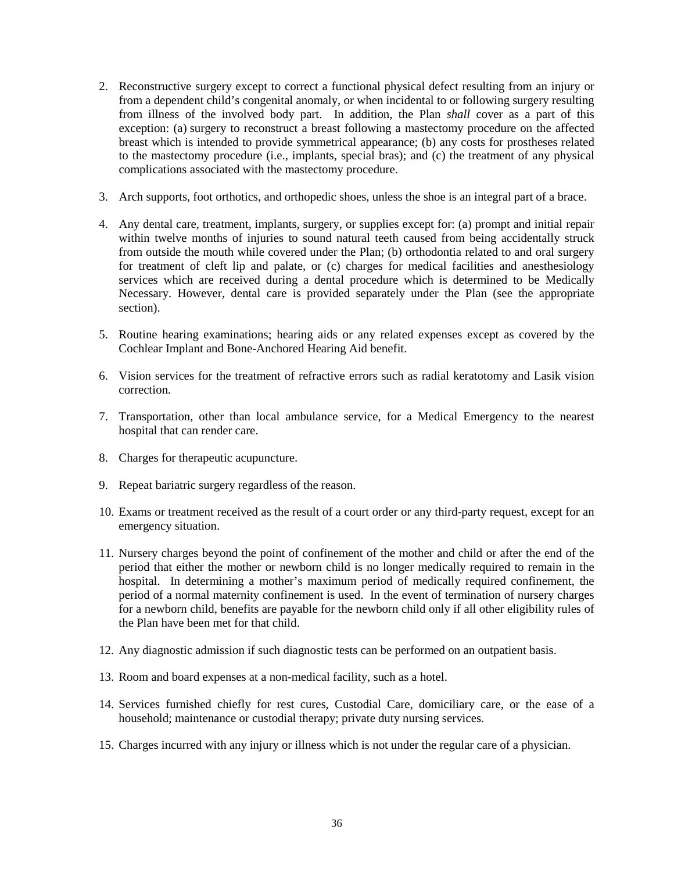- 2. Reconstructive surgery except to correct a functional physical defect resulting from an injury or from a dependent child's congenital anomaly, or when incidental to or following surgery resulting from illness of the involved body part. In addition, the Plan *shall* cover as a part of this exception: (a) surgery to reconstruct a breast following a mastectomy procedure on the affected breast which is intended to provide symmetrical appearance; (b) any costs for prostheses related to the mastectomy procedure (i.e., implants, special bras); and (c) the treatment of any physical complications associated with the mastectomy procedure.
- 3. Arch supports, foot orthotics, and orthopedic shoes, unless the shoe is an integral part of a brace.
- 4. Any dental care, treatment, implants, surgery, or supplies except for: (a) prompt and initial repair within twelve months of injuries to sound natural teeth caused from being accidentally struck from outside the mouth while covered under the Plan; (b) orthodontia related to and oral surgery for treatment of cleft lip and palate, or (c) charges for medical facilities and anesthesiology services which are received during a dental procedure which is determined to be Medically Necessary. However, dental care is provided separately under the Plan (see the appropriate section).
- 5. Routine hearing examinations; hearing aids or any related expenses except as covered by the Cochlear Implant and Bone-Anchored Hearing Aid benefit.
- 6. Vision services for the treatment of refractive errors such as radial keratotomy and Lasik vision correction.
- 7. Transportation, other than local ambulance service, for a Medical Emergency to the nearest hospital that can render care.
- 8. Charges for therapeutic acupuncture.
- 9. Repeat bariatric surgery regardless of the reason.
- 10. Exams or treatment received as the result of a court order or any third-party request, except for an emergency situation.
- 11. Nursery charges beyond the point of confinement of the mother and child or after the end of the period that either the mother or newborn child is no longer medically required to remain in the hospital. In determining a mother's maximum period of medically required confinement, the period of a normal maternity confinement is used. In the event of termination of nursery charges for a newborn child, benefits are payable for the newborn child only if all other eligibility rules of the Plan have been met for that child.
- 12. Any diagnostic admission if such diagnostic tests can be performed on an outpatient basis.
- 13. Room and board expenses at a non-medical facility, such as a hotel.
- 14. Services furnished chiefly for rest cures, Custodial Care, domiciliary care, or the ease of a household; maintenance or custodial therapy; private duty nursing services.
- 15. Charges incurred with any injury or illness which is not under the regular care of a physician.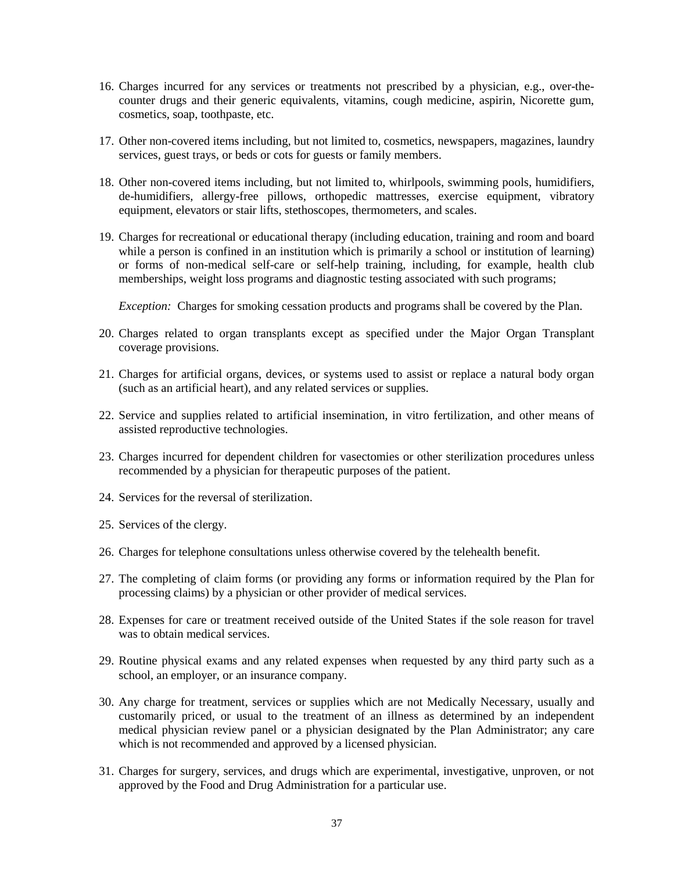- 16. Charges incurred for any services or treatments not prescribed by a physician, e.g., over-thecounter drugs and their generic equivalents, vitamins, cough medicine, aspirin, Nicorette gum, cosmetics, soap, toothpaste, etc.
- 17. Other non-covered items including, but not limited to, cosmetics, newspapers, magazines, laundry services, guest trays, or beds or cots for guests or family members.
- 18. Other non-covered items including, but not limited to, whirlpools, swimming pools, humidifiers, de-humidifiers, allergy-free pillows, orthopedic mattresses, exercise equipment, vibratory equipment, elevators or stair lifts, stethoscopes, thermometers, and scales.
- 19. Charges for recreational or educational therapy (including education, training and room and board while a person is confined in an institution which is primarily a school or institution of learning) or forms of non-medical self-care or self-help training, including, for example, health club memberships, weight loss programs and diagnostic testing associated with such programs;

*Exception:* Charges for smoking cessation products and programs shall be covered by the Plan.

- 20. Charges related to organ transplants except as specified under the Major Organ Transplant coverage provisions.
- 21. Charges for artificial organs, devices, or systems used to assist or replace a natural body organ (such as an artificial heart), and any related services or supplies.
- 22. Service and supplies related to artificial insemination, in vitro fertilization, and other means of assisted reproductive technologies.
- 23. Charges incurred for dependent children for vasectomies or other sterilization procedures unless recommended by a physician for therapeutic purposes of the patient.
- 24. Services for the reversal of sterilization.
- 25. Services of the clergy.
- 26. Charges for telephone consultations unless otherwise covered by the telehealth benefit.
- 27. The completing of claim forms (or providing any forms or information required by the Plan for processing claims) by a physician or other provider of medical services.
- 28. Expenses for care or treatment received outside of the United States if the sole reason for travel was to obtain medical services.
- 29. Routine physical exams and any related expenses when requested by any third party such as a school, an employer, or an insurance company.
- 30. Any charge for treatment, services or supplies which are not Medically Necessary, usually and customarily priced, or usual to the treatment of an illness as determined by an independent medical physician review panel or a physician designated by the Plan Administrator; any care which is not recommended and approved by a licensed physician.
- 31. Charges for surgery, services, and drugs which are experimental, investigative, unproven, or not approved by the Food and Drug Administration for a particular use.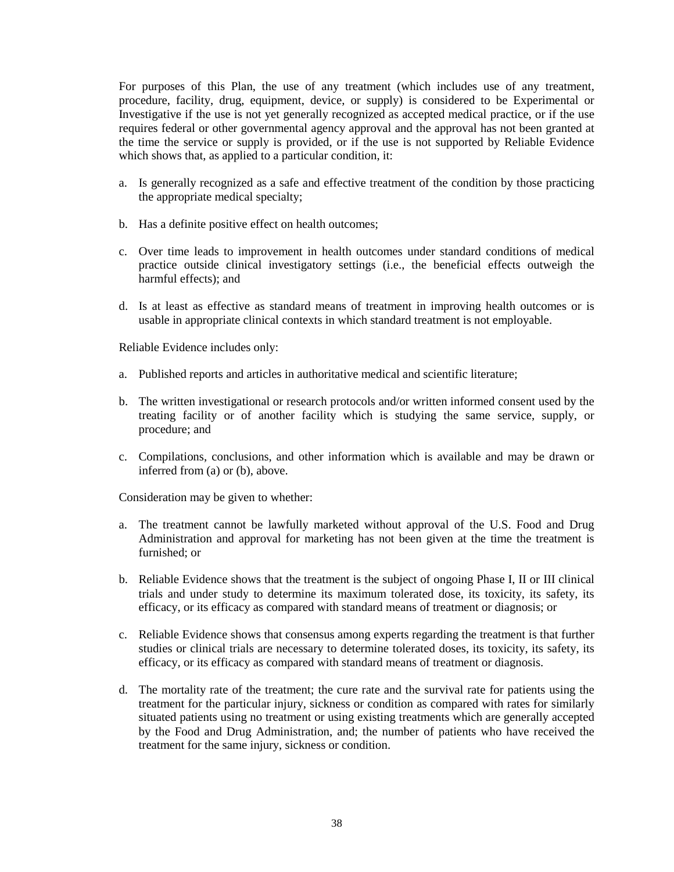For purposes of this Plan, the use of any treatment (which includes use of any treatment, procedure, facility, drug, equipment, device, or supply) is considered to be Experimental or Investigative if the use is not yet generally recognized as accepted medical practice, or if the use requires federal or other governmental agency approval and the approval has not been granted at the time the service or supply is provided, or if the use is not supported by Reliable Evidence which shows that, as applied to a particular condition, it:

- a. Is generally recognized as a safe and effective treatment of the condition by those practicing the appropriate medical specialty;
- b. Has a definite positive effect on health outcomes;
- c. Over time leads to improvement in health outcomes under standard conditions of medical practice outside clinical investigatory settings (i.e., the beneficial effects outweigh the harmful effects); and
- d. Is at least as effective as standard means of treatment in improving health outcomes or is usable in appropriate clinical contexts in which standard treatment is not employable.

Reliable Evidence includes only:

- a. Published reports and articles in authoritative medical and scientific literature;
- b. The written investigational or research protocols and/or written informed consent used by the treating facility or of another facility which is studying the same service, supply, or procedure; and
- c. Compilations, conclusions, and other information which is available and may be drawn or inferred from (a) or (b), above.

Consideration may be given to whether:

- a. The treatment cannot be lawfully marketed without approval of the U.S. Food and Drug Administration and approval for marketing has not been given at the time the treatment is furnished; or
- b. Reliable Evidence shows that the treatment is the subject of ongoing Phase I, II or III clinical trials and under study to determine its maximum tolerated dose, its toxicity, its safety, its efficacy, or its efficacy as compared with standard means of treatment or diagnosis; or
- c. Reliable Evidence shows that consensus among experts regarding the treatment is that further studies or clinical trials are necessary to determine tolerated doses, its toxicity, its safety, its efficacy, or its efficacy as compared with standard means of treatment or diagnosis.
- d. The mortality rate of the treatment; the cure rate and the survival rate for patients using the treatment for the particular injury, sickness or condition as compared with rates for similarly situated patients using no treatment or using existing treatments which are generally accepted by the Food and Drug Administration, and; the number of patients who have received the treatment for the same injury, sickness or condition.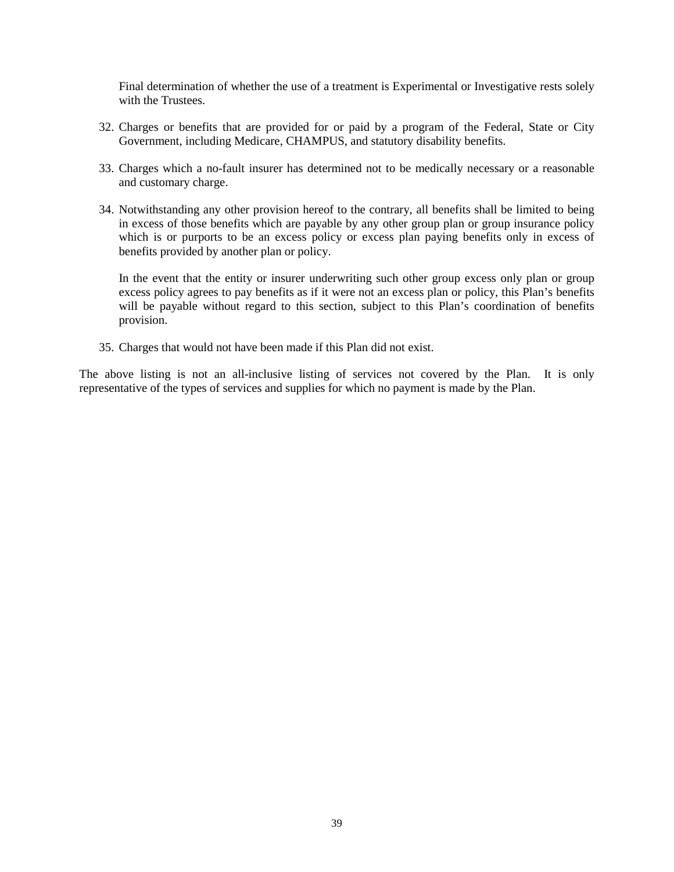Final determination of whether the use of a treatment is Experimental or Investigative rests solely with the Trustees.

- 32. Charges or benefits that are provided for or paid by a program of the Federal, State or City Government, including Medicare, CHAMPUS, and statutory disability benefits.
- 33. Charges which a no-fault insurer has determined not to be medically necessary or a reasonable and customary charge.
- 34. Notwithstanding any other provision hereof to the contrary, all benefits shall be limited to being in excess of those benefits which are payable by any other group plan or group insurance policy which is or purports to be an excess policy or excess plan paying benefits only in excess of benefits provided by another plan or policy.

In the event that the entity or insurer underwriting such other group excess only plan or group excess policy agrees to pay benefits as if it were not an excess plan or policy, this Plan's benefits will be payable without regard to this section, subject to this Plan's coordination of benefits provision.

35. Charges that would not have been made if this Plan did not exist.

The above listing is not an all-inclusive listing of services not covered by the Plan. It is only representative of the types of services and supplies for which no payment is made by the Plan.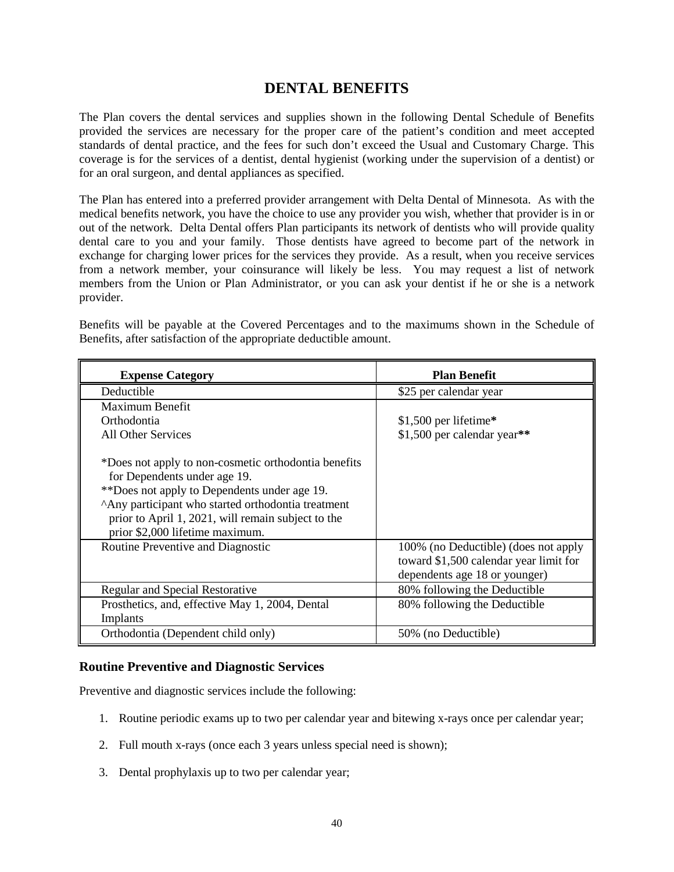# **DENTAL BENEFITS**

<span id="page-39-0"></span>The Plan covers the dental services and supplies shown in the following Dental Schedule of Benefits provided the services are necessary for the proper care of the patient's condition and meet accepted standards of dental practice, and the fees for such don't exceed the Usual and Customary Charge. This coverage is for the services of a dentist, dental hygienist (working under the supervision of a dentist) or for an oral surgeon, and dental appliances as specified.

The Plan has entered into a preferred provider arrangement with Delta Dental of Minnesota. As with the medical benefits network, you have the choice to use any provider you wish, whether that provider is in or out of the network. Delta Dental offers Plan participants its network of dentists who will provide quality dental care to you and your family. Those dentists have agreed to become part of the network in exchange for charging lower prices for the services they provide. As a result, when you receive services from a network member, your coinsurance will likely be less. You may request a list of network members from the Union or Plan Administrator, or you can ask your dentist if he or she is a network provider.

Benefits will be payable at the Covered Percentages and to the maximums shown in the Schedule of Benefits, after satisfaction of the appropriate deductible amount.

| <b>Expense Category</b>                                                                                                                                                                                                                                                             | <b>Plan Benefit</b>                                                                                             |
|-------------------------------------------------------------------------------------------------------------------------------------------------------------------------------------------------------------------------------------------------------------------------------------|-----------------------------------------------------------------------------------------------------------------|
| Deductible                                                                                                                                                                                                                                                                          | \$25 per calendar year                                                                                          |
| Maximum Benefit                                                                                                                                                                                                                                                                     |                                                                                                                 |
| Orthodontia                                                                                                                                                                                                                                                                         | $$1,500$ per lifetime*                                                                                          |
| All Other Services                                                                                                                                                                                                                                                                  | \$1,500 per calendar year**                                                                                     |
| *Does not apply to non-cosmetic orthodontia benefits<br>for Dependents under age 19.<br>**Does not apply to Dependents under age 19.<br>^Any participant who started orthodontia treatment<br>prior to April 1, 2021, will remain subject to the<br>prior \$2,000 lifetime maximum. |                                                                                                                 |
| Routine Preventive and Diagnostic                                                                                                                                                                                                                                                   | 100% (no Deductible) (does not apply<br>toward \$1,500 calendar year limit for<br>dependents age 18 or younger) |
| Regular and Special Restorative                                                                                                                                                                                                                                                     | 80% following the Deductible                                                                                    |
| Prosthetics, and, effective May 1, 2004, Dental                                                                                                                                                                                                                                     | 80% following the Deductible                                                                                    |
| Implants                                                                                                                                                                                                                                                                            |                                                                                                                 |
| Orthodontia (Dependent child only)                                                                                                                                                                                                                                                  | 50% (no Deductible)                                                                                             |

### <span id="page-39-1"></span>**Routine Preventive and Diagnostic Services**

Preventive and diagnostic services include the following:

- 1. Routine periodic exams up to two per calendar year and bitewing x-rays once per calendar year;
- 2. Full mouth x-rays (once each 3 years unless special need is shown);
- 3. Dental prophylaxis up to two per calendar year;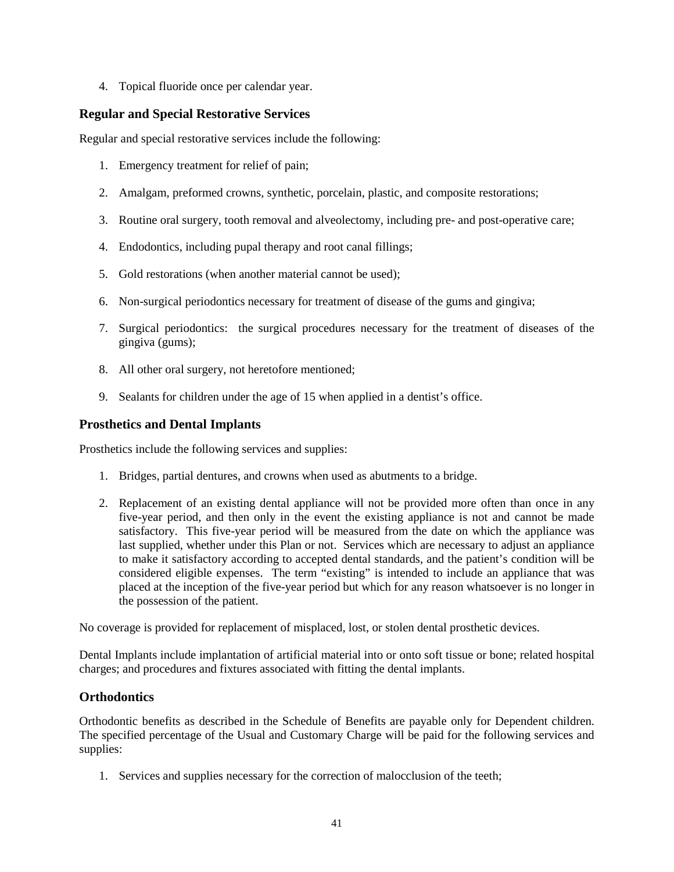4. Topical fluoride once per calendar year.

# <span id="page-40-0"></span>**Regular and Special Restorative Services**

Regular and special restorative services include the following:

- 1. Emergency treatment for relief of pain;
- 2. Amalgam, preformed crowns, synthetic, porcelain, plastic, and composite restorations;
- 3. Routine oral surgery, tooth removal and alveolectomy, including pre- and post-operative care;
- 4. Endodontics, including pupal therapy and root canal fillings;
- 5. Gold restorations (when another material cannot be used);
- 6. Non-surgical periodontics necessary for treatment of disease of the gums and gingiva;
- 7. Surgical periodontics: the surgical procedures necessary for the treatment of diseases of the gingiva (gums);
- 8. All other oral surgery, not heretofore mentioned;
- 9. Sealants for children under the age of 15 when applied in a dentist's office.

# <span id="page-40-1"></span>**Prosthetics and Dental Implants**

Prosthetics include the following services and supplies:

- 1. Bridges, partial dentures, and crowns when used as abutments to a bridge.
- 2. Replacement of an existing dental appliance will not be provided more often than once in any five-year period, and then only in the event the existing appliance is not and cannot be made satisfactory. This five-year period will be measured from the date on which the appliance was last supplied, whether under this Plan or not. Services which are necessary to adjust an appliance to make it satisfactory according to accepted dental standards, and the patient's condition will be considered eligible expenses. The term "existing" is intended to include an appliance that was placed at the inception of the five-year period but which for any reason whatsoever is no longer in the possession of the patient.

No coverage is provided for replacement of misplaced, lost, or stolen dental prosthetic devices.

Dental Implants include implantation of artificial material into or onto soft tissue or bone; related hospital charges; and procedures and fixtures associated with fitting the dental implants.

# <span id="page-40-2"></span>**Orthodontics**

Orthodontic benefits as described in the Schedule of Benefits are payable only for Dependent children. The specified percentage of the Usual and Customary Charge will be paid for the following services and supplies:

1. Services and supplies necessary for the correction of malocclusion of the teeth;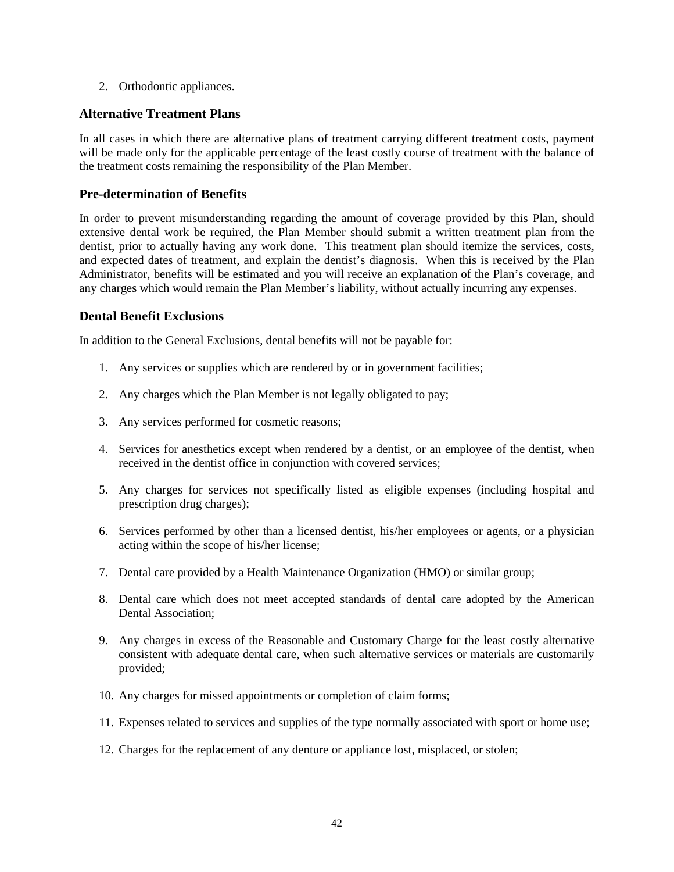2. Orthodontic appliances.

# <span id="page-41-0"></span>**Alternative Treatment Plans**

In all cases in which there are alternative plans of treatment carrying different treatment costs, payment will be made only for the applicable percentage of the least costly course of treatment with the balance of the treatment costs remaining the responsibility of the Plan Member.

## <span id="page-41-1"></span>**Pre-determination of Benefits**

In order to prevent misunderstanding regarding the amount of coverage provided by this Plan, should extensive dental work be required, the Plan Member should submit a written treatment plan from the dentist, prior to actually having any work done. This treatment plan should itemize the services, costs, and expected dates of treatment, and explain the dentist's diagnosis. When this is received by the Plan Administrator, benefits will be estimated and you will receive an explanation of the Plan's coverage, and any charges which would remain the Plan Member's liability, without actually incurring any expenses.

## <span id="page-41-2"></span>**Dental Benefit Exclusions**

In addition to the General Exclusions, dental benefits will not be payable for:

- 1. Any services or supplies which are rendered by or in government facilities;
- 2. Any charges which the Plan Member is not legally obligated to pay;
- 3. Any services performed for cosmetic reasons;
- 4. Services for anesthetics except when rendered by a dentist, or an employee of the dentist, when received in the dentist office in conjunction with covered services;
- 5. Any charges for services not specifically listed as eligible expenses (including hospital and prescription drug charges);
- 6. Services performed by other than a licensed dentist, his/her employees or agents, or a physician acting within the scope of his/her license;
- 7. Dental care provided by a Health Maintenance Organization (HMO) or similar group;
- 8. Dental care which does not meet accepted standards of dental care adopted by the American Dental Association;
- 9. Any charges in excess of the Reasonable and Customary Charge for the least costly alternative consistent with adequate dental care, when such alternative services or materials are customarily provided;
- 10. Any charges for missed appointments or completion of claim forms;
- 11. Expenses related to services and supplies of the type normally associated with sport or home use;
- 12. Charges for the replacement of any denture or appliance lost, misplaced, or stolen;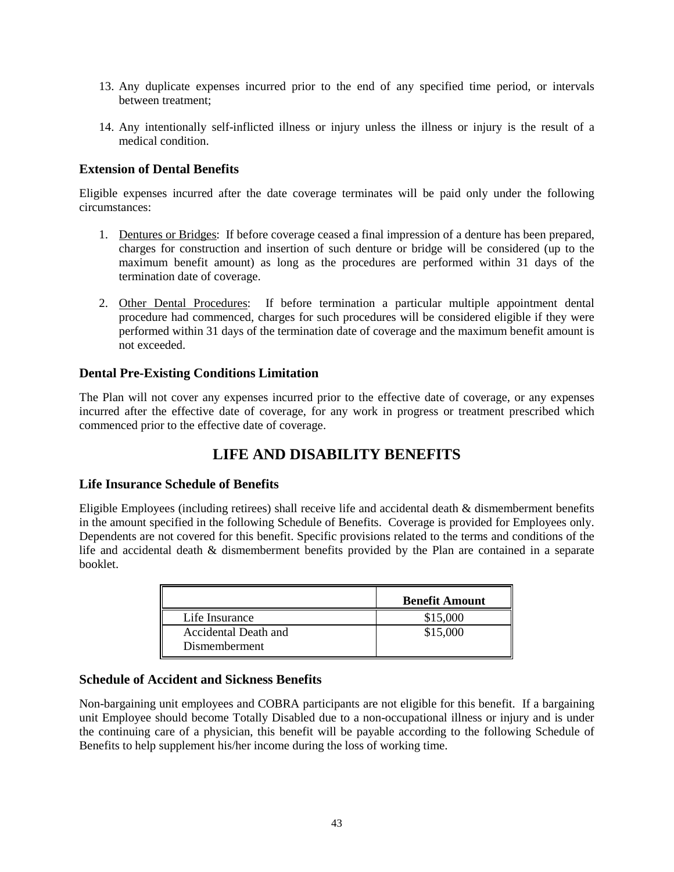- 13. Any duplicate expenses incurred prior to the end of any specified time period, or intervals between treatment;
- 14. Any intentionally self-inflicted illness or injury unless the illness or injury is the result of a medical condition.

# <span id="page-42-0"></span>**Extension of Dental Benefits**

Eligible expenses incurred after the date coverage terminates will be paid only under the following circumstances:

- 1. Dentures or Bridges: If before coverage ceased a final impression of a denture has been prepared, charges for construction and insertion of such denture or bridge will be considered (up to the maximum benefit amount) as long as the procedures are performed within 31 days of the termination date of coverage.
- 2. Other Dental Procedures: If before termination a particular multiple appointment dental procedure had commenced, charges for such procedures will be considered eligible if they were performed within 31 days of the termination date of coverage and the maximum benefit amount is not exceeded.

# <span id="page-42-1"></span>**Dental Pre-Existing Conditions Limitation**

The Plan will not cover any expenses incurred prior to the effective date of coverage, or any expenses incurred after the effective date of coverage, for any work in progress or treatment prescribed which commenced prior to the effective date of coverage.

# **LIFE AND DISABILITY BENEFITS**

# <span id="page-42-3"></span><span id="page-42-2"></span>**Life Insurance Schedule of Benefits**

Eligible Employees (including retirees) shall receive life and accidental death & dismemberment benefits in the amount specified in the following Schedule of Benefits. Coverage is provided for Employees only. Dependents are not covered for this benefit. Specific provisions related to the terms and conditions of the life and accidental death & dismemberment benefits provided by the Plan are contained in a separate booklet.

|                                       | <b>Benefit Amount</b> |
|---------------------------------------|-----------------------|
| Life Insurance                        | \$15,000              |
| Accidental Death and<br>Dismemberment | \$15,000              |

# <span id="page-42-4"></span>**Schedule of Accident and Sickness Benefits**

Non-bargaining unit employees and COBRA participants are not eligible for this benefit. If a bargaining unit Employee should become Totally Disabled due to a non-occupational illness or injury and is under the continuing care of a physician, this benefit will be payable according to the following Schedule of Benefits to help supplement his/her income during the loss of working time.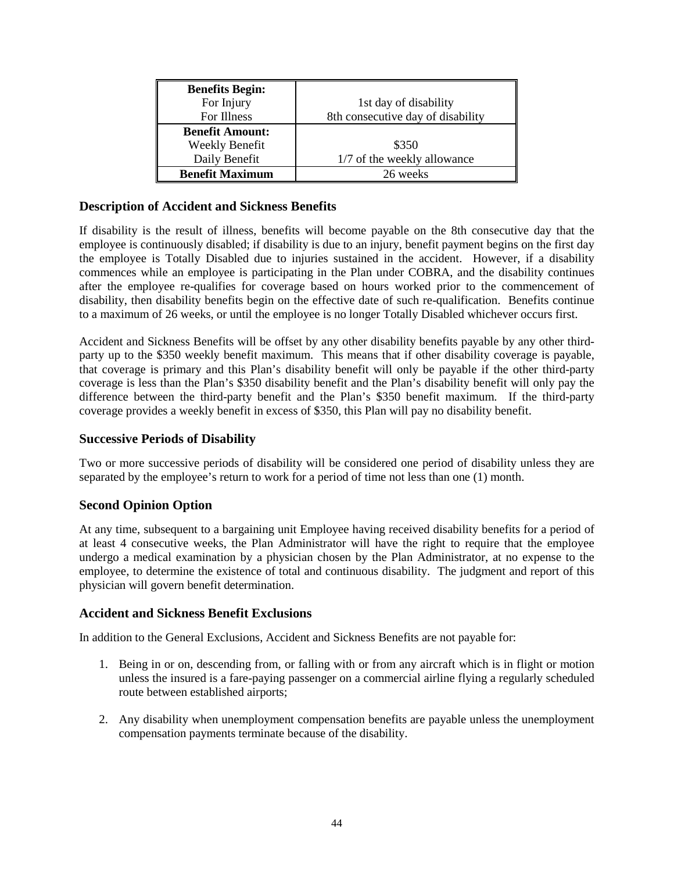| <b>Benefits Begin:</b> |                                   |
|------------------------|-----------------------------------|
| For Injury             | 1st day of disability             |
| For Illness            | 8th consecutive day of disability |
| <b>Benefit Amount:</b> |                                   |
| <b>Weekly Benefit</b>  | \$350                             |
| Daily Benefit          | 1/7 of the weekly allowance       |
| <b>Benefit Maximum</b> | 26 weeks                          |

# <span id="page-43-0"></span>**Description of Accident and Sickness Benefits**

If disability is the result of illness, benefits will become payable on the 8th consecutive day that the employee is continuously disabled; if disability is due to an injury, benefit payment begins on the first day the employee is Totally Disabled due to injuries sustained in the accident. However, if a disability commences while an employee is participating in the Plan under COBRA, and the disability continues after the employee re-qualifies for coverage based on hours worked prior to the commencement of disability, then disability benefits begin on the effective date of such re-qualification. Benefits continue to a maximum of 26 weeks, or until the employee is no longer Totally Disabled whichever occurs first.

Accident and Sickness Benefits will be offset by any other disability benefits payable by any other thirdparty up to the \$350 weekly benefit maximum. This means that if other disability coverage is payable, that coverage is primary and this Plan's disability benefit will only be payable if the other third-party coverage is less than the Plan's \$350 disability benefit and the Plan's disability benefit will only pay the difference between the third-party benefit and the Plan's \$350 benefit maximum. If the third-party coverage provides a weekly benefit in excess of \$350, this Plan will pay no disability benefit.

### <span id="page-43-1"></span>**Successive Periods of Disability**

Two or more successive periods of disability will be considered one period of disability unless they are separated by the employee's return to work for a period of time not less than one (1) month.

# <span id="page-43-2"></span>**Second Opinion Option**

At any time, subsequent to a bargaining unit Employee having received disability benefits for a period of at least 4 consecutive weeks, the Plan Administrator will have the right to require that the employee undergo a medical examination by a physician chosen by the Plan Administrator, at no expense to the employee, to determine the existence of total and continuous disability. The judgment and report of this physician will govern benefit determination.

### <span id="page-43-3"></span>**Accident and Sickness Benefit Exclusions**

In addition to the General Exclusions, Accident and Sickness Benefits are not payable for:

- 1. Being in or on, descending from, or falling with or from any aircraft which is in flight or motion unless the insured is a fare-paying passenger on a commercial airline flying a regularly scheduled route between established airports;
- 2. Any disability when unemployment compensation benefits are payable unless the unemployment compensation payments terminate because of the disability.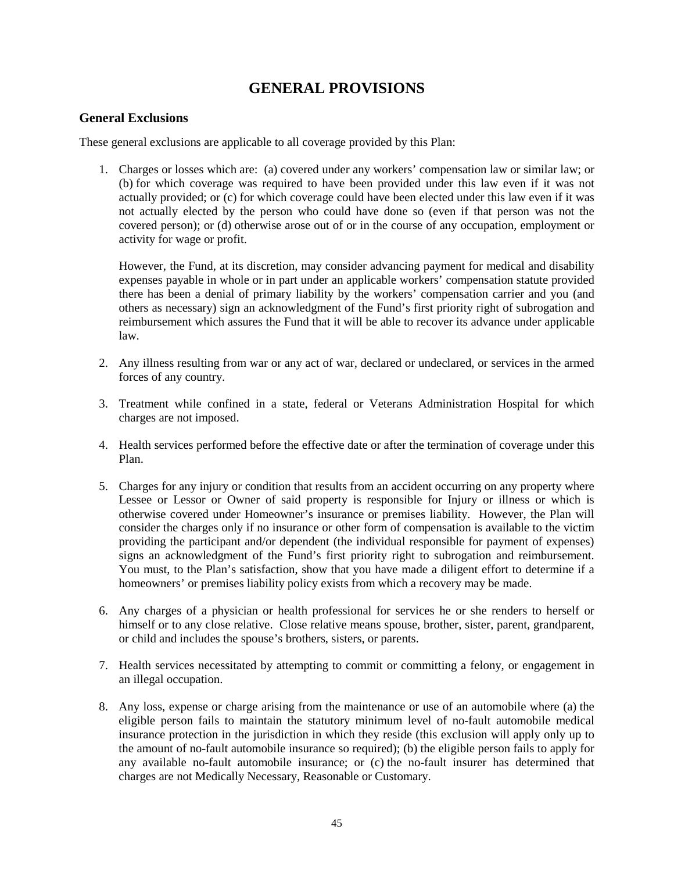# **GENERAL PROVISIONS**

## <span id="page-44-1"></span><span id="page-44-0"></span>**General Exclusions**

These general exclusions are applicable to all coverage provided by this Plan:

1. Charges or losses which are: (a) covered under any workers' compensation law or similar law; or (b) for which coverage was required to have been provided under this law even if it was not actually provided; or (c) for which coverage could have been elected under this law even if it was not actually elected by the person who could have done so (even if that person was not the covered person); or (d) otherwise arose out of or in the course of any occupation, employment or activity for wage or profit.

However, the Fund, at its discretion, may consider advancing payment for medical and disability expenses payable in whole or in part under an applicable workers' compensation statute provided there has been a denial of primary liability by the workers' compensation carrier and you (and others as necessary) sign an acknowledgment of the Fund's first priority right of subrogation and reimbursement which assures the Fund that it will be able to recover its advance under applicable law.

- 2. Any illness resulting from war or any act of war, declared or undeclared, or services in the armed forces of any country.
- 3. Treatment while confined in a state, federal or Veterans Administration Hospital for which charges are not imposed.
- 4. Health services performed before the effective date or after the termination of coverage under this Plan.
- 5. Charges for any injury or condition that results from an accident occurring on any property where Lessee or Lessor or Owner of said property is responsible for Injury or illness or which is otherwise covered under Homeowner's insurance or premises liability. However, the Plan will consider the charges only if no insurance or other form of compensation is available to the victim providing the participant and/or dependent (the individual responsible for payment of expenses) signs an acknowledgment of the Fund's first priority right to subrogation and reimbursement. You must, to the Plan's satisfaction, show that you have made a diligent effort to determine if a homeowners' or premises liability policy exists from which a recovery may be made.
- 6. Any charges of a physician or health professional for services he or she renders to herself or himself or to any close relative. Close relative means spouse, brother, sister, parent, grandparent, or child and includes the spouse's brothers, sisters, or parents.
- 7. Health services necessitated by attempting to commit or committing a felony, or engagement in an illegal occupation.
- 8. Any loss, expense or charge arising from the maintenance or use of an automobile where (a) the eligible person fails to maintain the statutory minimum level of no-fault automobile medical insurance protection in the jurisdiction in which they reside (this exclusion will apply only up to the amount of no-fault automobile insurance so required); (b) the eligible person fails to apply for any available no-fault automobile insurance; or (c) the no-fault insurer has determined that charges are not Medically Necessary, Reasonable or Customary.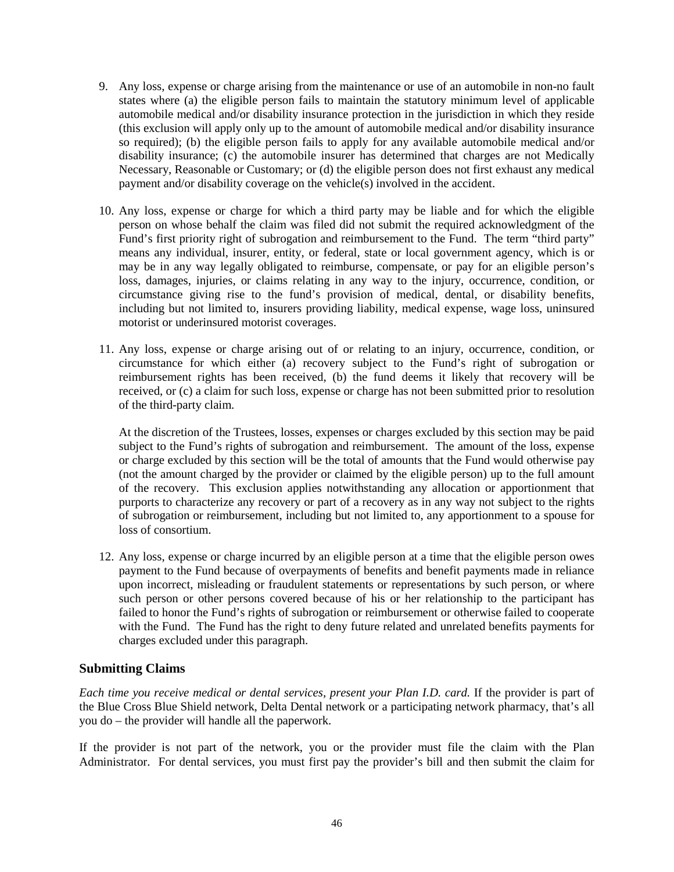- 9. Any loss, expense or charge arising from the maintenance or use of an automobile in non-no fault states where (a) the eligible person fails to maintain the statutory minimum level of applicable automobile medical and/or disability insurance protection in the jurisdiction in which they reside (this exclusion will apply only up to the amount of automobile medical and/or disability insurance so required); (b) the eligible person fails to apply for any available automobile medical and/or disability insurance; (c) the automobile insurer has determined that charges are not Medically Necessary, Reasonable or Customary; or (d) the eligible person does not first exhaust any medical payment and/or disability coverage on the vehicle(s) involved in the accident.
- 10. Any loss, expense or charge for which a third party may be liable and for which the eligible person on whose behalf the claim was filed did not submit the required acknowledgment of the Fund's first priority right of subrogation and reimbursement to the Fund. The term "third party" means any individual, insurer, entity, or federal, state or local government agency, which is or may be in any way legally obligated to reimburse, compensate, or pay for an eligible person's loss, damages, injuries, or claims relating in any way to the injury, occurrence, condition, or circumstance giving rise to the fund's provision of medical, dental, or disability benefits, including but not limited to, insurers providing liability, medical expense, wage loss, uninsured motorist or underinsured motorist coverages.
- 11. Any loss, expense or charge arising out of or relating to an injury, occurrence, condition, or circumstance for which either (a) recovery subject to the Fund's right of subrogation or reimbursement rights has been received, (b) the fund deems it likely that recovery will be received, or (c) a claim for such loss, expense or charge has not been submitted prior to resolution of the third-party claim.

At the discretion of the Trustees, losses, expenses or charges excluded by this section may be paid subject to the Fund's rights of subrogation and reimbursement. The amount of the loss, expense or charge excluded by this section will be the total of amounts that the Fund would otherwise pay (not the amount charged by the provider or claimed by the eligible person) up to the full amount of the recovery. This exclusion applies notwithstanding any allocation or apportionment that purports to characterize any recovery or part of a recovery as in any way not subject to the rights of subrogation or reimbursement, including but not limited to, any apportionment to a spouse for loss of consortium.

12. Any loss, expense or charge incurred by an eligible person at a time that the eligible person owes payment to the Fund because of overpayments of benefits and benefit payments made in reliance upon incorrect, misleading or fraudulent statements or representations by such person, or where such person or other persons covered because of his or her relationship to the participant has failed to honor the Fund's rights of subrogation or reimbursement or otherwise failed to cooperate with the Fund. The Fund has the right to deny future related and unrelated benefits payments for charges excluded under this paragraph.

# <span id="page-45-0"></span>**Submitting Claims**

*Each time you receive medical or dental services, present your Plan I.D. card.* If the provider is part of the Blue Cross Blue Shield network, Delta Dental network or a participating network pharmacy, that's all you do – the provider will handle all the paperwork.

If the provider is not part of the network, you or the provider must file the claim with the Plan Administrator. For dental services, you must first pay the provider's bill and then submit the claim for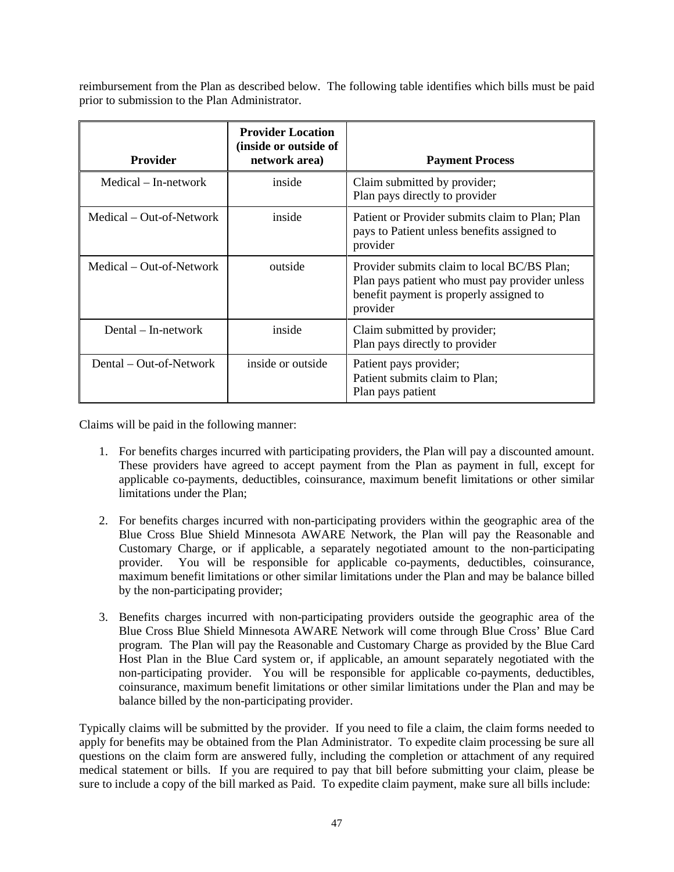reimbursement from the Plan as described below. The following table identifies which bills must be paid prior to submission to the Plan Administrator.

| Provider                 | <b>Provider Location</b><br>(inside or outside of<br>network area) | <b>Payment Process</b>                                                                                                                               |
|--------------------------|--------------------------------------------------------------------|------------------------------------------------------------------------------------------------------------------------------------------------------|
| Medical – In-network     | inside                                                             | Claim submitted by provider;<br>Plan pays directly to provider                                                                                       |
| Medical – Out-of-Network | inside                                                             | Patient or Provider submits claim to Plan; Plan<br>pays to Patient unless benefits assigned to<br>provider                                           |
| Medical – Out-of-Network | outside                                                            | Provider submits claim to local BC/BS Plan;<br>Plan pays patient who must pay provider unless<br>benefit payment is properly assigned to<br>provider |
| Dental $-$ In-network    | inside                                                             | Claim submitted by provider;<br>Plan pays directly to provider                                                                                       |
| Dental – Out-of-Network  | inside or outside                                                  | Patient pays provider;<br>Patient submits claim to Plan;<br>Plan pays patient                                                                        |

Claims will be paid in the following manner:

- 1. For benefits charges incurred with participating providers, the Plan will pay a discounted amount. These providers have agreed to accept payment from the Plan as payment in full, except for applicable co-payments, deductibles, coinsurance, maximum benefit limitations or other similar limitations under the Plan;
- 2. For benefits charges incurred with non-participating providers within the geographic area of the Blue Cross Blue Shield Minnesota AWARE Network, the Plan will pay the Reasonable and Customary Charge, or if applicable, a separately negotiated amount to the non-participating provider. You will be responsible for applicable co-payments, deductibles, coinsurance, maximum benefit limitations or other similar limitations under the Plan and may be balance billed by the non-participating provider;
- 3. Benefits charges incurred with non-participating providers outside the geographic area of the Blue Cross Blue Shield Minnesota AWARE Network will come through Blue Cross' Blue Card program. The Plan will pay the Reasonable and Customary Charge as provided by the Blue Card Host Plan in the Blue Card system or, if applicable, an amount separately negotiated with the non-participating provider. You will be responsible for applicable co-payments, deductibles, coinsurance, maximum benefit limitations or other similar limitations under the Plan and may be balance billed by the non-participating provider.

Typically claims will be submitted by the provider. If you need to file a claim, the claim forms needed to apply for benefits may be obtained from the Plan Administrator. To expedite claim processing be sure all questions on the claim form are answered fully, including the completion or attachment of any required medical statement or bills. If you are required to pay that bill before submitting your claim, please be sure to include a copy of the bill marked as Paid. To expedite claim payment, make sure all bills include: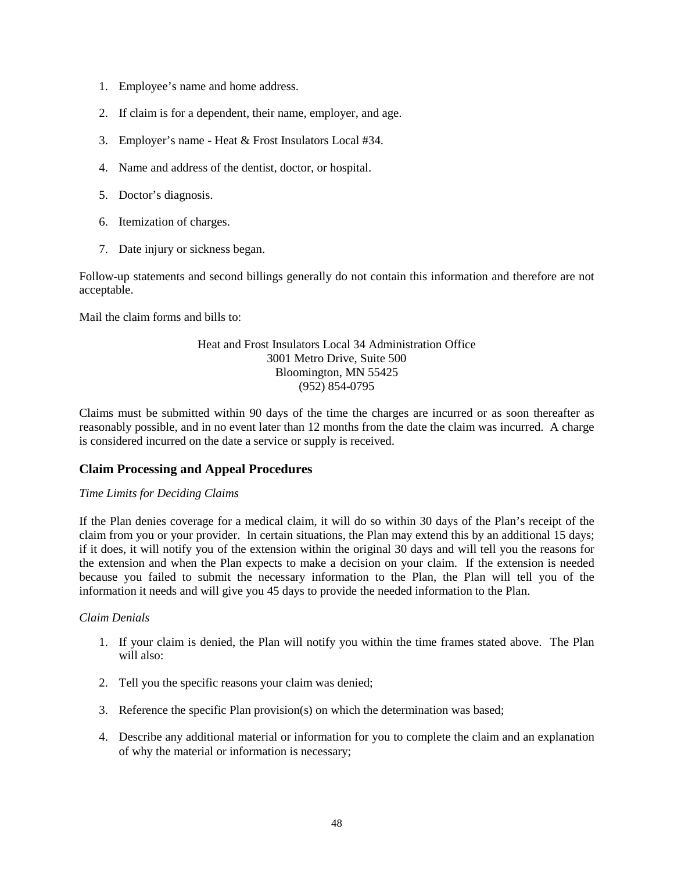- 1. Employee's name and home address.
- 2. If claim is for a dependent, their name, employer, and age.
- 3. Employer's name Heat & Frost Insulators Local #34.
- 4. Name and address of the dentist, doctor, or hospital.
- 5. Doctor's diagnosis.
- 6. Itemization of charges.
- 7. Date injury or sickness began.

Follow-up statements and second billings generally do not contain this information and therefore are not acceptable.

Mail the claim forms and bills to:

### Heat and Frost Insulators Local 34 Administration Office 3001 Metro Drive, Suite 500 Bloomington, MN 55425 (952) 854-0795

Claims must be submitted within 90 days of the time the charges are incurred or as soon thereafter as reasonably possible, and in no event later than 12 months from the date the claim was incurred. A charge is considered incurred on the date a service or supply is received.

# <span id="page-47-0"></span>**Claim Processing and Appeal Procedures**

### *Time Limits for Deciding Claims*

If the Plan denies coverage for a medical claim, it will do so within 30 days of the Plan's receipt of the claim from you or your provider. In certain situations, the Plan may extend this by an additional 15 days; if it does, it will notify you of the extension within the original 30 days and will tell you the reasons for the extension and when the Plan expects to make a decision on your claim. If the extension is needed because you failed to submit the necessary information to the Plan, the Plan will tell you of the information it needs and will give you 45 days to provide the needed information to the Plan.

### *Claim Denials*

- 1. If your claim is denied, the Plan will notify you within the time frames stated above. The Plan will also:
- 2. Tell you the specific reasons your claim was denied;
- 3. Reference the specific Plan provision(s) on which the determination was based;
- 4. Describe any additional material or information for you to complete the claim and an explanation of why the material or information is necessary;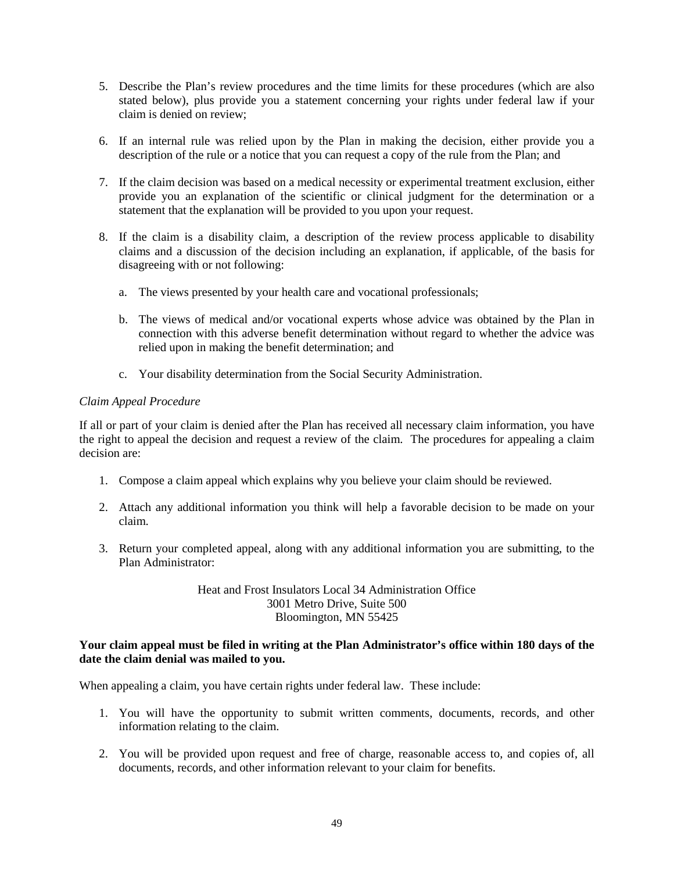- 5. Describe the Plan's review procedures and the time limits for these procedures (which are also stated below), plus provide you a statement concerning your rights under federal law if your claim is denied on review;
- 6. If an internal rule was relied upon by the Plan in making the decision, either provide you a description of the rule or a notice that you can request a copy of the rule from the Plan; and
- 7. If the claim decision was based on a medical necessity or experimental treatment exclusion, either provide you an explanation of the scientific or clinical judgment for the determination or a statement that the explanation will be provided to you upon your request.
- 8. If the claim is a disability claim, a description of the review process applicable to disability claims and a discussion of the decision including an explanation, if applicable, of the basis for disagreeing with or not following:
	- a. The views presented by your health care and vocational professionals;
	- b. The views of medical and/or vocational experts whose advice was obtained by the Plan in connection with this adverse benefit determination without regard to whether the advice was relied upon in making the benefit determination; and
	- c. Your disability determination from the Social Security Administration.

#### *Claim Appeal Procedure*

If all or part of your claim is denied after the Plan has received all necessary claim information, you have the right to appeal the decision and request a review of the claim. The procedures for appealing a claim decision are:

- 1. Compose a claim appeal which explains why you believe your claim should be reviewed.
- 2. Attach any additional information you think will help a favorable decision to be made on your claim.
- 3. Return your completed appeal, along with any additional information you are submitting, to the Plan Administrator:

### Heat and Frost Insulators Local 34 Administration Office 3001 Metro Drive, Suite 500 Bloomington, MN 55425

#### **Your claim appeal must be filed in writing at the Plan Administrator's office within 180 days of the date the claim denial was mailed to you.**

When appealing a claim, you have certain rights under federal law. These include:

- 1. You will have the opportunity to submit written comments, documents, records, and other information relating to the claim.
- 2. You will be provided upon request and free of charge, reasonable access to, and copies of, all documents, records, and other information relevant to your claim for benefits.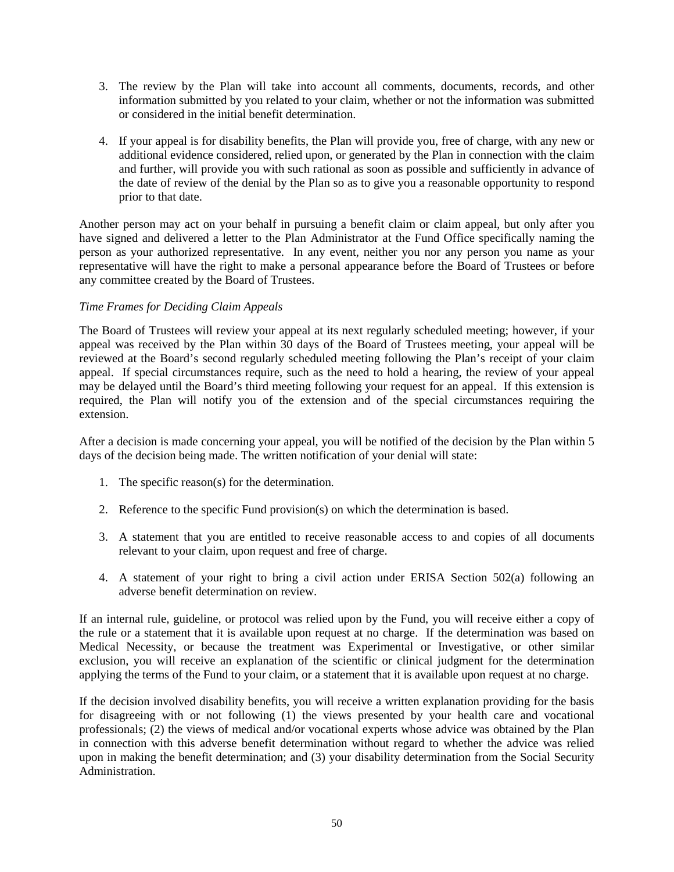- 3. The review by the Plan will take into account all comments, documents, records, and other information submitted by you related to your claim, whether or not the information was submitted or considered in the initial benefit determination.
- 4. If your appeal is for disability benefits, the Plan will provide you, free of charge, with any new or additional evidence considered, relied upon, or generated by the Plan in connection with the claim and further, will provide you with such rational as soon as possible and sufficiently in advance of the date of review of the denial by the Plan so as to give you a reasonable opportunity to respond prior to that date.

Another person may act on your behalf in pursuing a benefit claim or claim appeal, but only after you have signed and delivered a letter to the Plan Administrator at the Fund Office specifically naming the person as your authorized representative. In any event, neither you nor any person you name as your representative will have the right to make a personal appearance before the Board of Trustees or before any committee created by the Board of Trustees.

## *Time Frames for Deciding Claim Appeals*

The Board of Trustees will review your appeal at its next regularly scheduled meeting; however, if your appeal was received by the Plan within 30 days of the Board of Trustees meeting, your appeal will be reviewed at the Board's second regularly scheduled meeting following the Plan's receipt of your claim appeal. If special circumstances require, such as the need to hold a hearing, the review of your appeal may be delayed until the Board's third meeting following your request for an appeal. If this extension is required, the Plan will notify you of the extension and of the special circumstances requiring the extension.

After a decision is made concerning your appeal, you will be notified of the decision by the Plan within 5 days of the decision being made. The written notification of your denial will state:

- 1. The specific reason(s) for the determination.
- 2. Reference to the specific Fund provision(s) on which the determination is based.
- 3. A statement that you are entitled to receive reasonable access to and copies of all documents relevant to your claim, upon request and free of charge.
- 4. A statement of your right to bring a civil action under ERISA Section 502(a) following an adverse benefit determination on review.

If an internal rule, guideline, or protocol was relied upon by the Fund, you will receive either a copy of the rule or a statement that it is available upon request at no charge. If the determination was based on Medical Necessity, or because the treatment was Experimental or Investigative, or other similar exclusion, you will receive an explanation of the scientific or clinical judgment for the determination applying the terms of the Fund to your claim, or a statement that it is available upon request at no charge.

If the decision involved disability benefits, you will receive a written explanation providing for the basis for disagreeing with or not following (1) the views presented by your health care and vocational professionals; (2) the views of medical and/or vocational experts whose advice was obtained by the Plan in connection with this adverse benefit determination without regard to whether the advice was relied upon in making the benefit determination; and (3) your disability determination from the Social Security Administration.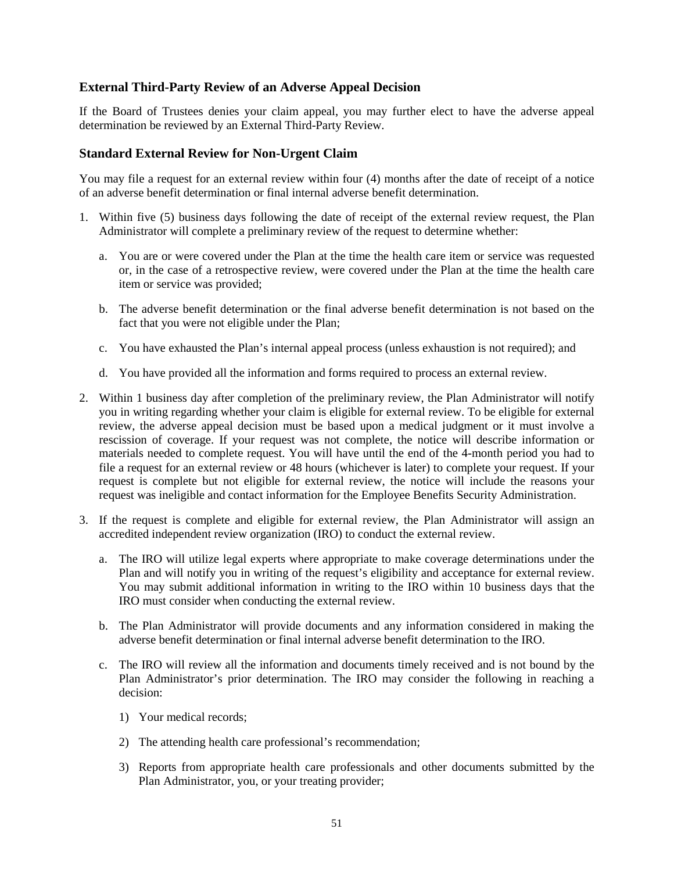# <span id="page-50-0"></span>**External Third-Party Review of an Adverse Appeal Decision**

If the Board of Trustees denies your claim appeal, you may further elect to have the adverse appeal determination be reviewed by an External Third-Party Review.

#### <span id="page-50-1"></span>**Standard External Review for Non-Urgent Claim**

You may file a request for an external review within four (4) months after the date of receipt of a notice of an adverse benefit determination or final internal adverse benefit determination.

- 1. Within five (5) business days following the date of receipt of the external review request, the Plan Administrator will complete a preliminary review of the request to determine whether:
	- a. You are or were covered under the Plan at the time the health care item or service was requested or, in the case of a retrospective review, were covered under the Plan at the time the health care item or service was provided;
	- b. The adverse benefit determination or the final adverse benefit determination is not based on the fact that you were not eligible under the Plan;
	- c. You have exhausted the Plan's internal appeal process (unless exhaustion is not required); and
	- d. You have provided all the information and forms required to process an external review.
- 2. Within 1 business day after completion of the preliminary review, the Plan Administrator will notify you in writing regarding whether your claim is eligible for external review. To be eligible for external review, the adverse appeal decision must be based upon a medical judgment or it must involve a rescission of coverage. If your request was not complete, the notice will describe information or materials needed to complete request. You will have until the end of the 4-month period you had to file a request for an external review or 48 hours (whichever is later) to complete your request. If your request is complete but not eligible for external review, the notice will include the reasons your request was ineligible and contact information for the Employee Benefits Security Administration.
- 3. If the request is complete and eligible for external review, the Plan Administrator will assign an accredited independent review organization (IRO) to conduct the external review.
	- a. The IRO will utilize legal experts where appropriate to make coverage determinations under the Plan and will notify you in writing of the request's eligibility and acceptance for external review. You may submit additional information in writing to the IRO within 10 business days that the IRO must consider when conducting the external review.
	- b. The Plan Administrator will provide documents and any information considered in making the adverse benefit determination or final internal adverse benefit determination to the IRO.
	- c. The IRO will review all the information and documents timely received and is not bound by the Plan Administrator's prior determination. The IRO may consider the following in reaching a decision:
		- 1) Your medical records;
		- 2) The attending health care professional's recommendation;
		- 3) Reports from appropriate health care professionals and other documents submitted by the Plan Administrator, you, or your treating provider;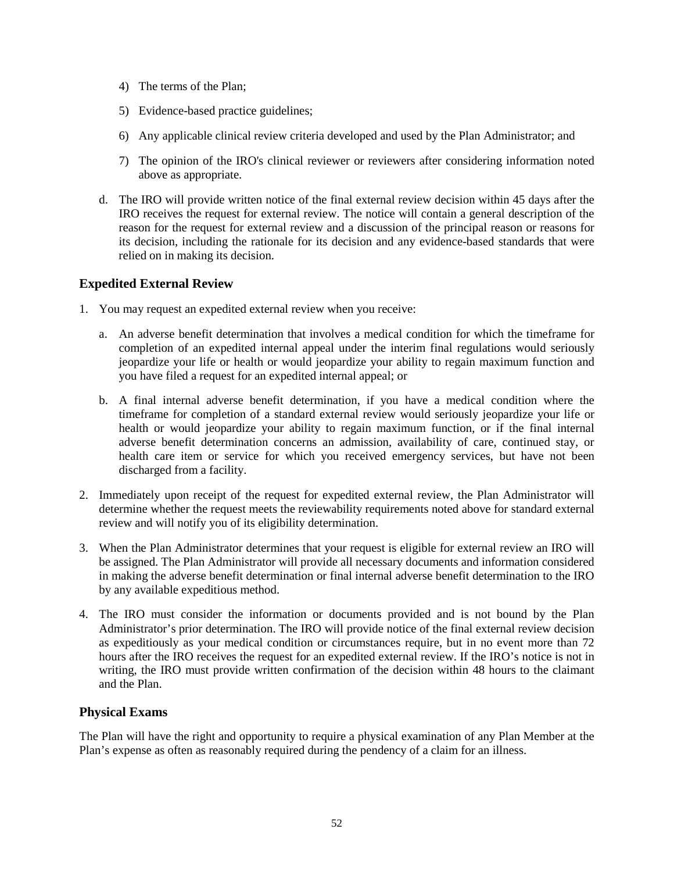- 4) The terms of the Plan;
- 5) Evidence-based practice guidelines;
- 6) Any applicable clinical review criteria developed and used by the Plan Administrator; and
- 7) The opinion of the IRO's clinical reviewer or reviewers after considering information noted above as appropriate.
- d. The IRO will provide written notice of the final external review decision within 45 days after the IRO receives the request for external review. The notice will contain a general description of the reason for the request for external review and a discussion of the principal reason or reasons for its decision, including the rationale for its decision and any evidence-based standards that were relied on in making its decision.

# <span id="page-51-0"></span>**Expedited External Review**

- 1. You may request an expedited external review when you receive:
	- a. An adverse benefit determination that involves a medical condition for which the timeframe for completion of an expedited internal appeal under the interim final regulations would seriously jeopardize your life or health or would jeopardize your ability to regain maximum function and you have filed a request for an expedited internal appeal; or
	- b. A final internal adverse benefit determination, if you have a medical condition where the timeframe for completion of a standard external review would seriously jeopardize your life or health or would jeopardize your ability to regain maximum function, or if the final internal adverse benefit determination concerns an admission, availability of care, continued stay, or health care item or service for which you received emergency services, but have not been discharged from a facility.
- 2. Immediately upon receipt of the request for expedited external review, the Plan Administrator will determine whether the request meets the reviewability requirements noted above for standard external review and will notify you of its eligibility determination.
- 3. When the Plan Administrator determines that your request is eligible for external review an IRO will be assigned. The Plan Administrator will provide all necessary documents and information considered in making the adverse benefit determination or final internal adverse benefit determination to the IRO by any available expeditious method.
- 4. The IRO must consider the information or documents provided and is not bound by the Plan Administrator's prior determination. The IRO will provide notice of the final external review decision as expeditiously as your medical condition or circumstances require, but in no event more than 72 hours after the IRO receives the request for an expedited external review. If the IRO's notice is not in writing, the IRO must provide written confirmation of the decision within 48 hours to the claimant and the Plan.

# <span id="page-51-1"></span>**Physical Exams**

The Plan will have the right and opportunity to require a physical examination of any Plan Member at the Plan's expense as often as reasonably required during the pendency of a claim for an illness.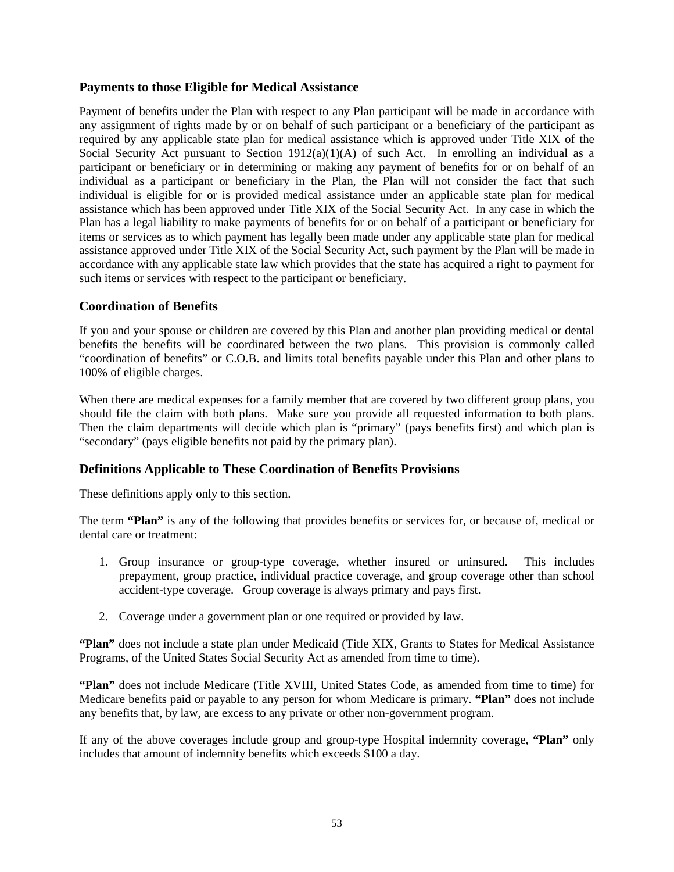# <span id="page-52-0"></span>**Payments to those Eligible for Medical Assistance**

Payment of benefits under the Plan with respect to any Plan participant will be made in accordance with any assignment of rights made by or on behalf of such participant or a beneficiary of the participant as required by any applicable state plan for medical assistance which is approved under Title XIX of the Social Security Act pursuant to Section 1912(a)(1)(A) of such Act. In enrolling an individual as a participant or beneficiary or in determining or making any payment of benefits for or on behalf of an individual as a participant or beneficiary in the Plan, the Plan will not consider the fact that such individual is eligible for or is provided medical assistance under an applicable state plan for medical assistance which has been approved under Title XIX of the Social Security Act. In any case in which the Plan has a legal liability to make payments of benefits for or on behalf of a participant or beneficiary for items or services as to which payment has legally been made under any applicable state plan for medical assistance approved under Title XIX of the Social Security Act, such payment by the Plan will be made in accordance with any applicable state law which provides that the state has acquired a right to payment for such items or services with respect to the participant or beneficiary.

# <span id="page-52-1"></span>**Coordination of Benefits**

If you and your spouse or children are covered by this Plan and another plan providing medical or dental benefits the benefits will be coordinated between the two plans. This provision is commonly called "coordination of benefits" or C.O.B. and limits total benefits payable under this Plan and other plans to 100% of eligible charges.

When there are medical expenses for a family member that are covered by two different group plans, you should file the claim with both plans. Make sure you provide all requested information to both plans. Then the claim departments will decide which plan is "primary" (pays benefits first) and which plan is "secondary" (pays eligible benefits not paid by the primary plan).

# <span id="page-52-2"></span>**Definitions Applicable to These Coordination of Benefits Provisions**

These definitions apply only to this section.

The term **"Plan"** is any of the following that provides benefits or services for, or because of, medical or dental care or treatment:

- 1. Group insurance or group-type coverage, whether insured or uninsured. This includes prepayment, group practice, individual practice coverage, and group coverage other than school accident-type coverage. Group coverage is always primary and pays first.
- 2. Coverage under a government plan or one required or provided by law.

**"Plan"** does not include a state plan under Medicaid (Title XIX, Grants to States for Medical Assistance Programs, of the United States Social Security Act as amended from time to time).

**"Plan"** does not include Medicare (Title XVIII, United States Code, as amended from time to time) for Medicare benefits paid or payable to any person for whom Medicare is primary. **"Plan"** does not include any benefits that, by law, are excess to any private or other non-government program.

If any of the above coverages include group and group-type Hospital indemnity coverage, **"Plan"** only includes that amount of indemnity benefits which exceeds \$100 a day.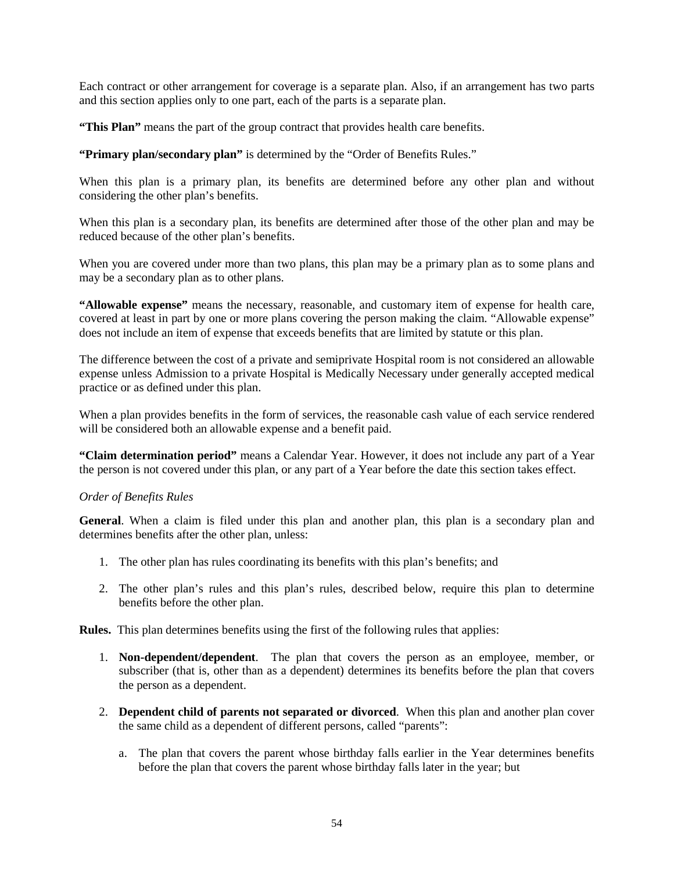Each contract or other arrangement for coverage is a separate plan. Also, if an arrangement has two parts and this section applies only to one part, each of the parts is a separate plan.

**"This Plan"** means the part of the group contract that provides health care benefits.

**"Primary plan/secondary plan"** is determined by the "Order of Benefits Rules."

When this plan is a primary plan, its benefits are determined before any other plan and without considering the other plan's benefits.

When this plan is a secondary plan, its benefits are determined after those of the other plan and may be reduced because of the other plan's benefits.

When you are covered under more than two plans, this plan may be a primary plan as to some plans and may be a secondary plan as to other plans.

**"Allowable expense"** means the necessary, reasonable, and customary item of expense for health care, covered at least in part by one or more plans covering the person making the claim. "Allowable expense" does not include an item of expense that exceeds benefits that are limited by statute or this plan.

The difference between the cost of a private and semiprivate Hospital room is not considered an allowable expense unless Admission to a private Hospital is Medically Necessary under generally accepted medical practice or as defined under this plan.

When a plan provides benefits in the form of services, the reasonable cash value of each service rendered will be considered both an allowable expense and a benefit paid.

**"Claim determination period"** means a Calendar Year. However, it does not include any part of a Year the person is not covered under this plan, or any part of a Year before the date this section takes effect.

### *Order of Benefits Rules*

**General**. When a claim is filed under this plan and another plan, this plan is a secondary plan and determines benefits after the other plan, unless:

- 1. The other plan has rules coordinating its benefits with this plan's benefits; and
- 2. The other plan's rules and this plan's rules, described below, require this plan to determine benefits before the other plan.

**Rules.** This plan determines benefits using the first of the following rules that applies:

- 1. **Non-dependent/dependent**. The plan that covers the person as an employee, member, or subscriber (that is, other than as a dependent) determines its benefits before the plan that covers the person as a dependent.
- 2. **Dependent child of parents not separated or divorced**. When this plan and another plan cover the same child as a dependent of different persons, called "parents":
	- a. The plan that covers the parent whose birthday falls earlier in the Year determines benefits before the plan that covers the parent whose birthday falls later in the year; but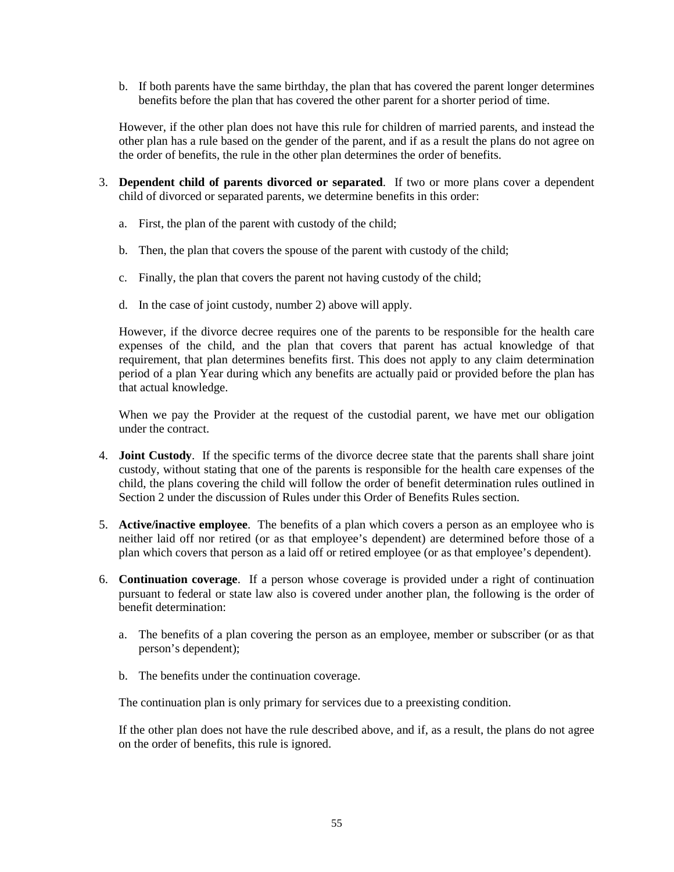b. If both parents have the same birthday, the plan that has covered the parent longer determines benefits before the plan that has covered the other parent for a shorter period of time.

However, if the other plan does not have this rule for children of married parents, and instead the other plan has a rule based on the gender of the parent, and if as a result the plans do not agree on the order of benefits, the rule in the other plan determines the order of benefits.

- 3. **Dependent child of parents divorced or separated**. If two or more plans cover a dependent child of divorced or separated parents, we determine benefits in this order:
	- a. First, the plan of the parent with custody of the child;
	- b. Then, the plan that covers the spouse of the parent with custody of the child;
	- c. Finally, the plan that covers the parent not having custody of the child;
	- d. In the case of joint custody, number 2) above will apply.

However, if the divorce decree requires one of the parents to be responsible for the health care expenses of the child, and the plan that covers that parent has actual knowledge of that requirement, that plan determines benefits first. This does not apply to any claim determination period of a plan Year during which any benefits are actually paid or provided before the plan has that actual knowledge.

When we pay the Provider at the request of the custodial parent, we have met our obligation under the contract.

- 4. **Joint Custody**. If the specific terms of the divorce decree state that the parents shall share joint custody, without stating that one of the parents is responsible for the health care expenses of the child, the plans covering the child will follow the order of benefit determination rules outlined in Section 2 under the discussion of Rules under this Order of Benefits Rules section.
- 5. **Active/inactive employee**. The benefits of a plan which covers a person as an employee who is neither laid off nor retired (or as that employee's dependent) are determined before those of a plan which covers that person as a laid off or retired employee (or as that employee's dependent).
- 6. **Continuation coverage**. If a person whose coverage is provided under a right of continuation pursuant to federal or state law also is covered under another plan, the following is the order of benefit determination:
	- a. The benefits of a plan covering the person as an employee, member or subscriber (or as that person's dependent);
	- b. The benefits under the continuation coverage.

The continuation plan is only primary for services due to a preexisting condition.

If the other plan does not have the rule described above, and if, as a result, the plans do not agree on the order of benefits, this rule is ignored.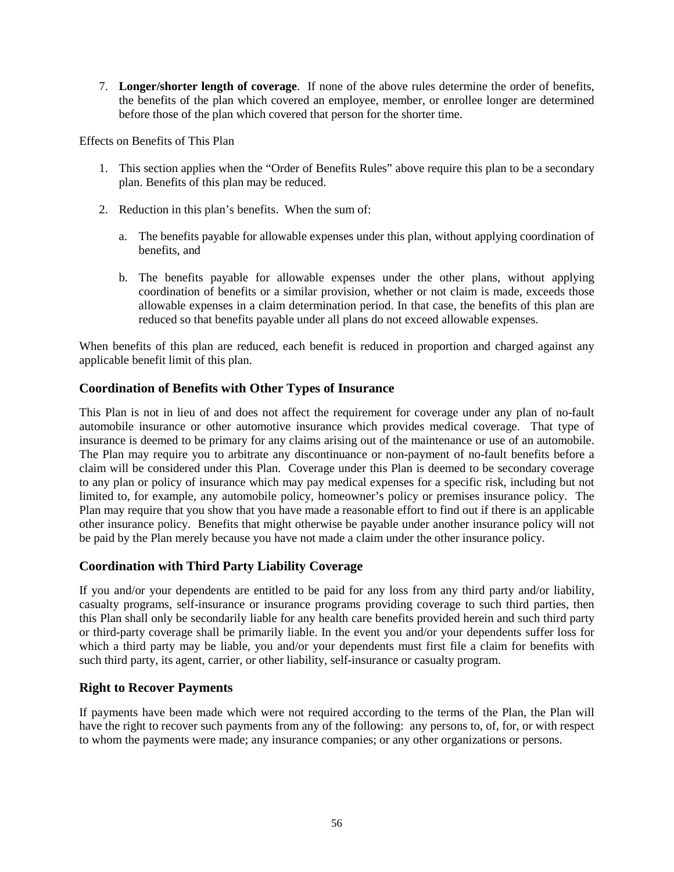7. **Longer/shorter length of coverage**. If none of the above rules determine the order of benefits, the benefits of the plan which covered an employee, member, or enrollee longer are determined before those of the plan which covered that person for the shorter time.

Effects on Benefits of This Plan

- 1. This section applies when the "Order of Benefits Rules" above require this plan to be a secondary plan. Benefits of this plan may be reduced.
- 2. Reduction in this plan's benefits. When the sum of:
	- a. The benefits payable for allowable expenses under this plan, without applying coordination of benefits, and
	- b. The benefits payable for allowable expenses under the other plans, without applying coordination of benefits or a similar provision, whether or not claim is made, exceeds those allowable expenses in a claim determination period. In that case, the benefits of this plan are reduced so that benefits payable under all plans do not exceed allowable expenses.

When benefits of this plan are reduced, each benefit is reduced in proportion and charged against any applicable benefit limit of this plan.

# <span id="page-55-0"></span>**Coordination of Benefits with Other Types of Insurance**

This Plan is not in lieu of and does not affect the requirement for coverage under any plan of no-fault automobile insurance or other automotive insurance which provides medical coverage. That type of insurance is deemed to be primary for any claims arising out of the maintenance or use of an automobile. The Plan may require you to arbitrate any discontinuance or non-payment of no-fault benefits before a claim will be considered under this Plan. Coverage under this Plan is deemed to be secondary coverage to any plan or policy of insurance which may pay medical expenses for a specific risk, including but not limited to, for example, any automobile policy, homeowner's policy or premises insurance policy. The Plan may require that you show that you have made a reasonable effort to find out if there is an applicable other insurance policy. Benefits that might otherwise be payable under another insurance policy will not be paid by the Plan merely because you have not made a claim under the other insurance policy.

# <span id="page-55-1"></span>**Coordination with Third Party Liability Coverage**

If you and/or your dependents are entitled to be paid for any loss from any third party and/or liability, casualty programs, self-insurance or insurance programs providing coverage to such third parties, then this Plan shall only be secondarily liable for any health care benefits provided herein and such third party or third-party coverage shall be primarily liable. In the event you and/or your dependents suffer loss for which a third party may be liable, you and/or your dependents must first file a claim for benefits with such third party, its agent, carrier, or other liability, self-insurance or casualty program.

# <span id="page-55-2"></span>**Right to Recover Payments**

If payments have been made which were not required according to the terms of the Plan, the Plan will have the right to recover such payments from any of the following: any persons to, of, for, or with respect to whom the payments were made; any insurance companies; or any other organizations or persons.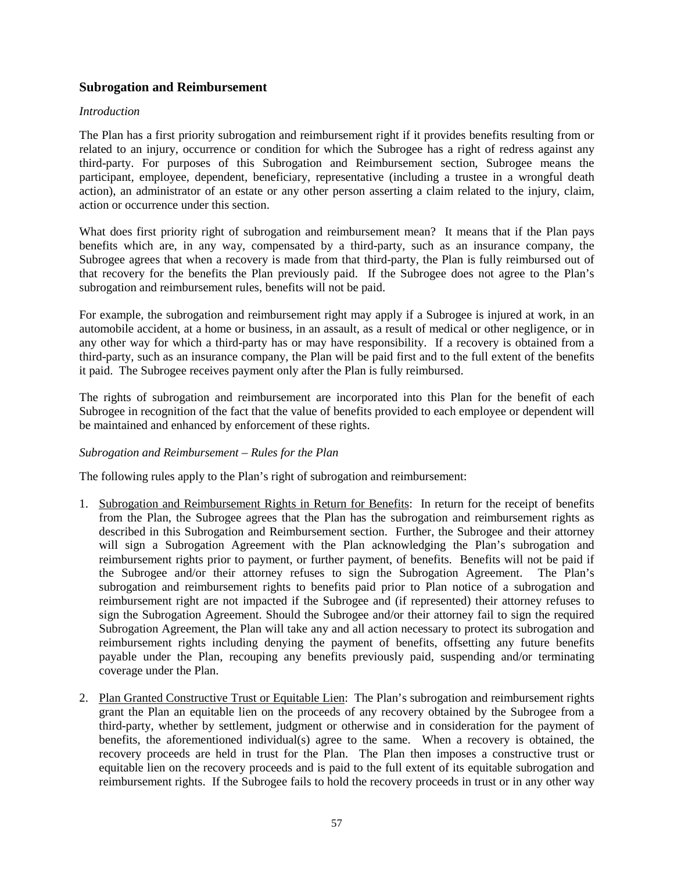## <span id="page-56-0"></span>**Subrogation and Reimbursement**

#### *Introduction*

The Plan has a first priority subrogation and reimbursement right if it provides benefits resulting from or related to an injury, occurrence or condition for which the Subrogee has a right of redress against any third-party. For purposes of this Subrogation and Reimbursement section, Subrogee means the participant, employee, dependent, beneficiary, representative (including a trustee in a wrongful death action), an administrator of an estate or any other person asserting a claim related to the injury, claim, action or occurrence under this section.

What does first priority right of subrogation and reimbursement mean? It means that if the Plan pays benefits which are, in any way, compensated by a third-party, such as an insurance company, the Subrogee agrees that when a recovery is made from that third-party, the Plan is fully reimbursed out of that recovery for the benefits the Plan previously paid. If the Subrogee does not agree to the Plan's subrogation and reimbursement rules, benefits will not be paid.

For example, the subrogation and reimbursement right may apply if a Subrogee is injured at work, in an automobile accident, at a home or business, in an assault, as a result of medical or other negligence, or in any other way for which a third-party has or may have responsibility. If a recovery is obtained from a third-party, such as an insurance company, the Plan will be paid first and to the full extent of the benefits it paid. The Subrogee receives payment only after the Plan is fully reimbursed.

The rights of subrogation and reimbursement are incorporated into this Plan for the benefit of each Subrogee in recognition of the fact that the value of benefits provided to each employee or dependent will be maintained and enhanced by enforcement of these rights.

### *Subrogation and Reimbursement – Rules for the Plan*

The following rules apply to the Plan's right of subrogation and reimbursement:

- 1. Subrogation and Reimbursement Rights in Return for Benefits: In return for the receipt of benefits from the Plan, the Subrogee agrees that the Plan has the subrogation and reimbursement rights as described in this Subrogation and Reimbursement section. Further, the Subrogee and their attorney will sign a Subrogation Agreement with the Plan acknowledging the Plan's subrogation and reimbursement rights prior to payment, or further payment, of benefits. Benefits will not be paid if the Subrogee and/or their attorney refuses to sign the Subrogation Agreement. The Plan's subrogation and reimbursement rights to benefits paid prior to Plan notice of a subrogation and reimbursement right are not impacted if the Subrogee and (if represented) their attorney refuses to sign the Subrogation Agreement. Should the Subrogee and/or their attorney fail to sign the required Subrogation Agreement, the Plan will take any and all action necessary to protect its subrogation and reimbursement rights including denying the payment of benefits, offsetting any future benefits payable under the Plan, recouping any benefits previously paid, suspending and/or terminating coverage under the Plan.
- 2. Plan Granted Constructive Trust or Equitable Lien: The Plan's subrogation and reimbursement rights grant the Plan an equitable lien on the proceeds of any recovery obtained by the Subrogee from a third-party, whether by settlement, judgment or otherwise and in consideration for the payment of benefits, the aforementioned individual(s) agree to the same. When a recovery is obtained, the recovery proceeds are held in trust for the Plan. The Plan then imposes a constructive trust or equitable lien on the recovery proceeds and is paid to the full extent of its equitable subrogation and reimbursement rights. If the Subrogee fails to hold the recovery proceeds in trust or in any other way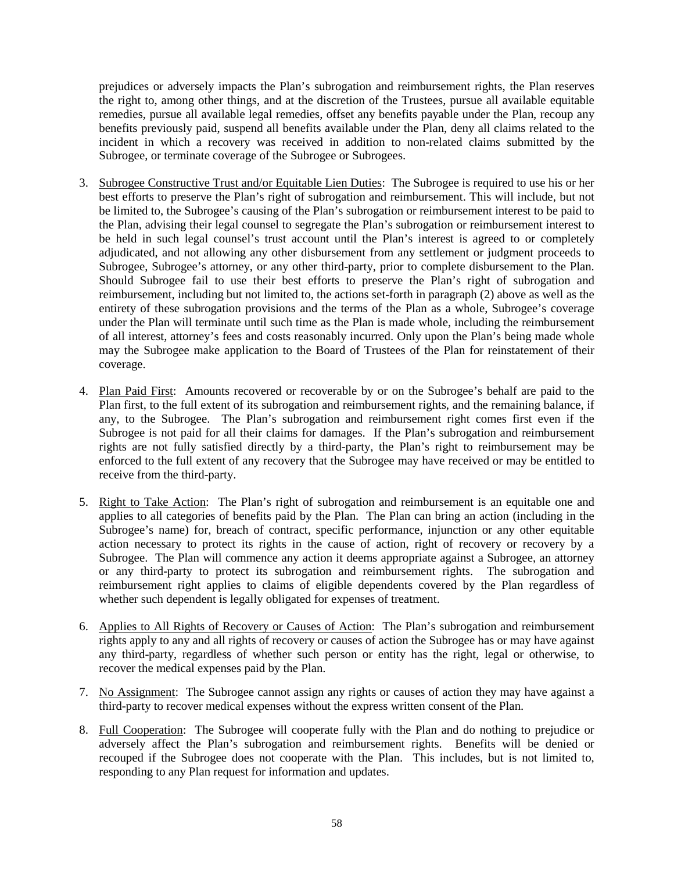prejudices or adversely impacts the Plan's subrogation and reimbursement rights, the Plan reserves the right to, among other things, and at the discretion of the Trustees, pursue all available equitable remedies, pursue all available legal remedies, offset any benefits payable under the Plan, recoup any benefits previously paid, suspend all benefits available under the Plan, deny all claims related to the incident in which a recovery was received in addition to non-related claims submitted by the Subrogee, or terminate coverage of the Subrogee or Subrogees.

- 3. Subrogee Constructive Trust and/or Equitable Lien Duties: The Subrogee is required to use his or her best efforts to preserve the Plan's right of subrogation and reimbursement. This will include, but not be limited to, the Subrogee's causing of the Plan's subrogation or reimbursement interest to be paid to the Plan, advising their legal counsel to segregate the Plan's subrogation or reimbursement interest to be held in such legal counsel's trust account until the Plan's interest is agreed to or completely adjudicated, and not allowing any other disbursement from any settlement or judgment proceeds to Subrogee, Subrogee's attorney, or any other third-party, prior to complete disbursement to the Plan. Should Subrogee fail to use their best efforts to preserve the Plan's right of subrogation and reimbursement, including but not limited to, the actions set-forth in paragraph (2) above as well as the entirety of these subrogation provisions and the terms of the Plan as a whole, Subrogee's coverage under the Plan will terminate until such time as the Plan is made whole, including the reimbursement of all interest, attorney's fees and costs reasonably incurred. Only upon the Plan's being made whole may the Subrogee make application to the Board of Trustees of the Plan for reinstatement of their coverage.
- 4. Plan Paid First: Amounts recovered or recoverable by or on the Subrogee's behalf are paid to the Plan first, to the full extent of its subrogation and reimbursement rights, and the remaining balance, if any, to the Subrogee. The Plan's subrogation and reimbursement right comes first even if the Subrogee is not paid for all their claims for damages. If the Plan's subrogation and reimbursement rights are not fully satisfied directly by a third-party, the Plan's right to reimbursement may be enforced to the full extent of any recovery that the Subrogee may have received or may be entitled to receive from the third-party.
- 5. Right to Take Action: The Plan's right of subrogation and reimbursement is an equitable one and applies to all categories of benefits paid by the Plan. The Plan can bring an action (including in the Subrogee's name) for, breach of contract, specific performance, injunction or any other equitable action necessary to protect its rights in the cause of action, right of recovery or recovery by a Subrogee. The Plan will commence any action it deems appropriate against a Subrogee, an attorney or any third-party to protect its subrogation and reimbursement rights. The subrogation and reimbursement right applies to claims of eligible dependents covered by the Plan regardless of whether such dependent is legally obligated for expenses of treatment.
- 6. Applies to All Rights of Recovery or Causes of Action: The Plan's subrogation and reimbursement rights apply to any and all rights of recovery or causes of action the Subrogee has or may have against any third-party, regardless of whether such person or entity has the right, legal or otherwise, to recover the medical expenses paid by the Plan.
- 7. No Assignment: The Subrogee cannot assign any rights or causes of action they may have against a third-party to recover medical expenses without the express written consent of the Plan.
- 8. Full Cooperation: The Subrogee will cooperate fully with the Plan and do nothing to prejudice or adversely affect the Plan's subrogation and reimbursement rights. Benefits will be denied or recouped if the Subrogee does not cooperate with the Plan. This includes, but is not limited to, responding to any Plan request for information and updates.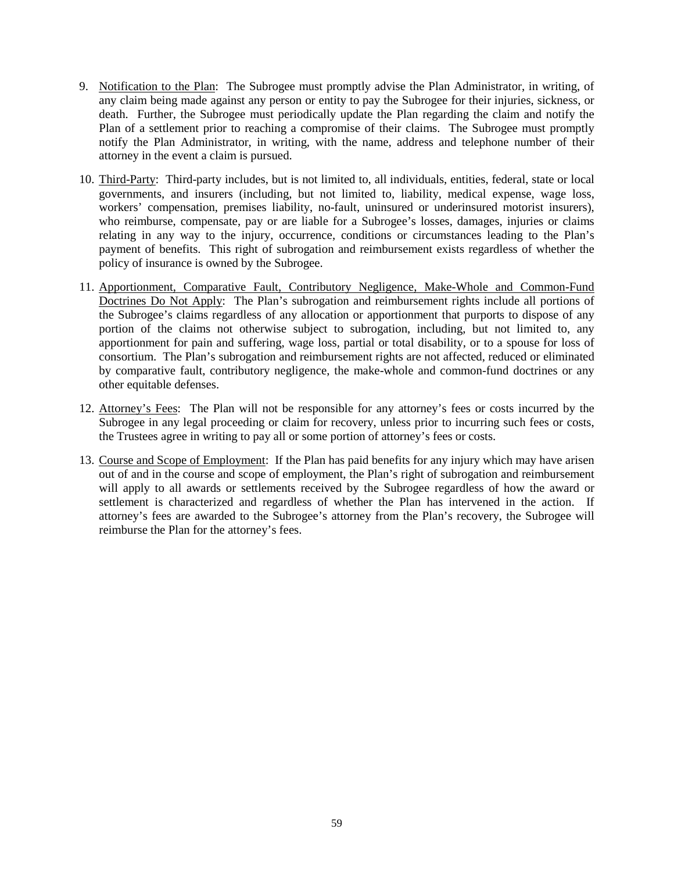- 9. Notification to the Plan: The Subrogee must promptly advise the Plan Administrator, in writing, of any claim being made against any person or entity to pay the Subrogee for their injuries, sickness, or death. Further, the Subrogee must periodically update the Plan regarding the claim and notify the Plan of a settlement prior to reaching a compromise of their claims. The Subrogee must promptly notify the Plan Administrator, in writing, with the name, address and telephone number of their attorney in the event a claim is pursued.
- 10. Third-Party: Third-party includes, but is not limited to, all individuals, entities, federal, state or local governments, and insurers (including, but not limited to, liability, medical expense, wage loss, workers' compensation, premises liability, no-fault, uninsured or underinsured motorist insurers), who reimburse, compensate, pay or are liable for a Subrogee's losses, damages, injuries or claims relating in any way to the injury, occurrence, conditions or circumstances leading to the Plan's payment of benefits. This right of subrogation and reimbursement exists regardless of whether the policy of insurance is owned by the Subrogee.
- 11. Apportionment, Comparative Fault, Contributory Negligence, Make-Whole and Common-Fund Doctrines Do Not Apply: The Plan's subrogation and reimbursement rights include all portions of the Subrogee's claims regardless of any allocation or apportionment that purports to dispose of any portion of the claims not otherwise subject to subrogation, including, but not limited to, any apportionment for pain and suffering, wage loss, partial or total disability, or to a spouse for loss of consortium. The Plan's subrogation and reimbursement rights are not affected, reduced or eliminated by comparative fault, contributory negligence, the make-whole and common-fund doctrines or any other equitable defenses.
- 12. Attorney's Fees: The Plan will not be responsible for any attorney's fees or costs incurred by the Subrogee in any legal proceeding or claim for recovery, unless prior to incurring such fees or costs, the Trustees agree in writing to pay all or some portion of attorney's fees or costs.
- 13. Course and Scope of Employment: If the Plan has paid benefits for any injury which may have arisen out of and in the course and scope of employment, the Plan's right of subrogation and reimbursement will apply to all awards or settlements received by the Subrogee regardless of how the award or settlement is characterized and regardless of whether the Plan has intervened in the action. If attorney's fees are awarded to the Subrogee's attorney from the Plan's recovery, the Subrogee will reimburse the Plan for the attorney's fees.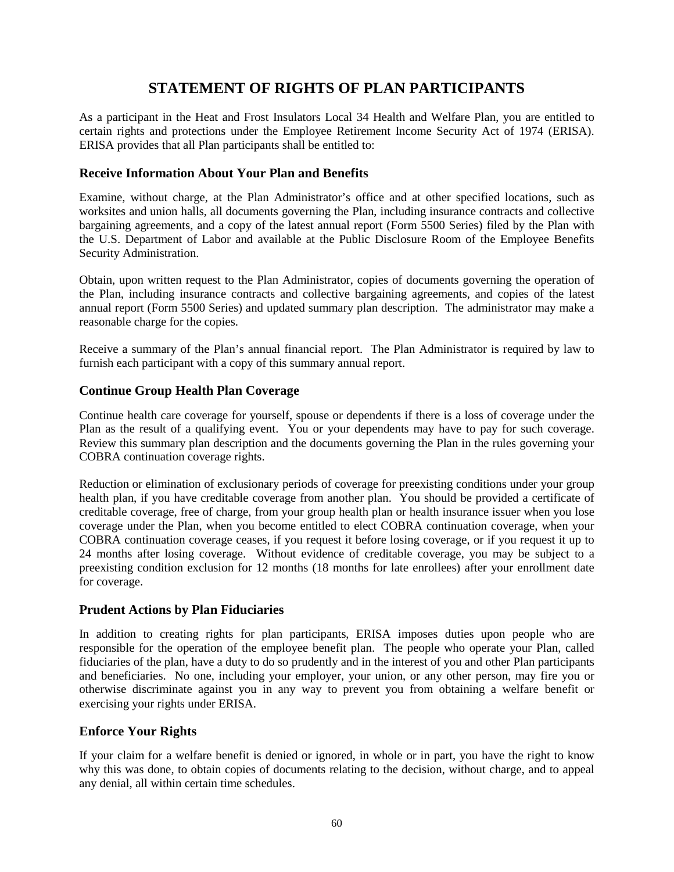# **STATEMENT OF RIGHTS OF PLAN PARTICIPANTS**

<span id="page-59-0"></span>As a participant in the Heat and Frost Insulators Local 34 Health and Welfare Plan, you are entitled to certain rights and protections under the Employee Retirement Income Security Act of 1974 (ERISA). ERISA provides that all Plan participants shall be entitled to:

# <span id="page-59-1"></span>**Receive Information About Your Plan and Benefits**

Examine, without charge, at the Plan Administrator's office and at other specified locations, such as worksites and union halls, all documents governing the Plan, including insurance contracts and collective bargaining agreements, and a copy of the latest annual report (Form 5500 Series) filed by the Plan with the U.S. Department of Labor and available at the Public Disclosure Room of the Employee Benefits Security Administration.

Obtain, upon written request to the Plan Administrator, copies of documents governing the operation of the Plan, including insurance contracts and collective bargaining agreements, and copies of the latest annual report (Form 5500 Series) and updated summary plan description. The administrator may make a reasonable charge for the copies.

Receive a summary of the Plan's annual financial report. The Plan Administrator is required by law to furnish each participant with a copy of this summary annual report.

## <span id="page-59-2"></span>**Continue Group Health Plan Coverage**

Continue health care coverage for yourself, spouse or dependents if there is a loss of coverage under the Plan as the result of a qualifying event. You or your dependents may have to pay for such coverage. Review this summary plan description and the documents governing the Plan in the rules governing your COBRA continuation coverage rights.

Reduction or elimination of exclusionary periods of coverage for preexisting conditions under your group health plan, if you have creditable coverage from another plan. You should be provided a certificate of creditable coverage, free of charge, from your group health plan or health insurance issuer when you lose coverage under the Plan, when you become entitled to elect COBRA continuation coverage, when your COBRA continuation coverage ceases, if you request it before losing coverage, or if you request it up to 24 months after losing coverage. Without evidence of creditable coverage, you may be subject to a preexisting condition exclusion for 12 months (18 months for late enrollees) after your enrollment date for coverage.

### <span id="page-59-3"></span>**Prudent Actions by Plan Fiduciaries**

In addition to creating rights for plan participants, ERISA imposes duties upon people who are responsible for the operation of the employee benefit plan. The people who operate your Plan, called fiduciaries of the plan, have a duty to do so prudently and in the interest of you and other Plan participants and beneficiaries. No one, including your employer, your union, or any other person, may fire you or otherwise discriminate against you in any way to prevent you from obtaining a welfare benefit or exercising your rights under ERISA.

### <span id="page-59-4"></span>**Enforce Your Rights**

If your claim for a welfare benefit is denied or ignored, in whole or in part, you have the right to know why this was done, to obtain copies of documents relating to the decision, without charge, and to appeal any denial, all within certain time schedules.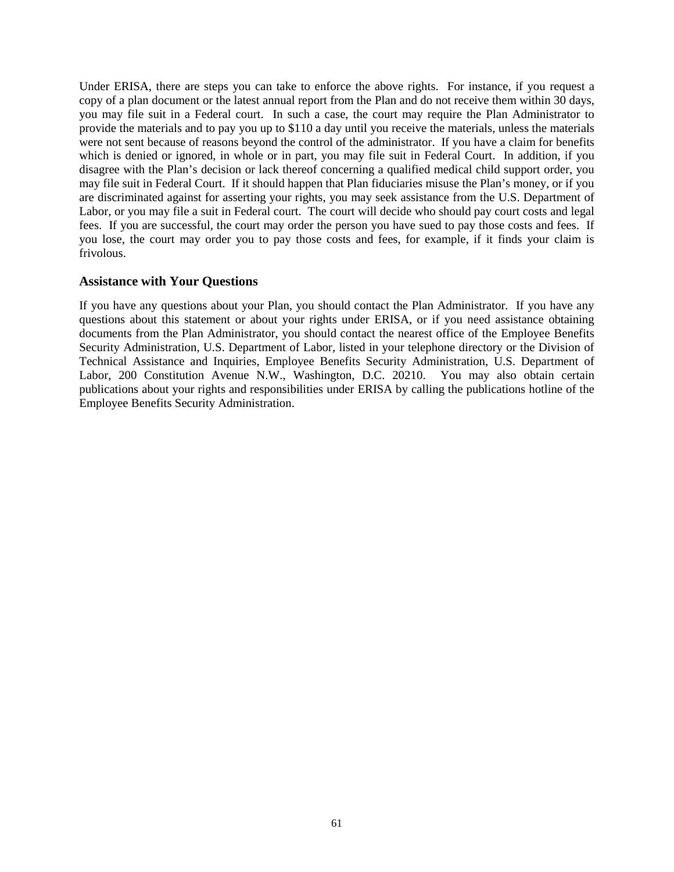Under ERISA, there are steps you can take to enforce the above rights. For instance, if you request a copy of a plan document or the latest annual report from the Plan and do not receive them within 30 days, you may file suit in a Federal court. In such a case, the court may require the Plan Administrator to provide the materials and to pay you up to \$110 a day until you receive the materials, unless the materials were not sent because of reasons beyond the control of the administrator. If you have a claim for benefits which is denied or ignored, in whole or in part, you may file suit in Federal Court. In addition, if you disagree with the Plan's decision or lack thereof concerning a qualified medical child support order, you may file suit in Federal Court. If it should happen that Plan fiduciaries misuse the Plan's money, or if you are discriminated against for asserting your rights, you may seek assistance from the U.S. Department of Labor, or you may file a suit in Federal court. The court will decide who should pay court costs and legal fees. If you are successful, the court may order the person you have sued to pay those costs and fees. If you lose, the court may order you to pay those costs and fees, for example, if it finds your claim is frivolous.

# <span id="page-60-0"></span>**Assistance with Your Questions**

If you have any questions about your Plan, you should contact the Plan Administrator. If you have any questions about this statement or about your rights under ERISA, or if you need assistance obtaining documents from the Plan Administrator, you should contact the nearest office of the Employee Benefits Security Administration, U.S. Department of Labor, listed in your telephone directory or the Division of Technical Assistance and Inquiries, Employee Benefits Security Administration, U.S. Department of Labor, 200 Constitution Avenue N.W., Washington, D.C. 20210. You may also obtain certain publications about your rights and responsibilities under ERISA by calling the publications hotline of the Employee Benefits Security Administration.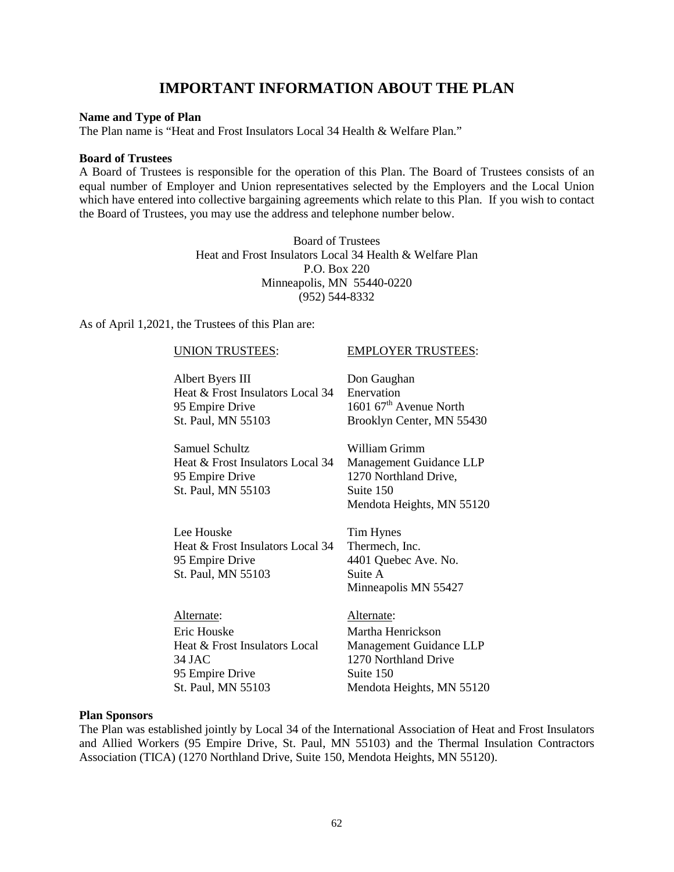# **IMPORTANT INFORMATION ABOUT THE PLAN**

#### <span id="page-61-0"></span>**Name and Type of Plan**

The Plan name is "Heat and Frost Insulators Local 34 Health & Welfare Plan."

#### **Board of Trustees**

A Board of Trustees is responsible for the operation of this Plan. The Board of Trustees consists of an equal number of Employer and Union representatives selected by the Employers and the Local Union which have entered into collective bargaining agreements which relate to this Plan. If you wish to contact the Board of Trustees, you may use the address and telephone number below.

> Board of Trustees Heat and Frost Insulators Local 34 Health & Welfare Plan P.O. Box 220 Minneapolis, MN 55440-0220 (952) 544-8332

As of April 1,2021, the Trustees of this Plan are:

#### UNION TRUSTEES: EMPLOYER TRUSTEES:

| Albert Byers III                 | Don Gaughan                        |
|----------------------------------|------------------------------------|
| Heat & Frost Insulators Local 34 | Enervation                         |
| 95 Empire Drive                  | 1601 67 <sup>th</sup> Avenue North |
| St. Paul, MN 55103               | Brooklyn Center, MN 5:             |
|                                  |                                    |

| Samuel Schultz                   | William Grimm             |
|----------------------------------|---------------------------|
| Heat & Frost Insulators Local 34 | Management Guidance LLP   |
| 95 Empire Drive                  | 1270 Northland Drive,     |
| St. Paul, MN 55103               | Suite 150                 |
|                                  | Mendota Heights, MN 55120 |

Lee Houske Heat & Frost Insulators Local 34 95 Empire Drive St. Paul, MN 55103

Tim Hynes Thermech, Inc. 4401 Quebec Ave. No. Suite A Minneapolis MN 55427

55430

Alternate: Alternate: Eric Houske Heat & Frost Insulators Local 34 JAC 95 Empire Drive St. Paul, MN 55103

Martha Henrickson Management Guidance LLP 1270 Northland Drive Suite 150 Mendota Heights, MN 55120

#### **Plan Sponsors**

The Plan was established jointly by Local 34 of the International Association of Heat and Frost Insulators and Allied Workers (95 Empire Drive, St. Paul, MN 55103) and the Thermal Insulation Contractors Association (TICA) (1270 Northland Drive, Suite 150, Mendota Heights, MN 55120).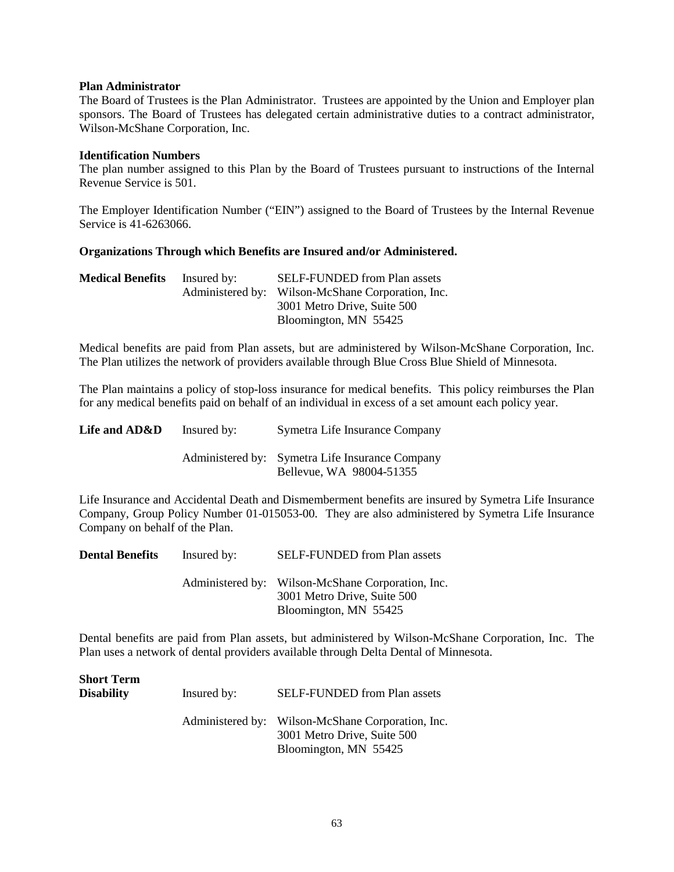#### **Plan Administrator**

The Board of Trustees is the Plan Administrator. Trustees are appointed by the Union and Employer plan sponsors. The Board of Trustees has delegated certain administrative duties to a contract administrator, Wilson-McShane Corporation, Inc.

#### **Identification Numbers**

The plan number assigned to this Plan by the Board of Trustees pursuant to instructions of the Internal Revenue Service is 501.

The Employer Identification Number ("EIN") assigned to the Board of Trustees by the Internal Revenue Service is 41-6263066.

### **Organizations Through which Benefits are Insured and/or Administered.**

| <b>Medical Benefits</b> | Insured by: | <b>SELF-FUNDED</b> from Plan assets               |
|-------------------------|-------------|---------------------------------------------------|
|                         |             | Administered by: Wilson-McShane Corporation, Inc. |
|                         |             | 3001 Metro Drive, Suite 500                       |
|                         |             | Bloomington, MN 55425                             |

Medical benefits are paid from Plan assets, but are administered by Wilson-McShane Corporation, Inc. The Plan utilizes the network of providers available through Blue Cross Blue Shield of Minnesota.

The Plan maintains a policy of stop-loss insurance for medical benefits. This policy reimburses the Plan for any medical benefits paid on behalf of an individual in excess of a set amount each policy year.

| Life and AD&D | Insured by: | Symetra Life Insurance Company                                              |
|---------------|-------------|-----------------------------------------------------------------------------|
|               |             | Administered by: Symetra Life Insurance Company<br>Bellevue, WA 98004-51355 |

Life Insurance and Accidental Death and Dismemberment benefits are insured by Symetra Life Insurance Company, Group Policy Number 01-015053-00. They are also administered by Symetra Life Insurance Company on behalf of the Plan.

| <b>Dental Benefits</b> | Insured by: | <b>SELF-FUNDED</b> from Plan assets                                                                       |
|------------------------|-------------|-----------------------------------------------------------------------------------------------------------|
|                        |             | Administered by: Wilson-McShane Corporation, Inc.<br>3001 Metro Drive, Suite 500<br>Bloomington, MN 55425 |

Dental benefits are paid from Plan assets, but administered by Wilson-McShane Corporation, Inc. The Plan uses a network of dental providers available through Delta Dental of Minnesota.

| <b>Short Term</b><br>Disability | Insured by: | <b>SELF-FUNDED</b> from Plan assets                                                                       |
|---------------------------------|-------------|-----------------------------------------------------------------------------------------------------------|
|                                 |             | Administered by: Wilson-McShane Corporation, Inc.<br>3001 Metro Drive, Suite 500<br>Bloomington, MN 55425 |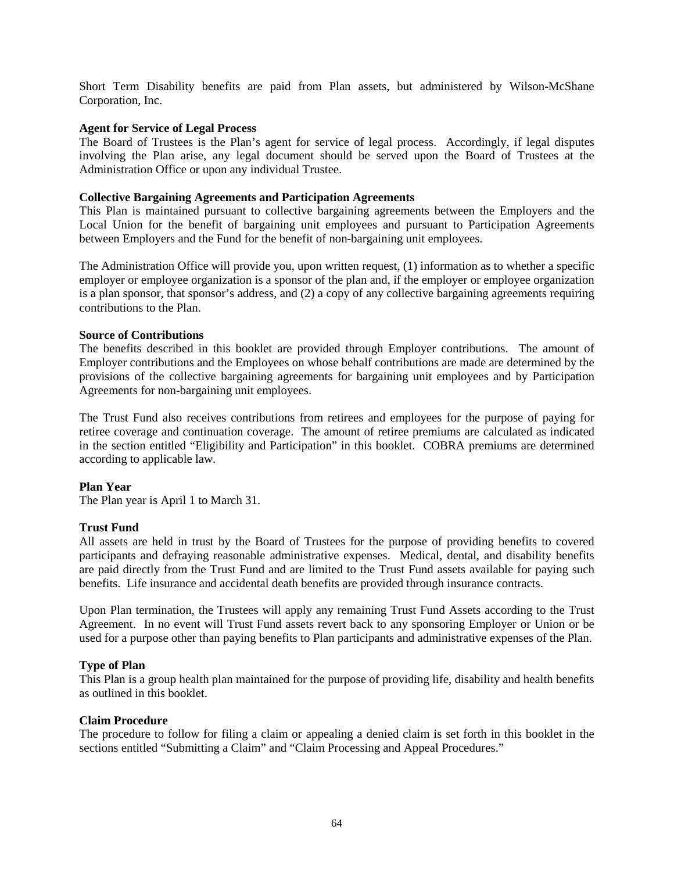Short Term Disability benefits are paid from Plan assets, but administered by Wilson-McShane Corporation, Inc.

#### **Agent for Service of Legal Process**

The Board of Trustees is the Plan's agent for service of legal process. Accordingly, if legal disputes involving the Plan arise, any legal document should be served upon the Board of Trustees at the Administration Office or upon any individual Trustee.

#### **Collective Bargaining Agreements and Participation Agreements**

This Plan is maintained pursuant to collective bargaining agreements between the Employers and the Local Union for the benefit of bargaining unit employees and pursuant to Participation Agreements between Employers and the Fund for the benefit of non-bargaining unit employees.

The Administration Office will provide you, upon written request, (1) information as to whether a specific employer or employee organization is a sponsor of the plan and, if the employer or employee organization is a plan sponsor, that sponsor's address, and (2) a copy of any collective bargaining agreements requiring contributions to the Plan.

#### **Source of Contributions**

The benefits described in this booklet are provided through Employer contributions. The amount of Employer contributions and the Employees on whose behalf contributions are made are determined by the provisions of the collective bargaining agreements for bargaining unit employees and by Participation Agreements for non-bargaining unit employees.

The Trust Fund also receives contributions from retirees and employees for the purpose of paying for retiree coverage and continuation coverage. The amount of retiree premiums are calculated as indicated in the section entitled "Eligibility and Participation" in this booklet. COBRA premiums are determined according to applicable law.

### **Plan Year**

The Plan year is April 1 to March 31.

### **Trust Fund**

All assets are held in trust by the Board of Trustees for the purpose of providing benefits to covered participants and defraying reasonable administrative expenses. Medical, dental, and disability benefits are paid directly from the Trust Fund and are limited to the Trust Fund assets available for paying such benefits. Life insurance and accidental death benefits are provided through insurance contracts.

Upon Plan termination, the Trustees will apply any remaining Trust Fund Assets according to the Trust Agreement. In no event will Trust Fund assets revert back to any sponsoring Employer or Union or be used for a purpose other than paying benefits to Plan participants and administrative expenses of the Plan.

### **Type of Plan**

This Plan is a group health plan maintained for the purpose of providing life, disability and health benefits as outlined in this booklet.

#### **Claim Procedure**

The procedure to follow for filing a claim or appealing a denied claim is set forth in this booklet in the sections entitled "Submitting a Claim" and "Claim Processing and Appeal Procedures."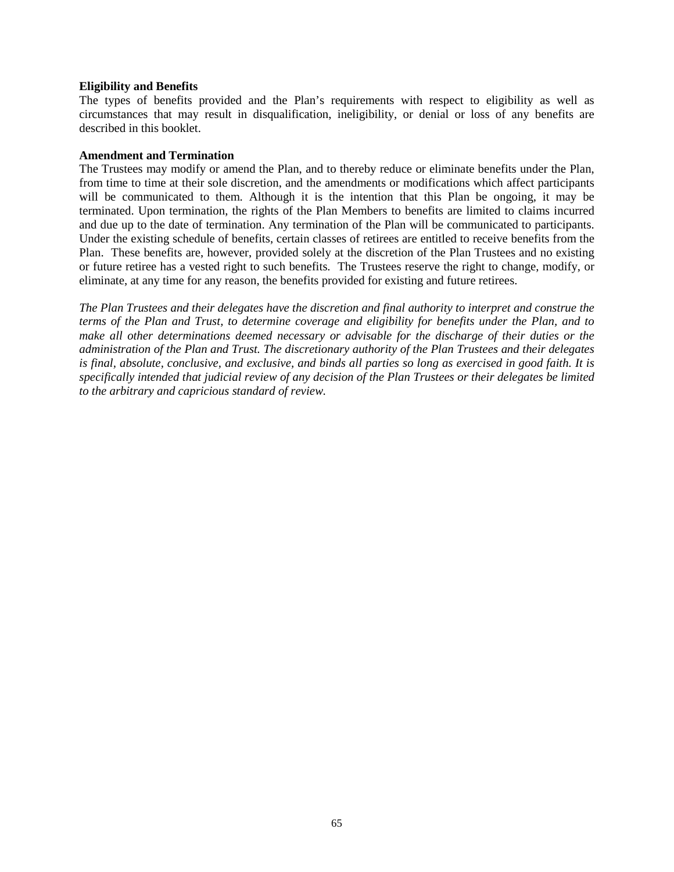#### **Eligibility and Benefits**

The types of benefits provided and the Plan's requirements with respect to eligibility as well as circumstances that may result in disqualification, ineligibility, or denial or loss of any benefits are described in this booklet.

#### **Amendment and Termination**

The Trustees may modify or amend the Plan, and to thereby reduce or eliminate benefits under the Plan, from time to time at their sole discretion, and the amendments or modifications which affect participants will be communicated to them. Although it is the intention that this Plan be ongoing, it may be terminated. Upon termination, the rights of the Plan Members to benefits are limited to claims incurred and due up to the date of termination. Any termination of the Plan will be communicated to participants. Under the existing schedule of benefits, certain classes of retirees are entitled to receive benefits from the Plan. These benefits are, however, provided solely at the discretion of the Plan Trustees and no existing or future retiree has a vested right to such benefits. The Trustees reserve the right to change, modify, or eliminate, at any time for any reason, the benefits provided for existing and future retirees.

*The Plan Trustees and their delegates have the discretion and final authority to interpret and construe the terms of the Plan and Trust, to determine coverage and eligibility for benefits under the Plan, and to make all other determinations deemed necessary or advisable for the discharge of their duties or the administration of the Plan and Trust. The discretionary authority of the Plan Trustees and their delegates is final, absolute, conclusive, and exclusive, and binds all parties so long as exercised in good faith. It is specifically intended that judicial review of any decision of the Plan Trustees or their delegates be limited to the arbitrary and capricious standard of review.*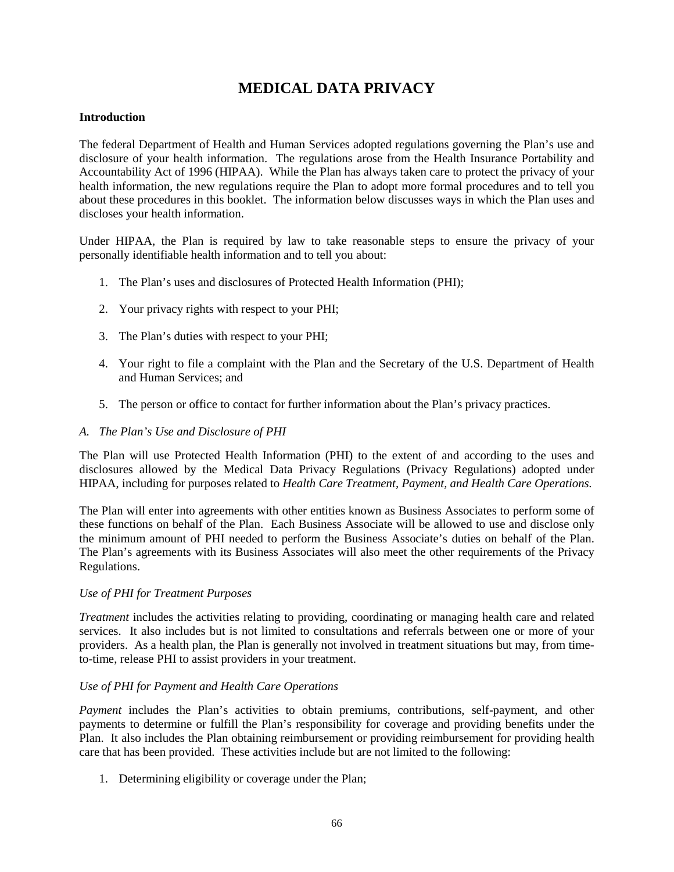# **MEDICAL DATA PRIVACY**

### <span id="page-65-0"></span>**Introduction**

The federal Department of Health and Human Services adopted regulations governing the Plan's use and disclosure of your health information. The regulations arose from the Health Insurance Portability and Accountability Act of 1996 (HIPAA). While the Plan has always taken care to protect the privacy of your health information, the new regulations require the Plan to adopt more formal procedures and to tell you about these procedures in this booklet. The information below discusses ways in which the Plan uses and discloses your health information.

Under HIPAA, the Plan is required by law to take reasonable steps to ensure the privacy of your personally identifiable health information and to tell you about:

- 1. The Plan's uses and disclosures of Protected Health Information (PHI);
- 2. Your privacy rights with respect to your PHI;
- 3. The Plan's duties with respect to your PHI;
- 4. Your right to file a complaint with the Plan and the Secretary of the U.S. Department of Health and Human Services; and
- 5. The person or office to contact for further information about the Plan's privacy practices.

## *A. The Plan's Use and Disclosure of PHI*

The Plan will use Protected Health Information (PHI) to the extent of and according to the uses and disclosures allowed by the Medical Data Privacy Regulations (Privacy Regulations) adopted under HIPAA, including for purposes related to *Health Care Treatment, Payment, and Health Care Operations.*

The Plan will enter into agreements with other entities known as Business Associates to perform some of these functions on behalf of the Plan. Each Business Associate will be allowed to use and disclose only the minimum amount of PHI needed to perform the Business Associate's duties on behalf of the Plan. The Plan's agreements with its Business Associates will also meet the other requirements of the Privacy Regulations.

### *Use of PHI for Treatment Purposes*

*Treatment* includes the activities relating to providing, coordinating or managing health care and related services. It also includes but is not limited to consultations and referrals between one or more of your providers. As a health plan, the Plan is generally not involved in treatment situations but may, from timeto-time, release PHI to assist providers in your treatment.

### *Use of PHI for Payment and Health Care Operations*

*Payment* includes the Plan's activities to obtain premiums, contributions, self-payment, and other payments to determine or fulfill the Plan's responsibility for coverage and providing benefits under the Plan. It also includes the Plan obtaining reimbursement or providing reimbursement for providing health care that has been provided. These activities include but are not limited to the following:

1. Determining eligibility or coverage under the Plan;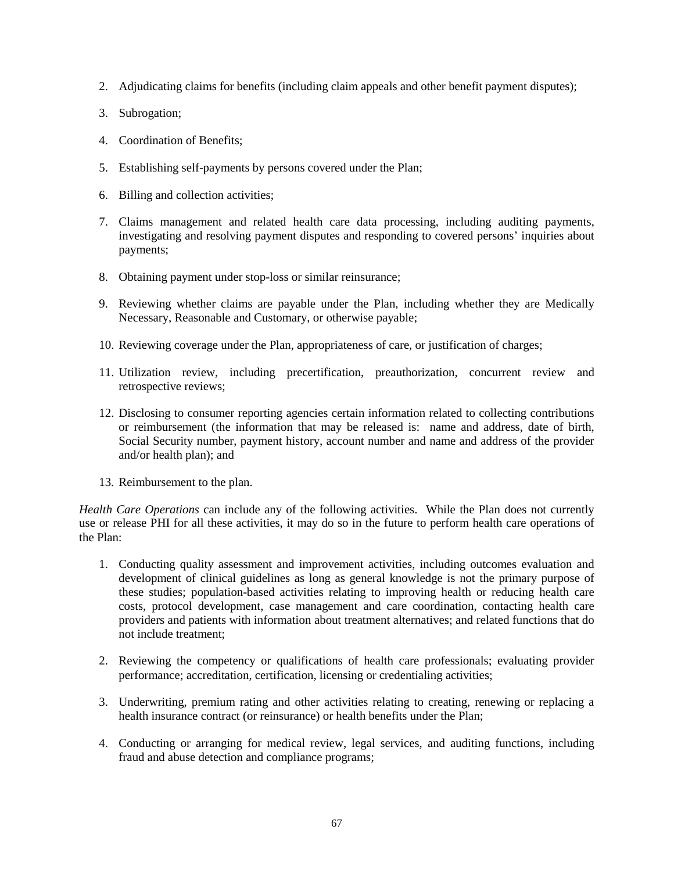- 2. Adjudicating claims for benefits (including claim appeals and other benefit payment disputes);
- 3. Subrogation;
- 4. Coordination of Benefits;
- 5. Establishing self-payments by persons covered under the Plan;
- 6. Billing and collection activities;
- 7. Claims management and related health care data processing, including auditing payments, investigating and resolving payment disputes and responding to covered persons' inquiries about payments;
- 8. Obtaining payment under stop-loss or similar reinsurance;
- 9. Reviewing whether claims are payable under the Plan, including whether they are Medically Necessary, Reasonable and Customary, or otherwise payable;
- 10. Reviewing coverage under the Plan, appropriateness of care, or justification of charges;
- 11. Utilization review, including precertification, preauthorization, concurrent review and retrospective reviews;
- 12. Disclosing to consumer reporting agencies certain information related to collecting contributions or reimbursement (the information that may be released is: name and address, date of birth, Social Security number, payment history, account number and name and address of the provider and/or health plan); and
- 13. Reimbursement to the plan.

*Health Care Operations* can include any of the following activities. While the Plan does not currently use or release PHI for all these activities, it may do so in the future to perform health care operations of the Plan:

- 1. Conducting quality assessment and improvement activities, including outcomes evaluation and development of clinical guidelines as long as general knowledge is not the primary purpose of these studies; population-based activities relating to improving health or reducing health care costs, protocol development, case management and care coordination, contacting health care providers and patients with information about treatment alternatives; and related functions that do not include treatment;
- 2. Reviewing the competency or qualifications of health care professionals; evaluating provider performance; accreditation, certification, licensing or credentialing activities;
- 3. Underwriting, premium rating and other activities relating to creating, renewing or replacing a health insurance contract (or reinsurance) or health benefits under the Plan;
- 4. Conducting or arranging for medical review, legal services, and auditing functions, including fraud and abuse detection and compliance programs;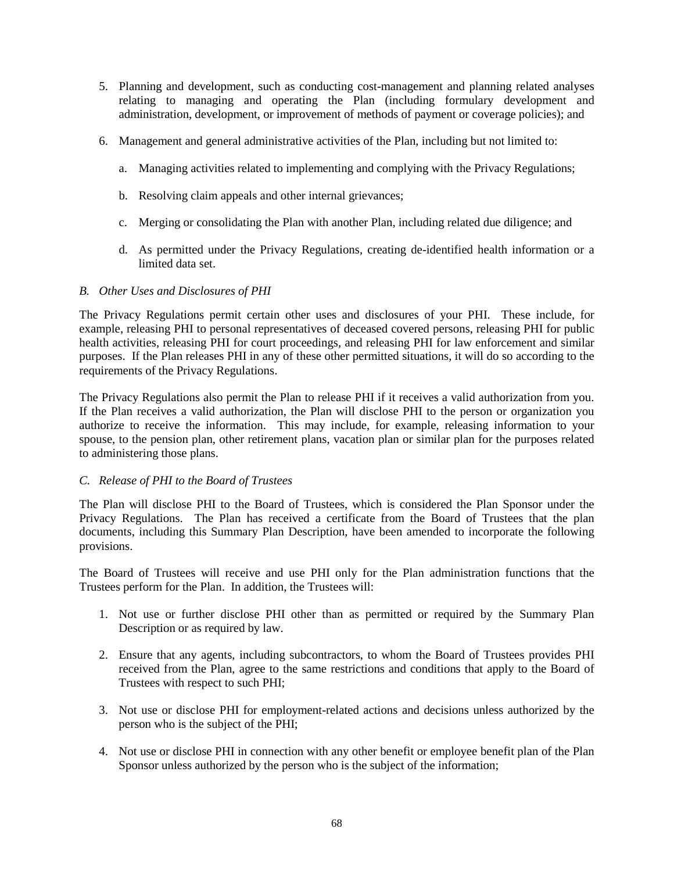- 5. Planning and development, such as conducting cost-management and planning related analyses relating to managing and operating the Plan (including formulary development and administration, development, or improvement of methods of payment or coverage policies); and
- 6. Management and general administrative activities of the Plan, including but not limited to:
	- a. Managing activities related to implementing and complying with the Privacy Regulations;
	- b. Resolving claim appeals and other internal grievances;
	- c. Merging or consolidating the Plan with another Plan, including related due diligence; and
	- d. As permitted under the Privacy Regulations, creating de-identified health information or a limited data set.

## *B. Other Uses and Disclosures of PHI*

The Privacy Regulations permit certain other uses and disclosures of your PHI. These include, for example, releasing PHI to personal representatives of deceased covered persons, releasing PHI for public health activities, releasing PHI for court proceedings, and releasing PHI for law enforcement and similar purposes. If the Plan releases PHI in any of these other permitted situations, it will do so according to the requirements of the Privacy Regulations.

The Privacy Regulations also permit the Plan to release PHI if it receives a valid authorization from you. If the Plan receives a valid authorization, the Plan will disclose PHI to the person or organization you authorize to receive the information. This may include, for example, releasing information to your spouse, to the pension plan, other retirement plans, vacation plan or similar plan for the purposes related to administering those plans.

### *C. Release of PHI to the Board of Trustees*

The Plan will disclose PHI to the Board of Trustees, which is considered the Plan Sponsor under the Privacy Regulations. The Plan has received a certificate from the Board of Trustees that the plan documents, including this Summary Plan Description, have been amended to incorporate the following provisions.

The Board of Trustees will receive and use PHI only for the Plan administration functions that the Trustees perform for the Plan. In addition, the Trustees will:

- 1. Not use or further disclose PHI other than as permitted or required by the Summary Plan Description or as required by law.
- 2. Ensure that any agents, including subcontractors, to whom the Board of Trustees provides PHI received from the Plan, agree to the same restrictions and conditions that apply to the Board of Trustees with respect to such PHI;
- 3. Not use or disclose PHI for employment-related actions and decisions unless authorized by the person who is the subject of the PHI;
- 4. Not use or disclose PHI in connection with any other benefit or employee benefit plan of the Plan Sponsor unless authorized by the person who is the subject of the information;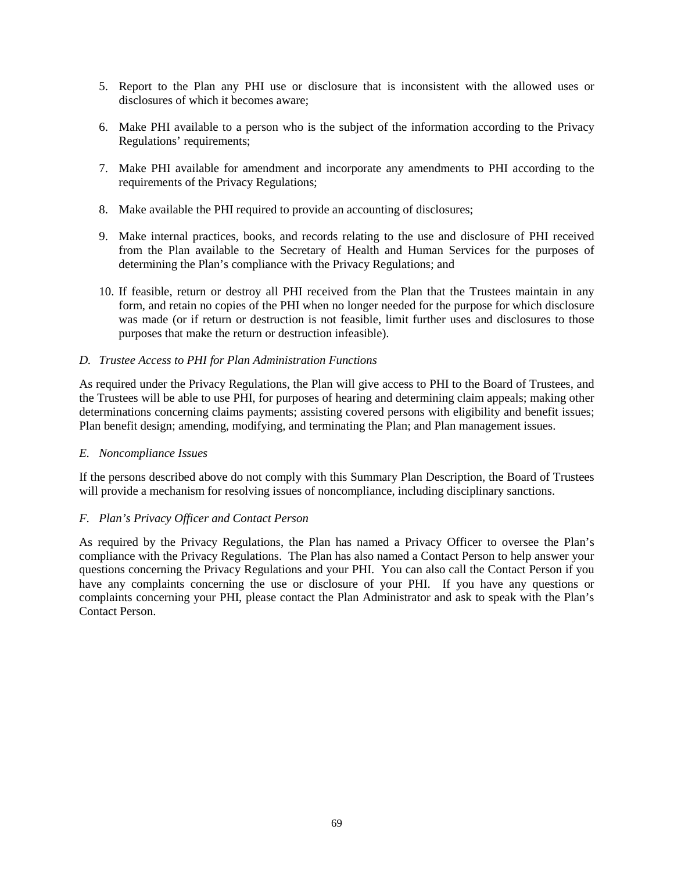- 5. Report to the Plan any PHI use or disclosure that is inconsistent with the allowed uses or disclosures of which it becomes aware;
- 6. Make PHI available to a person who is the subject of the information according to the Privacy Regulations' requirements;
- 7. Make PHI available for amendment and incorporate any amendments to PHI according to the requirements of the Privacy Regulations;
- 8. Make available the PHI required to provide an accounting of disclosures;
- 9. Make internal practices, books, and records relating to the use and disclosure of PHI received from the Plan available to the Secretary of Health and Human Services for the purposes of determining the Plan's compliance with the Privacy Regulations; and
- 10. If feasible, return or destroy all PHI received from the Plan that the Trustees maintain in any form, and retain no copies of the PHI when no longer needed for the purpose for which disclosure was made (or if return or destruction is not feasible, limit further uses and disclosures to those purposes that make the return or destruction infeasible).

### *D. Trustee Access to PHI for Plan Administration Functions*

As required under the Privacy Regulations, the Plan will give access to PHI to the Board of Trustees, and the Trustees will be able to use PHI, for purposes of hearing and determining claim appeals; making other determinations concerning claims payments; assisting covered persons with eligibility and benefit issues; Plan benefit design; amending, modifying, and terminating the Plan; and Plan management issues.

### *E. Noncompliance Issues*

If the persons described above do not comply with this Summary Plan Description, the Board of Trustees will provide a mechanism for resolving issues of noncompliance, including disciplinary sanctions.

### *F. Plan's Privacy Officer and Contact Person*

As required by the Privacy Regulations, the Plan has named a Privacy Officer to oversee the Plan's compliance with the Privacy Regulations. The Plan has also named a Contact Person to help answer your questions concerning the Privacy Regulations and your PHI. You can also call the Contact Person if you have any complaints concerning the use or disclosure of your PHI. If you have any questions or complaints concerning your PHI, please contact the Plan Administrator and ask to speak with the Plan's Contact Person.